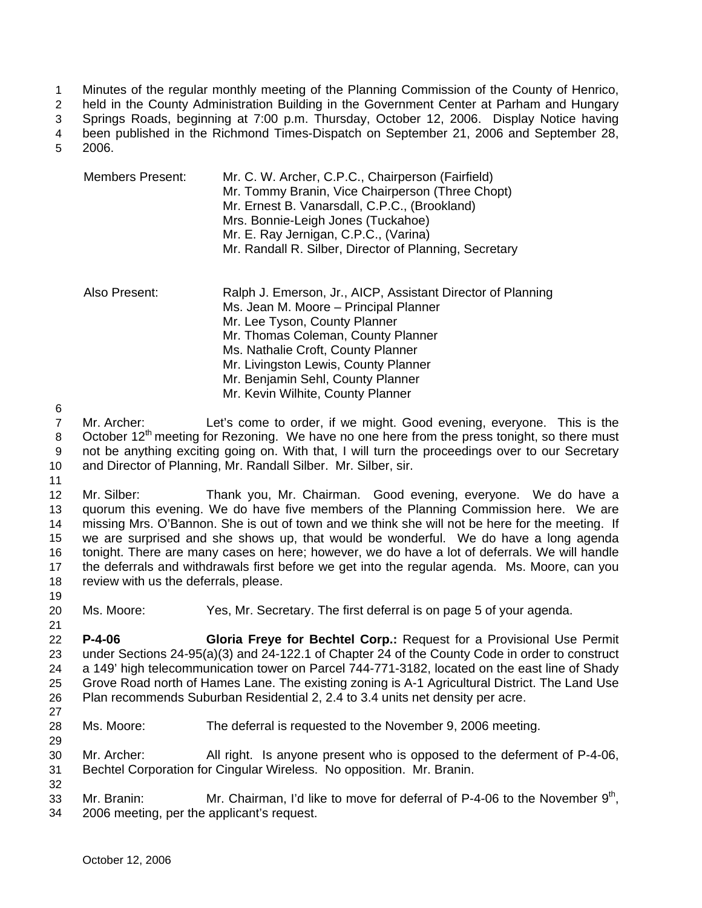Minutes of the regular monthly meeting of the Planning Commission of the County of Henrico, 1

held in the County Administration Building in the Government Center at Parham and Hungary 2

Springs Roads, beginning at 7:00 p.m. Thursday, October 12, 2006. Display Notice having been published in the Richmond Times-Dispatch on September 21, 2006 and September 28, 3

2006. 4 5

| Members Present: | Mr. C. W. Archer, C.P.C., Chairperson (Fairfield)<br>Mr. Tommy Branin, Vice Chairperson (Three Chopt)<br>Mr. Ernest B. Vanarsdall, C.P.C., (Brookland)<br>Mrs. Bonnie-Leigh Jones (Tuckahoe)<br>Mr. E. Ray Jernigan, C.P.C., (Varina)<br>Mr. Randall R. Silber, Director of Planning, Secretary                                     |
|------------------|-------------------------------------------------------------------------------------------------------------------------------------------------------------------------------------------------------------------------------------------------------------------------------------------------------------------------------------|
| Also Present:    | Ralph J. Emerson, Jr., AICP, Assistant Director of Planning<br>Ms. Jean M. Moore - Principal Planner<br>Mr. Lee Tyson, County Planner<br>Mr. Thomas Coleman, County Planner<br>Ms. Nathalie Croft, County Planner<br>Mr. Livingston Lewis, County Planner<br>Mr. Benjamin Sehl, County Planner<br>Mr. Kevin Wilhite, County Planner |

6

7 8 9 10 Mr. Archer: Let's come to order, if we might. Good evening, everyone. This is the October 12<sup>th</sup> meeting for Rezoning. We have no one here from the press tonight, so there must not be anything exciting going on. With that, I will turn the proceedings over to our Secretary and Director of Planning, Mr. Randall Silber. Mr. Silber, sir.

11

12 13 14 15 16 17 18 Mr. Silber: Thank you, Mr. Chairman. Good evening, everyone. We do have a quorum this evening. We do have five members of the Planning Commission here. We are missing Mrs. O'Bannon. She is out of town and we think she will not be here for the meeting. If we are surprised and she shows up, that would be wonderful. We do have a long agenda tonight. There are many cases on here; however, we do have a lot of deferrals. We will handle the deferrals and withdrawals first before we get into the regular agenda. Ms. Moore, can you review with us the deferrals, please.

19

21

20 Ms. Moore: Yes, Mr. Secretary. The first deferral is on page 5 of your agenda.

22 23 24 25 26 **P-4-06 Gloria Freye for Bechtel Corp.:** Request for a Provisional Use Permit under Sections 24-95(a)(3) and 24-122.1 of Chapter 24 of the County Code in order to construct a 149' high telecommunication tower on Parcel 744-771-3182, located on the east line of Shady Grove Road north of Hames Lane. The existing zoning is A-1 Agricultural District. The Land Use Plan recommends Suburban Residential 2, 2.4 to 3.4 units net density per acre.

27

29

28 Ms. Moore: The deferral is requested to the November 9, 2006 meeting.

30 31 Mr. Archer: All right. Is anyone present who is opposed to the deferment of P-4-06, Bechtel Corporation for Cingular Wireless. No opposition. Mr. Branin.

32 33 34 Mr. Branin: Mr. Chairman, I'd like to move for deferral of P-4-06 to the November  $9<sup>th</sup>$ , 2006 meeting, per the applicant's request.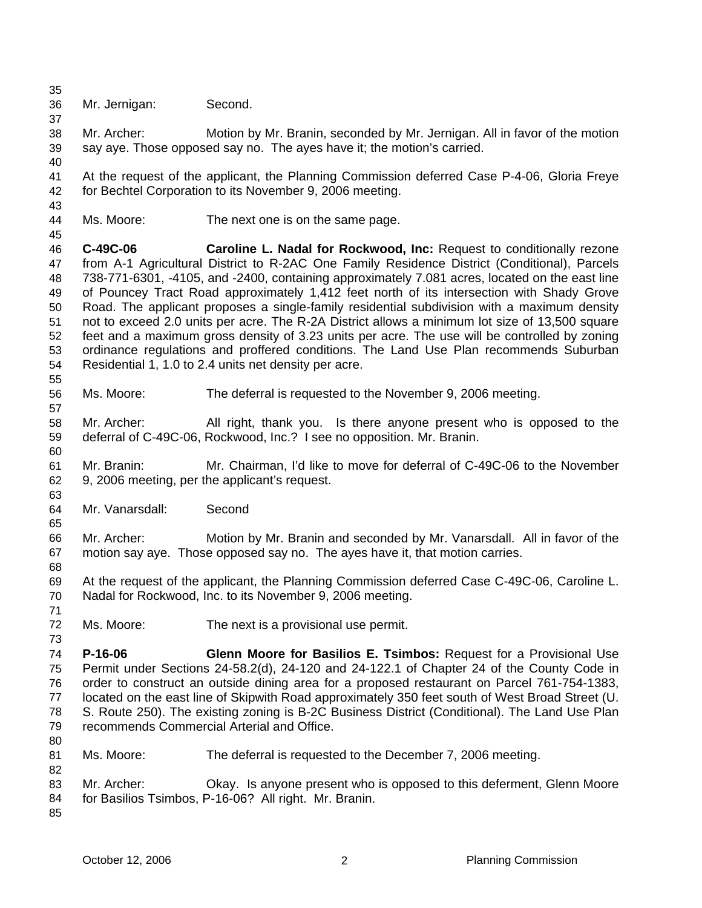35 36 Mr. Jernigan: Second.

37

43

45

55

57

60

63

65

68

73

- 38 39 Mr. Archer: Motion by Mr. Branin, seconded by Mr. Jernigan. All in favor of the motion say aye. Those opposed say no. The ayes have it; the motion's carried.
- 40 41 42 At the request of the applicant, the Planning Commission deferred Case P-4-06, Gloria Freye for Bechtel Corporation to its November 9, 2006 meeting.
- 44 Ms. Moore: The next one is on the same page.
- 46 47 48 49 50 51 52 53 54 **C-49C-06 Caroline L. Nadal for Rockwood, Inc:** Request to conditionally rezone from A-1 Agricultural District to R-2AC One Family Residence District (Conditional), Parcels 738-771-6301, -4105, and -2400, containing approximately 7.081 acres, located on the east line of Pouncey Tract Road approximately 1,412 feet north of its intersection with Shady Grove Road. The applicant proposes a single-family residential subdivision with a maximum density not to exceed 2.0 units per acre. The R-2A District allows a minimum lot size of 13,500 square feet and a maximum gross density of 3.23 units per acre. The use will be controlled by zoning ordinance regulations and proffered conditions. The Land Use Plan recommends Suburban Residential 1, 1.0 to 2.4 units net density per acre.
- 56 Ms. Moore: The deferral is requested to the November 9, 2006 meeting.
- 58 59 Mr. Archer: All right, thank you. Is there anyone present who is opposed to the deferral of C-49C-06, Rockwood, Inc.? I see no opposition. Mr. Branin.
- 61 62 Mr. Branin: Mr. Chairman, I'd like to move for deferral of C-49C-06 to the November 9, 2006 meeting, per the applicant's request.
- 64 Mr. Vanarsdall: Second
- 66 67 Mr. Archer: Motion by Mr. Branin and seconded by Mr. Vanarsdall. All in favor of the motion say aye. Those opposed say no. The ayes have it, that motion carries.
- 69 70 At the request of the applicant, the Planning Commission deferred Case C-49C-06, Caroline L. Nadal for Rockwood, Inc. to its November 9, 2006 meeting.
- 71 72
	- Ms. Moore: The next is a provisional use permit.
- 74 75 76 77 78 79 80 **P-16-06 Glenn Moore for Basilios E. Tsimbos:** Request for a Provisional Use Permit under Sections 24-58.2(d), 24-120 and 24-122.1 of Chapter 24 of the County Code in order to construct an outside dining area for a proposed restaurant on Parcel 761-754-1383, located on the east line of Skipwith Road approximately 350 feet south of West Broad Street (U. S. Route 250). The existing zoning is B-2C Business District (Conditional). The Land Use Plan recommends Commercial Arterial and Office.
- 81 Ms. Moore: The deferral is requested to the December 7, 2006 meeting.
- 83 84 Mr. Archer: Okay. Is anyone present who is opposed to this deferment, Glenn Moore for Basilios Tsimbos, P-16-06? All right. Mr. Branin.
- 85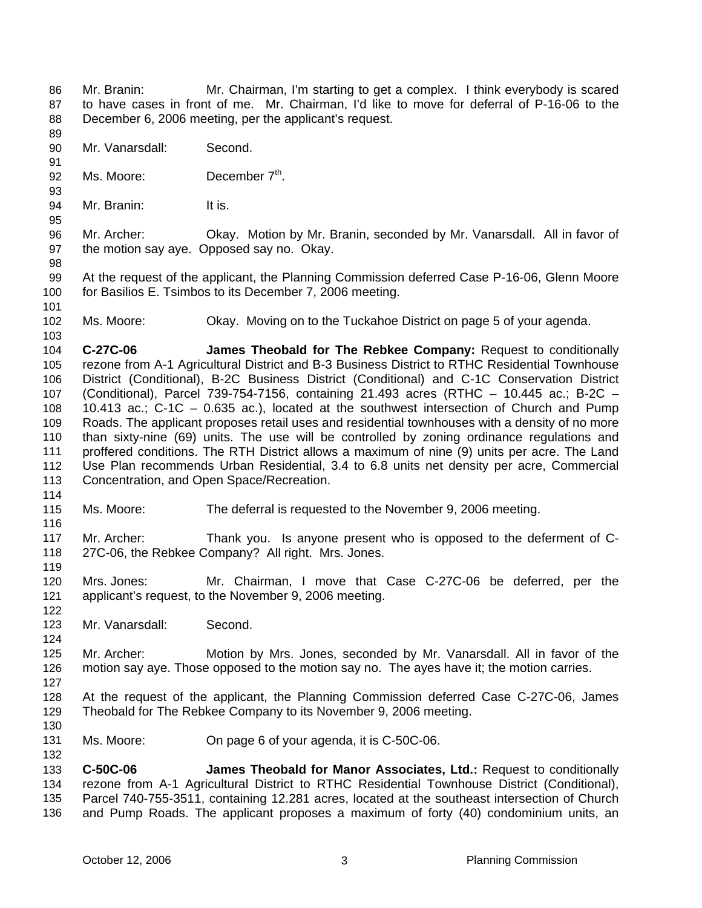- Mr. Branin: Mr. Chairman, I'm starting to get a complex. I think everybody is scared to have cases in front of me. Mr. Chairman, I'd like to move for deferral of P-16-06 to the December 6, 2006 meeting, per the applicant's request. 86 87 88
- 90 Mr. Vanarsdall: Second.
- 91 92 Ms. Moore: December 7<sup>th</sup>.
- 94 Mr. Branin: It is.
- 96 97 Mr. Archer: Okay. Motion by Mr. Branin, seconded by Mr. Vanarsdall. All in favor of the motion say aye. Opposed say no. Okay.
- 99 100 At the request of the applicant, the Planning Commission deferred Case P-16-06, Glenn Moore for Basilios E. Tsimbos to its December 7, 2006 meeting.
- 101

103

114

116

122

124

89

93

95

98

102 Ms. Moore: Okay. Moving on to the Tuckahoe District on page 5 of your agenda.

104 105 106 107 108 109 110 111 112 113 **C-27C-06 James Theobald for The Rebkee Company:** Request to conditionally rezone from A-1 Agricultural District and B-3 Business District to RTHC Residential Townhouse District (Conditional), B-2C Business District (Conditional) and C-1C Conservation District (Conditional), Parcel 739-754-7156, containing 21.493 acres (RTHC – 10.445 ac.; B-2C – 10.413 ac.; C-1C – 0.635 ac.), located at the southwest intersection of Church and Pump Roads. The applicant proposes retail uses and residential townhouses with a density of no more than sixty-nine (69) units. The use will be controlled by zoning ordinance regulations and proffered conditions. The RTH District allows a maximum of nine (9) units per acre. The Land Use Plan recommends Urban Residential, 3.4 to 6.8 units net density per acre, Commercial Concentration, and Open Space/Recreation.

- 115 Ms. Moore: The deferral is requested to the November 9, 2006 meeting.
- 117 118 119 Mr. Archer: Thank you. Is anyone present who is opposed to the deferment of C-27C-06, the Rebkee Company? All right. Mrs. Jones.
- 120 121 Mrs. Jones: Mr. Chairman, I move that Case C-27C-06 be deferred, per the applicant's request, to the November 9, 2006 meeting.
- 123 Mr. Vanarsdall: Second.
- 125 126 Mr. Archer: Motion by Mrs. Jones, seconded by Mr. Vanarsdall. All in favor of the motion say aye. Those opposed to the motion say no. The ayes have it; the motion carries.
- 127
- 128 129 At the request of the applicant, the Planning Commission deferred Case C-27C-06, James Theobald for The Rebkee Company to its November 9, 2006 meeting.
- 130 131

132

Ms. Moore: On page 6 of your agenda, it is C-50C-06.

133 134 135 136 **C-50C-06 James Theobald for Manor Associates, Ltd.:** Request to conditionally rezone from A-1 Agricultural District to RTHC Residential Townhouse District (Conditional), Parcel 740-755-3511, containing 12.281 acres, located at the southeast intersection of Church and Pump Roads. The applicant proposes a maximum of forty (40) condominium units, an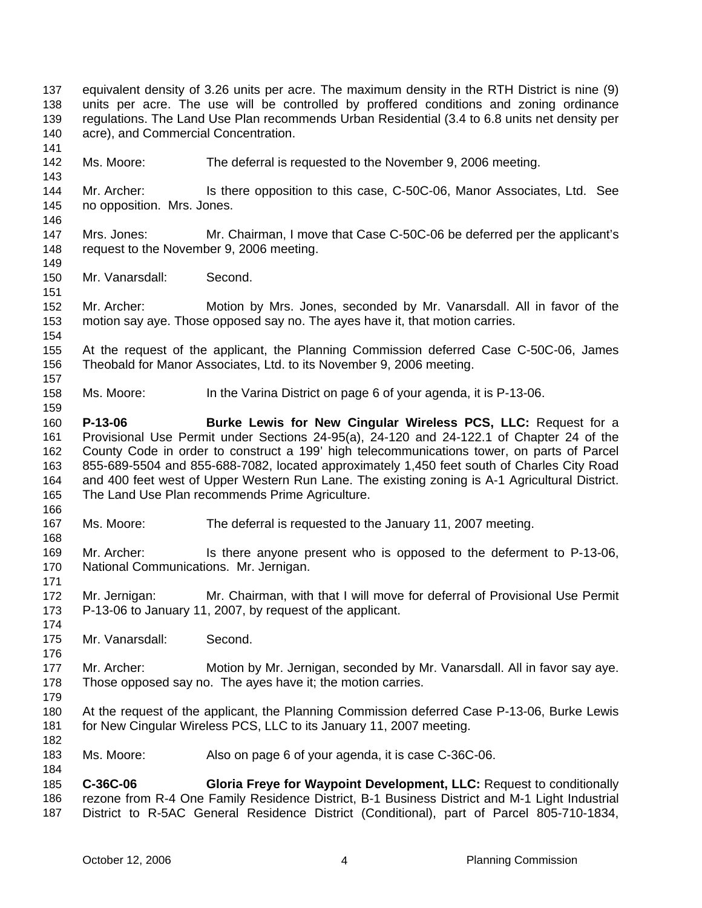141 142 143 144 145 146 147 148 149 150 151 152 153 154 155 156 157 158 159 160 161 162 163 164 165 166 167 168 169 170 171 172 173 174 175 176 177 178 179 180 181 182 183 184 185 Ms. Moore: The deferral is requested to the November 9, 2006 meeting. Mr. Archer: Is there opposition to this case, C-50C-06, Manor Associates, Ltd. See no opposition. Mrs. Jones. Mrs. Jones: Mr. Chairman, I move that Case C-50C-06 be deferred per the applicant's request to the November 9, 2006 meeting. Mr. Vanarsdall: Second. Mr. Archer: Motion by Mrs. Jones, seconded by Mr. Vanarsdall. All in favor of the motion say aye. Those opposed say no. The ayes have it, that motion carries. At the request of the applicant, the Planning Commission deferred Case C-50C-06, James Theobald for Manor Associates, Ltd. to its November 9, 2006 meeting. Ms. Moore: In the Varina District on page 6 of your agenda, it is P-13-06. **P-13-06 Burke Lewis for New Cingular Wireless PCS, LLC:** Request for a Provisional Use Permit under Sections 24-95(a), 24-120 and 24-122.1 of Chapter 24 of the County Code in order to construct a 199' high telecommunications tower, on parts of Parcel 855-689-5504 and 855-688-7082, located approximately 1,450 feet south of Charles City Road and 400 feet west of Upper Western Run Lane. The existing zoning is A-1 Agricultural District. The Land Use Plan recommends Prime Agriculture. Ms. Moore: The deferral is requested to the January 11, 2007 meeting. Mr. Archer: Is there anyone present who is opposed to the deferment to P-13-06, National Communications. Mr. Jernigan. Mr. Jernigan: Mr. Chairman, with that I will move for deferral of Provisional Use Permit P-13-06 to January 11, 2007, by request of the applicant. Mr. Vanarsdall: Second. Mr. Archer: Motion by Mr. Jernigan, seconded by Mr. Vanarsdall. All in favor say aye. Those opposed say no. The ayes have it; the motion carries. At the request of the applicant, the Planning Commission deferred Case P-13-06, Burke Lewis for New Cingular Wireless PCS, LLC to its January 11, 2007 meeting. Ms. Moore: Also on page 6 of your agenda, it is case C-36C-06. **C-36C-06 Gloria Freye for Waypoint Development, LLC:** Request to conditionally

equivalent density of 3.26 units per acre. The maximum density in the RTH District is nine (9) units per acre. The use will be controlled by proffered conditions and zoning ordinance regulations. The Land Use Plan recommends Urban Residential (3.4 to 6.8 units net density per

acre), and Commercial Concentration.

186 187 rezone from R-4 One Family Residence District, B-1 Business District and M-1 Light Industrial District to R-5AC General Residence District (Conditional), part of Parcel 805-710-1834,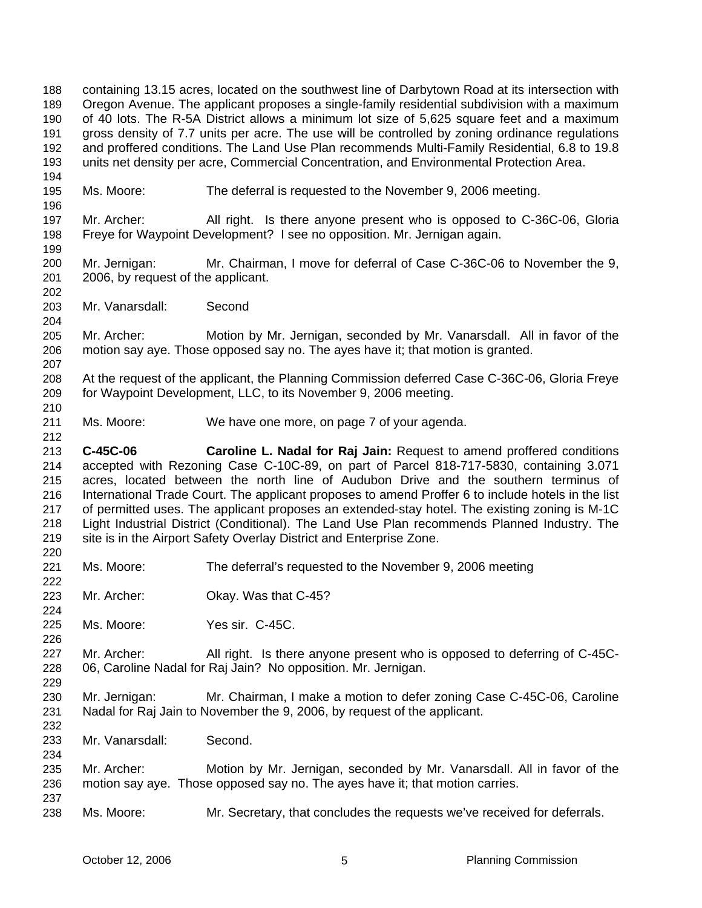containing 13.15 acres, located on the southwest line of Darbytown Road at its intersection with Oregon Avenue. The applicant proposes a single-family residential subdivision with a maximum of 40 lots. The R-5A District allows a minimum lot size of 5,625 square feet and a maximum gross density of 7.7 units per acre. The use will be controlled by zoning ordinance regulations and proffered conditions. The Land Use Plan recommends Multi-Family Residential, 6.8 to 19.8 units net density per acre, Commercial Concentration, and Environmental Protection Area. 188 189 190 191 192 193 194 195 196 197 198 199 200 201 202 203 204 205 206 207 208 209 210 211 212 213 214 215 216 217 218 219 220 221 222 223 224 225 226 227 228 229 230 231 232 233 234 235 236 237 238 Ms. Moore: The deferral is requested to the November 9, 2006 meeting. Mr. Archer: All right. Is there anyone present who is opposed to C-36C-06, Gloria Freye for Waypoint Development? I see no opposition. Mr. Jernigan again. Mr. Jernigan: Mr. Chairman, I move for deferral of Case C-36C-06 to November the 9, 2006, by request of the applicant. Mr. Vanarsdall: Second Mr. Archer: Motion by Mr. Jernigan, seconded by Mr. Vanarsdall. All in favor of the motion say aye. Those opposed say no. The ayes have it; that motion is granted. At the request of the applicant, the Planning Commission deferred Case C-36C-06, Gloria Freye for Waypoint Development, LLC, to its November 9, 2006 meeting. Ms. Moore: We have one more, on page 7 of your agenda. **C-45C-06 Caroline L. Nadal for Raj Jain:** Request to amend proffered conditions accepted with Rezoning Case C-10C-89, on part of Parcel 818-717-5830, containing 3.071 acres, located between the north line of Audubon Drive and the southern terminus of International Trade Court. The applicant proposes to amend Proffer 6 to include hotels in the list of permitted uses. The applicant proposes an extended-stay hotel. The existing zoning is M-1C Light Industrial District (Conditional). The Land Use Plan recommends Planned Industry. The site is in the Airport Safety Overlay District and Enterprise Zone. Ms. Moore: The deferral's requested to the November 9, 2006 meeting Mr. Archer: Okay. Was that C-45? Ms. Moore: Yes sir. C-45C. Mr. Archer: All right. Is there anyone present who is opposed to deferring of C-45C-06, Caroline Nadal for Raj Jain? No opposition. Mr. Jernigan. Mr. Jernigan: Mr. Chairman, I make a motion to defer zoning Case C-45C-06, Caroline Nadal for Raj Jain to November the 9, 2006, by request of the applicant. Mr. Vanarsdall: Second. Mr. Archer: Motion by Mr. Jernigan, seconded by Mr. Vanarsdall. All in favor of the motion say aye. Those opposed say no. The ayes have it; that motion carries. Ms. Moore: Mr. Secretary, that concludes the requests we've received for deferrals.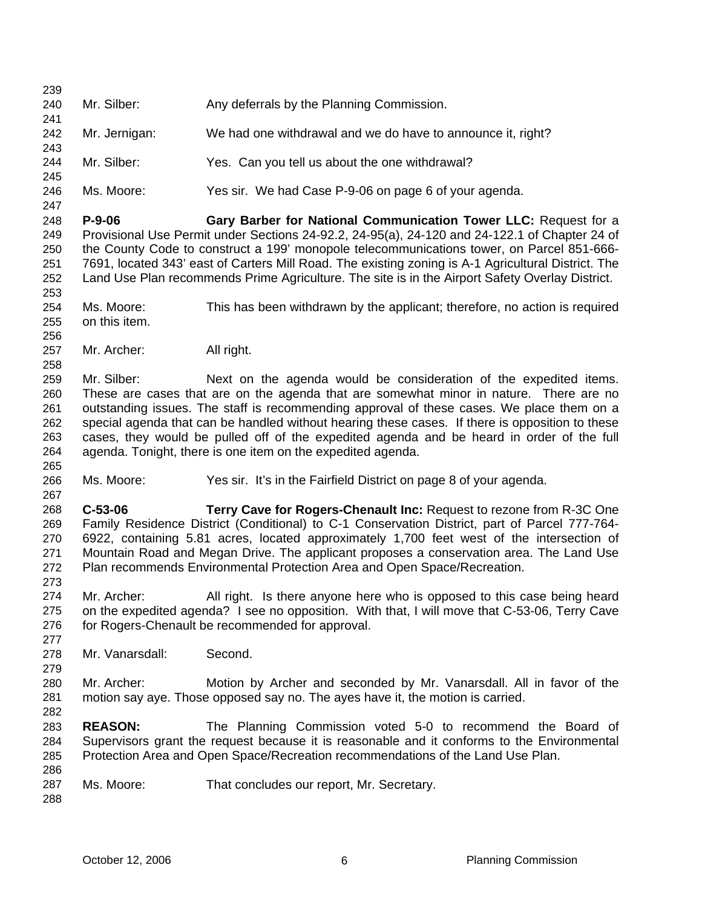239 240 241 242 243 244 245 246 247 248 249 250 251 252 253 254 255 256 257 258 259 260 261 262 263 264 265 266 267 268 269 270 271 272 273 274 275 276 277 278 279 280 281 282 283 284 285 286 287 288 Mr. Silber: Any deferrals by the Planning Commission. Mr. Jernigan: We had one withdrawal and we do have to announce it, right? Mr. Silber: Yes. Can you tell us about the one withdrawal? Ms. Moore: Yes sir. We had Case P-9-06 on page 6 of your agenda. **P-9-06 Gary Barber for National Communication Tower LLC:** Request for a Provisional Use Permit under Sections 24-92.2, 24-95(a), 24-120 and 24-122.1 of Chapter 24 of the County Code to construct a 199' monopole telecommunications tower, on Parcel 851-666- 7691, located 343' east of Carters Mill Road. The existing zoning is A-1 Agricultural District. The Land Use Plan recommends Prime Agriculture. The site is in the Airport Safety Overlay District. Ms. Moore: This has been withdrawn by the applicant; therefore, no action is required on this item. Mr. Archer: All right. Mr. Silber: Next on the agenda would be consideration of the expedited items. These are cases that are on the agenda that are somewhat minor in nature. There are no outstanding issues. The staff is recommending approval of these cases. We place them on a special agenda that can be handled without hearing these cases. If there is opposition to these cases, they would be pulled off of the expedited agenda and be heard in order of the full agenda. Tonight, there is one item on the expedited agenda. Ms. Moore: Yes sir. It's in the Fairfield District on page 8 of your agenda. **C-53-06 Terry Cave for Rogers-Chenault Inc:** Request to rezone from R-3C One Family Residence District (Conditional) to C-1 Conservation District, part of Parcel 777-764- 6922, containing 5.81 acres, located approximately 1,700 feet west of the intersection of Mountain Road and Megan Drive. The applicant proposes a conservation area. The Land Use Plan recommends Environmental Protection Area and Open Space/Recreation. Mr. Archer: All right. Is there anyone here who is opposed to this case being heard on the expedited agenda? I see no opposition. With that, I will move that C-53-06, Terry Cave for Rogers-Chenault be recommended for approval. Mr. Vanarsdall: Second. Mr. Archer: Motion by Archer and seconded by Mr. Vanarsdall. All in favor of the motion say aye. Those opposed say no. The ayes have it, the motion is carried. **REASON:** The Planning Commission voted 5-0 to recommend the Board of Supervisors grant the request because it is reasonable and it conforms to the Environmental Protection Area and Open Space/Recreation recommendations of the Land Use Plan. Ms. Moore: That concludes our report, Mr. Secretary.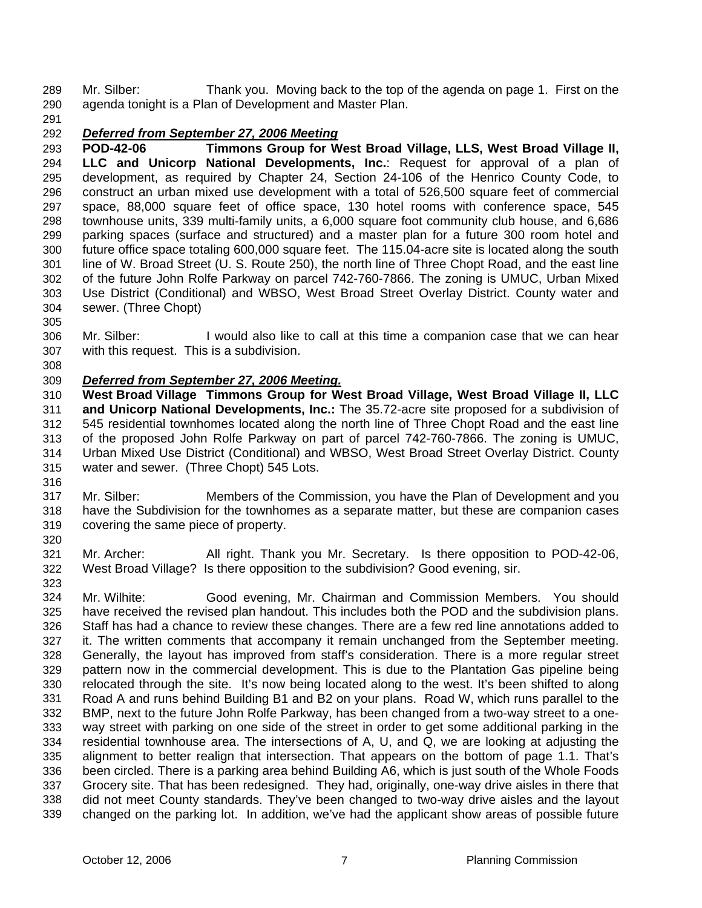Mr. Silber: Thank you. Moving back to the top of the agenda on page 1. First on the agenda tonight is a Plan of Development and Master Plan. 289 290

291

## 292 *Deferred from September 27, 2006 Meeting*

293 294 295 296 297 298 299 300 301 302 303 304 **POD-42-06 Timmons Group for West Broad Village, LLS, West Broad Village II, LLC and Unicorp National Developments, Inc.**: Request for approval of a plan of development, as required by Chapter 24, Section 24-106 of the Henrico County Code, to construct an urban mixed use development with a total of 526,500 square feet of commercial space, 88,000 square feet of office space, 130 hotel rooms with conference space, 545 townhouse units, 339 multi-family units, a 6,000 square foot community club house, and 6,686 parking spaces (surface and structured) and a master plan for a future 300 room hotel and future office space totaling 600,000 square feet. The 115.04-acre site is located along the south line of W. Broad Street (U. S. Route 250), the north line of Three Chopt Road, and the east line of the future John Rolfe Parkway on parcel 742-760-7866. The zoning is UMUC, Urban Mixed Use District (Conditional) and WBSO, West Broad Street Overlay District. County water and sewer. (Three Chopt)

305

306 307 Mr. Silber: I would also like to call at this time a companion case that we can hear with this request. This is a subdivision.

308

# 309 *Deferred from September 27, 2006 Meeting.*

310 311 312 313 314 315 **West Broad Village Timmons Group for West Broad Village, West Broad Village II, LLC and Unicorp National Developments, Inc.:** The 35.72-acre site proposed for a subdivision of 545 residential townhomes located along the north line of Three Chopt Road and the east line of the proposed John Rolfe Parkway on part of parcel 742-760-7866. The zoning is UMUC, Urban Mixed Use District (Conditional) and WBSO, West Broad Street Overlay District. County water and sewer. (Three Chopt) 545 Lots.

316

320

317 318 319 Mr. Silber: Members of the Commission, you have the Plan of Development and you have the Subdivision for the townhomes as a separate matter, but these are companion cases covering the same piece of property.

321 322 323 Mr. Archer: All right. Thank you Mr. Secretary. Is there opposition to POD-42-06, West Broad Village? Is there opposition to the subdivision? Good evening, sir.

324 325 326 327 328 329 330 331 332 333 334 335 336 337 338 339 Mr. Wilhite: Good evening, Mr. Chairman and Commission Members. You should have received the revised plan handout. This includes both the POD and the subdivision plans. Staff has had a chance to review these changes. There are a few red line annotations added to it. The written comments that accompany it remain unchanged from the September meeting. Generally, the layout has improved from staff's consideration. There is a more regular street pattern now in the commercial development. This is due to the Plantation Gas pipeline being relocated through the site. It's now being located along to the west. It's been shifted to along Road A and runs behind Building B1 and B2 on your plans. Road W, which runs parallel to the BMP, next to the future John Rolfe Parkway, has been changed from a two-way street to a oneway street with parking on one side of the street in order to get some additional parking in the residential townhouse area. The intersections of A, U, and Q, we are looking at adjusting the alignment to better realign that intersection. That appears on the bottom of page 1.1. That's been circled. There is a parking area behind Building A6, which is just south of the Whole Foods Grocery site. That has been redesigned. They had, originally, one-way drive aisles in there that did not meet County standards. They've been changed to two-way drive aisles and the layout changed on the parking lot. In addition, we've had the applicant show areas of possible future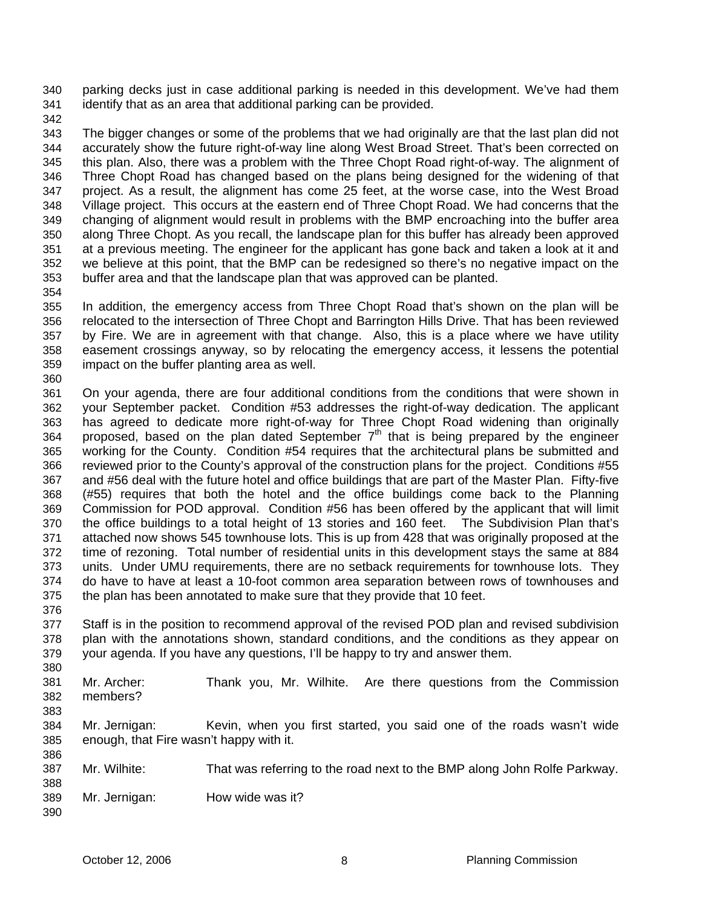parking decks just in case additional parking is needed in this development. We've had them identify that as an area that additional parking can be provided. 340 341

342

343 344 345 346 347 348 349 350 351 352 353 The bigger changes or some of the problems that we had originally are that the last plan did not accurately show the future right-of-way line along West Broad Street. That's been corrected on this plan. Also, there was a problem with the Three Chopt Road right-of-way. The alignment of Three Chopt Road has changed based on the plans being designed for the widening of that project. As a result, the alignment has come 25 feet, at the worse case, into the West Broad Village project. This occurs at the eastern end of Three Chopt Road. We had concerns that the changing of alignment would result in problems with the BMP encroaching into the buffer area along Three Chopt. As you recall, the landscape plan for this buffer has already been approved at a previous meeting. The engineer for the applicant has gone back and taken a look at it and we believe at this point, that the BMP can be redesigned so there's no negative impact on the buffer area and that the landscape plan that was approved can be planted.

354

355 356 357 358 359 In addition, the emergency access from Three Chopt Road that's shown on the plan will be relocated to the intersection of Three Chopt and Barrington Hills Drive. That has been reviewed by Fire. We are in agreement with that change. Also, this is a place where we have utility easement crossings anyway, so by relocating the emergency access, it lessens the potential impact on the buffer planting area as well.

360

361 362 363 364 365 366 367 368 369 370 371 372 373 374 375 376 On your agenda, there are four additional conditions from the conditions that were shown in your September packet. Condition #53 addresses the right-of-way dedication. The applicant has agreed to dedicate more right-of-way for Three Chopt Road widening than originally proposed, based on the plan dated September 7<sup>th</sup> that is being prepared by the engineer working for the County. Condition #54 requires that the architectural plans be submitted and reviewed prior to the County's approval of the construction plans for the project. Conditions #55 and #56 deal with the future hotel and office buildings that are part of the Master Plan. Fifty-five (#55) requires that both the hotel and the office buildings come back to the Planning Commission for POD approval. Condition #56 has been offered by the applicant that will limit the office buildings to a total height of 13 stories and 160 feet. The Subdivision Plan that's attached now shows 545 townhouse lots. This is up from 428 that was originally proposed at the time of rezoning. Total number of residential units in this development stays the same at 884 units. Under UMU requirements, there are no setback requirements for townhouse lots. They do have to have at least a 10-foot common area separation between rows of townhouses and the plan has been annotated to make sure that they provide that 10 feet.

377 378 379 Staff is in the position to recommend approval of the revised POD plan and revised subdivision plan with the annotations shown, standard conditions, and the conditions as they appear on your agenda. If you have any questions, I'll be happy to try and answer them.

380 381 382 383 Mr. Archer: Thank you, Mr. Wilhite. Are there questions from the Commission members?

384 385 386 Mr. Jernigan: Kevin, when you first started, you said one of the roads wasn't wide enough, that Fire wasn't happy with it.

387 Mr. Wilhite: That was referring to the road next to the BMP along John Rolfe Parkway.

389 Mr. Jernigan: How wide was it?

388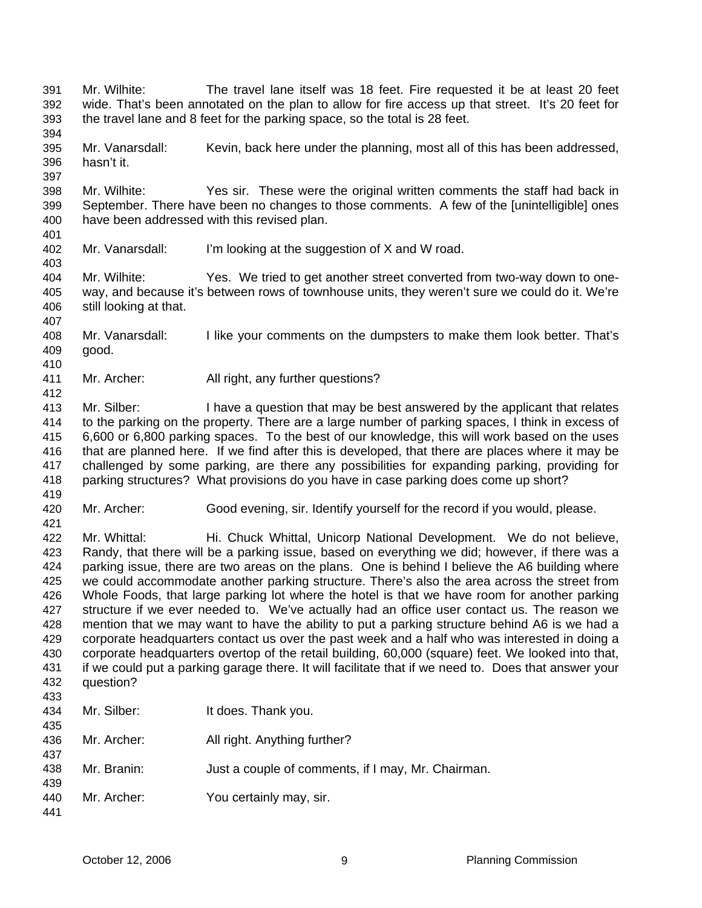- Mr. Wilhite: The travel lane itself was 18 feet. Fire requested it be at least 20 feet wide. That's been annotated on the plan to allow for fire access up that street. It's 20 feet for the travel lane and 8 feet for the parking space, so the total is 28 feet. 391 392 393 394
- 395 396 Mr. Vanarsdall: Kevin, back here under the planning, most all of this has been addressed, hasn't it.
- 398 399 400 Mr. Wilhite: Yes sir. These were the original written comments the staff had back in September. There have been no changes to those comments. A few of the [unintelligible] ones have been addressed with this revised plan.
- 401 402

403

407

410

412

419

- Mr. Vanarsdall: I'm looking at the suggestion of X and W road.
- 404 405 406 Mr. Wilhite: Yes. We tried to get another street converted from two-way down to oneway, and because it's between rows of townhouse units, they weren't sure we could do it. We're still looking at that.
- 408 409 Mr. Vanarsdall: I like your comments on the dumpsters to make them look better. That's good.
- 411 Mr. Archer: All right, any further questions?
- 413 414 415 416 417 418 Mr. Silber: I have a question that may be best answered by the applicant that relates to the parking on the property. There are a large number of parking spaces, I think in excess of 6,600 or 6,800 parking spaces. To the best of our knowledge, this will work based on the uses that are planned here. If we find after this is developed, that there are places where it may be challenged by some parking, are there any possibilities for expanding parking, providing for parking structures? What provisions do you have in case parking does come up short?
- 420 Mr. Archer: Good evening, sir. Identify yourself for the record if you would, please.
- 421 422 423 424 425 426 427 428 429 430 431 432 433 Mr. Whittal: Hi. Chuck Whittal, Unicorp National Development. We do not believe, Randy, that there will be a parking issue, based on everything we did; however, if there was a parking issue, there are two areas on the plans. One is behind I believe the A6 building where we could accommodate another parking structure. There's also the area across the street from Whole Foods, that large parking lot where the hotel is that we have room for another parking structure if we ever needed to. We've actually had an office user contact us. The reason we mention that we may want to have the ability to put a parking structure behind A6 is we had a corporate headquarters contact us over the past week and a half who was interested in doing a corporate headquarters overtop of the retail building, 60,000 (square) feet. We looked into that, if we could put a parking garage there. It will facilitate that if we need to. Does that answer your question?
- 434 435 436 437 438 439 440 441 Mr. Silber: It does. Thank you. Mr. Archer: All right. Anything further? Mr. Branin: Just a couple of comments, if I may, Mr. Chairman. Mr. Archer: You certainly may, sir.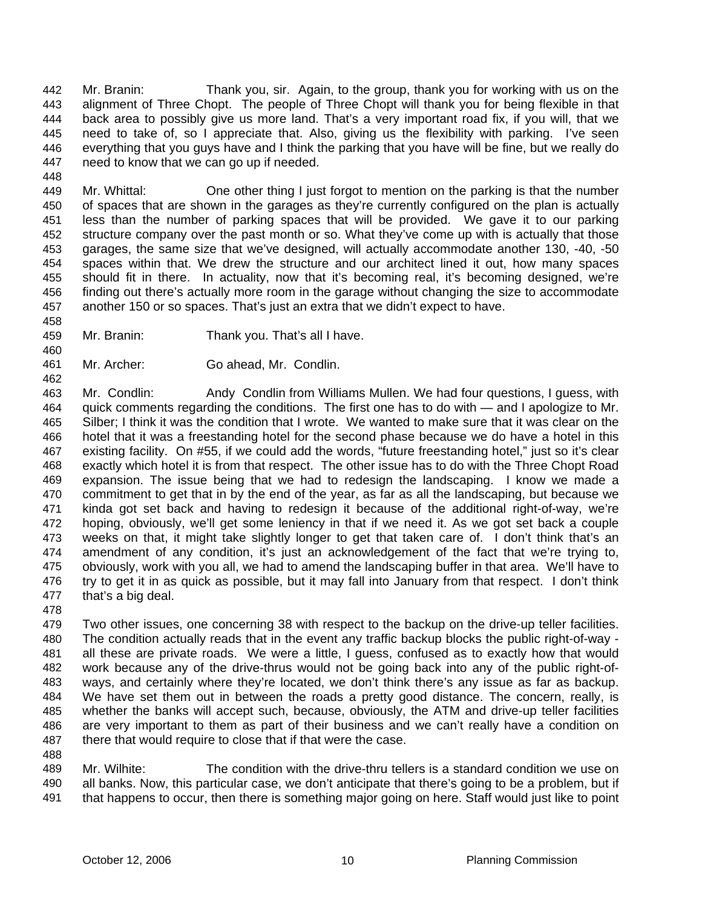Mr. Branin: Thank you, sir. Again, to the group, thank you for working with us on the alignment of Three Chopt. The people of Three Chopt will thank you for being flexible in that back area to possibly give us more land. That's a very important road fix, if you will, that we need to take of, so I appreciate that. Also, giving us the flexibility with parking. I've seen everything that you guys have and I think the parking that you have will be fine, but we really do need to know that we can go up if needed. 442 443 444 445 446 447 448

449 450 451 452 453 454 455 456 457 Mr. Whittal: One other thing I just forgot to mention on the parking is that the number of spaces that are shown in the garages as they're currently configured on the plan is actually less than the number of parking spaces that will be provided. We gave it to our parking structure company over the past month or so. What they've come up with is actually that those garages, the same size that we've designed, will actually accommodate another 130, -40, -50 spaces within that. We drew the structure and our architect lined it out, how many spaces should fit in there. In actuality, now that it's becoming real, it's becoming designed, we're finding out there's actually more room in the garage without changing the size to accommodate another 150 or so spaces. That's just an extra that we didn't expect to have.

- 459 Mr. Branin: Thank you. That's all I have.
- 461 Mr. Archer: Go ahead, Mr. Condlin.

463 464 465 466 467 468 469 470 471 472 473 474 475 476 477 Mr. Condlin: Andy Condlin from Williams Mullen. We had four questions, I guess, with quick comments regarding the conditions. The first one has to do with — and I apologize to Mr. Silber; I think it was the condition that I wrote. We wanted to make sure that it was clear on the hotel that it was a freestanding hotel for the second phase because we do have a hotel in this existing facility. On #55, if we could add the words, "future freestanding hotel," just so it's clear exactly which hotel it is from that respect. The other issue has to do with the Three Chopt Road expansion. The issue being that we had to redesign the landscaping. I know we made a commitment to get that in by the end of the year, as far as all the landscaping, but because we kinda got set back and having to redesign it because of the additional right-of-way, we're hoping, obviously, we'll get some leniency in that if we need it. As we got set back a couple weeks on that, it might take slightly longer to get that taken care of. I don't think that's an amendment of any condition, it's just an acknowledgement of the fact that we're trying to, obviously, work with you all, we had to amend the landscaping buffer in that area. We'll have to try to get it in as quick as possible, but it may fall into January from that respect. I don't think that's a big deal.

478

458

460

462

479 480 481 482 483 484 485 486 487 488 Two other issues, one concerning 38 with respect to the backup on the drive-up teller facilities. The condition actually reads that in the event any traffic backup blocks the public right-of-way all these are private roads. We were a little, I guess, confused as to exactly how that would work because any of the drive-thrus would not be going back into any of the public right-ofways, and certainly where they're located, we don't think there's any issue as far as backup. We have set them out in between the roads a pretty good distance. The concern, really, is whether the banks will accept such, because, obviously, the ATM and drive-up teller facilities are very important to them as part of their business and we can't really have a condition on there that would require to close that if that were the case.

489 490 491 Mr. Wilhite: The condition with the drive-thru tellers is a standard condition we use on all banks. Now, this particular case, we don't anticipate that there's going to be a problem, but if that happens to occur, then there is something major going on here. Staff would just like to point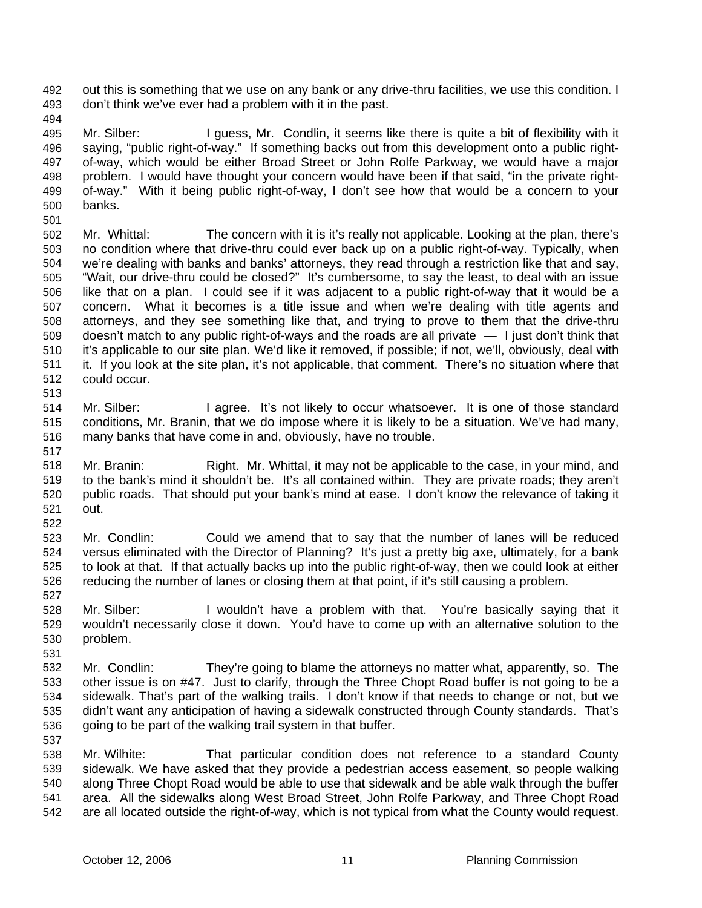out this is something that we use on any bank or any drive-thru facilities, we use this condition. I don't think we've ever had a problem with it in the past. 492 493

494

513

517

527

495 496 497 498 499 500 Mr. Silber: I guess, Mr. Condlin, it seems like there is quite a bit of flexibility with it saying, "public right-of-way." If something backs out from this development onto a public rightof-way, which would be either Broad Street or John Rolfe Parkway, we would have a major problem. I would have thought your concern would have been if that said, "in the private rightof-way." With it being public right-of-way, I don't see how that would be a concern to your banks.

- 501 502 503 504 505 506 507 508 509 510 511 512 Mr. Whittal: The concern with it is it's really not applicable. Looking at the plan, there's no condition where that drive-thru could ever back up on a public right-of-way. Typically, when we're dealing with banks and banks' attorneys, they read through a restriction like that and say, "Wait, our drive-thru could be closed?" It's cumbersome, to say the least, to deal with an issue like that on a plan. I could see if it was adjacent to a public right-of-way that it would be a concern. What it becomes is a title issue and when we're dealing with title agents and attorneys, and they see something like that, and trying to prove to them that the drive-thru doesn't match to any public right-of-ways and the roads are all private — I just don't think that it's applicable to our site plan. We'd like it removed, if possible; if not, we'll, obviously, deal with it. If you look at the site plan, it's not applicable, that comment. There's no situation where that could occur.
- 514 515 516 Mr. Silber: I agree. It's not likely to occur whatsoever. It is one of those standard conditions, Mr. Branin, that we do impose where it is likely to be a situation. We've had many, many banks that have come in and, obviously, have no trouble.
- 518 519 520 521 522 Mr. Branin: Right. Mr. Whittal, it may not be applicable to the case, in your mind, and to the bank's mind it shouldn't be. It's all contained within. They are private roads; they aren't public roads. That should put your bank's mind at ease. I don't know the relevance of taking it out.
- 523 524 525 526 Mr. Condlin: Could we amend that to say that the number of lanes will be reduced versus eliminated with the Director of Planning? It's just a pretty big axe, ultimately, for a bank to look at that. If that actually backs up into the public right-of-way, then we could look at either reducing the number of lanes or closing them at that point, if it's still causing a problem.
- 528 529 530 Mr. Silber: I wouldn't have a problem with that. You're basically saying that it wouldn't necessarily close it down. You'd have to come up with an alternative solution to the problem.
- 531 532 533 534 535 536 537 Mr. Condlin: They're going to blame the attorneys no matter what, apparently, so. The other issue is on #47. Just to clarify, through the Three Chopt Road buffer is not going to be a sidewalk. That's part of the walking trails. I don't know if that needs to change or not, but we didn't want any anticipation of having a sidewalk constructed through County standards. That's going to be part of the walking trail system in that buffer.

538 539 540 541 542 Mr. Wilhite: That particular condition does not reference to a standard County sidewalk. We have asked that they provide a pedestrian access easement, so people walking along Three Chopt Road would be able to use that sidewalk and be able walk through the buffer area. All the sidewalks along West Broad Street, John Rolfe Parkway, and Three Chopt Road are all located outside the right-of-way, which is not typical from what the County would request.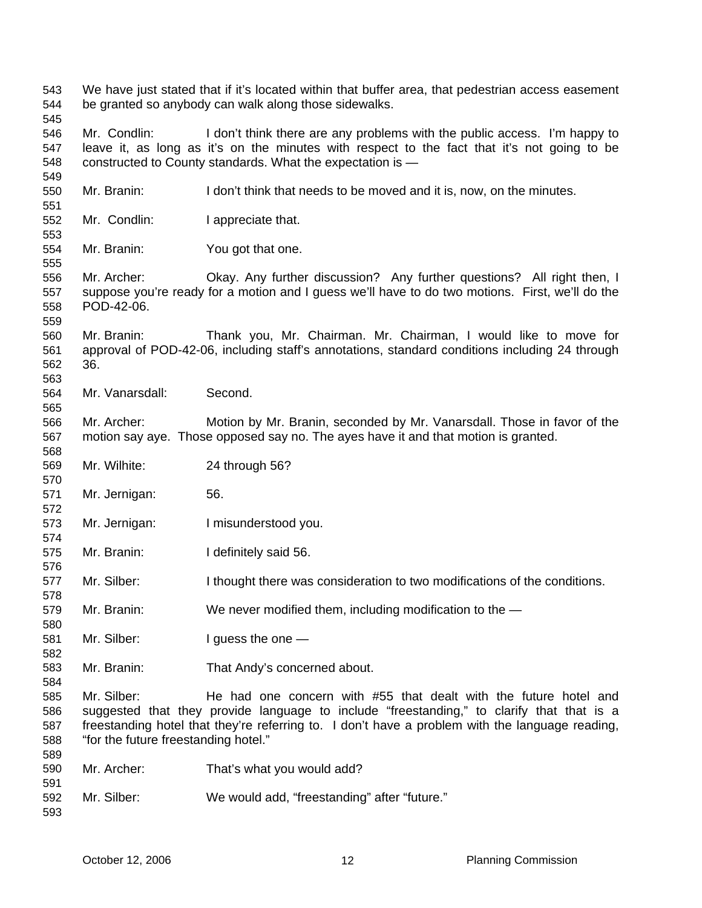We have just stated that if it's located within that buffer area, that pedestrian access easement be granted so anybody can walk along those sidewalks. Mr. Condlin: I don't think there are any problems with the public access. I'm happy to leave it, as long as it's on the minutes with respect to the fact that it's not going to be constructed to County standards. What the expectation is — Mr. Branin: I don't think that needs to be moved and it is, now, on the minutes. Mr. Condlin: I appreciate that. Mr. Branin: You got that one. Mr. Archer: Okay. Any further discussion? Any further questions? All right then, I suppose you're ready for a motion and I guess we'll have to do two motions. First, we'll do the POD-42-06. Mr. Branin: Thank you, Mr. Chairman. Mr. Chairman, I would like to move for approval of POD-42-06, including staff's annotations, standard conditions including 24 through 36. Mr. Vanarsdall: Second. Mr. Archer: Motion by Mr. Branin, seconded by Mr. Vanarsdall. Those in favor of the motion say aye. Those opposed say no. The ayes have it and that motion is granted. Mr. Wilhite: 24 through 56? Mr. Jernigan: 56. Mr. Jernigan: I misunderstood you. Mr. Branin: I definitely said 56. Mr. Silber: I thought there was consideration to two modifications of the conditions. Mr. Branin: We never modified them, including modification to the — Mr. Silber: I guess the one — Mr. Branin: That Andy's concerned about. Mr. Silber: He had one concern with #55 that dealt with the future hotel and suggested that they provide language to include "freestanding," to clarify that that is a freestanding hotel that they're referring to. I don't have a problem with the language reading, "for the future freestanding hotel." Mr. Archer: That's what you would add? Mr. Silber: We would add, "freestanding" after "future."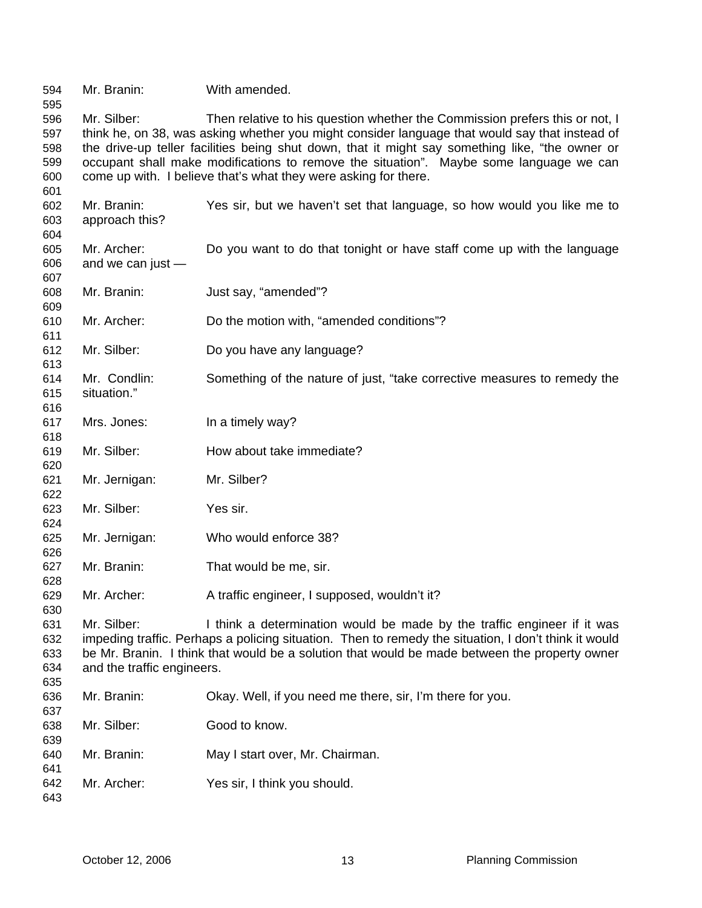| 594<br>595 | Mr. Branin:                                                                            | With amended.                                                                                        |  |
|------------|----------------------------------------------------------------------------------------|------------------------------------------------------------------------------------------------------|--|
| 596        | Mr. Silber:                                                                            | Then relative to his question whether the Commission prefers this or not, I                          |  |
| 597        |                                                                                        | think he, on 38, was asking whether you might consider language that would say that instead of       |  |
| 598        |                                                                                        | the drive-up teller facilities being shut down, that it might say something like, "the owner or      |  |
| 599        | occupant shall make modifications to remove the situation". Maybe some language we can |                                                                                                      |  |
| 600        | come up with. I believe that's what they were asking for there.                        |                                                                                                      |  |
| 601        |                                                                                        |                                                                                                      |  |
| 602        | Mr. Branin:                                                                            | Yes sir, but we haven't set that language, so how would you like me to                               |  |
| 603        | approach this?                                                                         |                                                                                                      |  |
|            |                                                                                        |                                                                                                      |  |
| 604        |                                                                                        |                                                                                                      |  |
| 605        | Mr. Archer:                                                                            | Do you want to do that tonight or have staff come up with the language                               |  |
| 606        | and we can just -                                                                      |                                                                                                      |  |
| 607        |                                                                                        |                                                                                                      |  |
| 608        | Mr. Branin:                                                                            | Just say, "amended"?                                                                                 |  |
| 609        |                                                                                        |                                                                                                      |  |
| 610        | Mr. Archer:                                                                            | Do the motion with, "amended conditions"?                                                            |  |
| 611        |                                                                                        |                                                                                                      |  |
| 612        | Mr. Silber:                                                                            | Do you have any language?                                                                            |  |
| 613        |                                                                                        |                                                                                                      |  |
| 614        | Mr. Condlin:                                                                           | Something of the nature of just, "take corrective measures to remedy the                             |  |
| 615        | situation."                                                                            |                                                                                                      |  |
| 616        |                                                                                        |                                                                                                      |  |
| 617        | Mrs. Jones:                                                                            | In a timely way?                                                                                     |  |
| 618        |                                                                                        |                                                                                                      |  |
| 619        | Mr. Silber:                                                                            | How about take immediate?                                                                            |  |
| 620        |                                                                                        |                                                                                                      |  |
| 621        | Mr. Jernigan:                                                                          | Mr. Silber?                                                                                          |  |
| 622        |                                                                                        |                                                                                                      |  |
| 623        | Mr. Silber:                                                                            | Yes sir.                                                                                             |  |
| 624        |                                                                                        |                                                                                                      |  |
| 625        | Mr. Jernigan:                                                                          | Who would enforce 38?                                                                                |  |
| 626        |                                                                                        |                                                                                                      |  |
| 627        | Mr. Branin:                                                                            | That would be me, sir.                                                                               |  |
| 628        |                                                                                        |                                                                                                      |  |
| 629        | Mr. Archer:                                                                            | A traffic engineer, I supposed, wouldn't it?                                                         |  |
| 630        |                                                                                        |                                                                                                      |  |
| 631        | Mr. Silber:                                                                            | I think a determination would be made by the traffic engineer if it was                              |  |
| 632        |                                                                                        | impeding traffic. Perhaps a policing situation. Then to remedy the situation, I don't think it would |  |
| 633        |                                                                                        | be Mr. Branin. I think that would be a solution that would be made between the property owner        |  |
| 634        | and the traffic engineers.                                                             |                                                                                                      |  |
| 635        |                                                                                        |                                                                                                      |  |
| 636        | Mr. Branin:                                                                            | Okay. Well, if you need me there, sir, I'm there for you.                                            |  |
| 637        |                                                                                        |                                                                                                      |  |
| 638        | Mr. Silber:                                                                            | Good to know.                                                                                        |  |
| 639        |                                                                                        |                                                                                                      |  |
| 640        | Mr. Branin:                                                                            | May I start over, Mr. Chairman.                                                                      |  |
| 641        |                                                                                        |                                                                                                      |  |
| 642        | Mr. Archer:                                                                            | Yes sir, I think you should.                                                                         |  |
| 643        |                                                                                        |                                                                                                      |  |
|            |                                                                                        |                                                                                                      |  |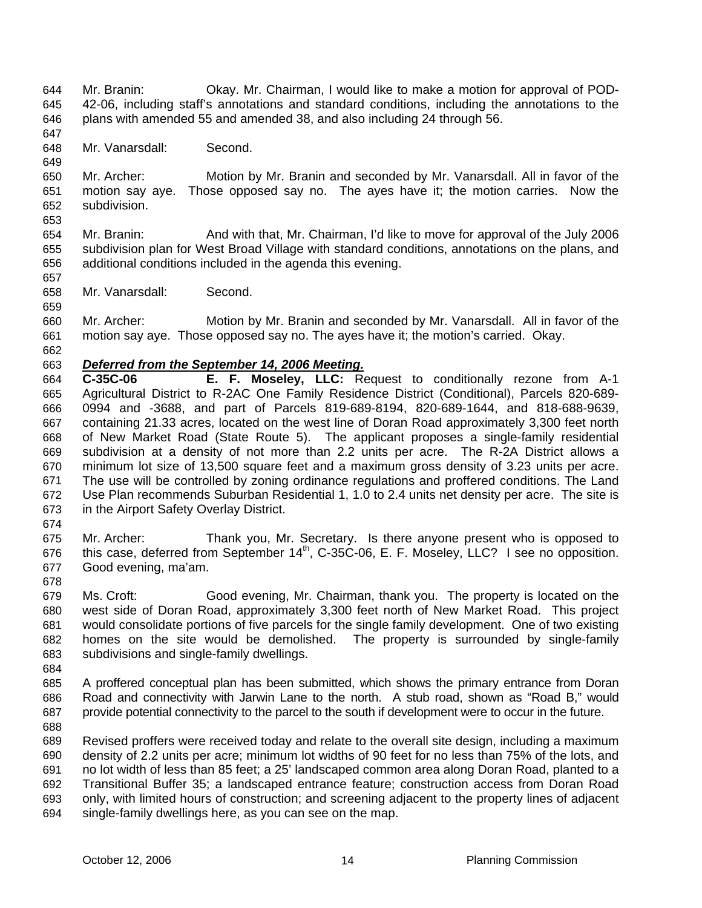- Mr. Branin: Okay. Mr. Chairman, I would like to make a motion for approval of POD-42-06, including staff's annotations and standard conditions, including the annotations to the plans with amended 55 and amended 38, and also including 24 through 56. 644 645 646
- 648 Mr. Vanarsdall: Second.

650 651 652 653 Mr. Archer: Motion by Mr. Branin and seconded by Mr. Vanarsdall. All in favor of the motion say aye. Those opposed say no. The ayes have it; the motion carries. Now the subdivision.

- 654 655 656 657 Mr. Branin: And with that, Mr. Chairman, I'd like to move for approval of the July 2006 subdivision plan for West Broad Village with standard conditions, annotations on the plans, and additional conditions included in the agenda this evening.
- 658 Mr. Vanarsdall: Second.
- 659 660 661 Mr. Archer: Motion by Mr. Branin and seconded by Mr. Vanarsdall. All in favor of the motion say aye. Those opposed say no. The ayes have it; the motion's carried. Okay.
- 662

647

649

### 663 *Deferred from the September 14, 2006 Meeting.*

- 664 665 666 667 668 669 670 671 672 673 **C-35C-06 E. F. Moseley, LLC:** Request to conditionally rezone from A-1 Agricultural District to R-2AC One Family Residence District (Conditional), Parcels 820-689- 0994 and -3688, and part of Parcels 819-689-8194, 820-689-1644, and 818-688-9639, containing 21.33 acres, located on the west line of Doran Road approximately 3,300 feet north of New Market Road (State Route 5). The applicant proposes a single-family residential subdivision at a density of not more than 2.2 units per acre. The R-2A District allows a minimum lot size of 13,500 square feet and a maximum gross density of 3.23 units per acre. The use will be controlled by zoning ordinance regulations and proffered conditions. The Land Use Plan recommends Suburban Residential 1, 1.0 to 2.4 units net density per acre. The site is in the Airport Safety Overlay District.
- 674
- 675 676 677 Mr. Archer: Thank you, Mr. Secretary. Is there anyone present who is opposed to this case, deferred from September  $14<sup>th</sup>$ , C-35C-06, E. F. Moseley, LLC? I see no opposition. Good evening, ma'am.
- 678
- 679 680 681 682 683 Ms. Croft: Good evening, Mr. Chairman, thank you. The property is located on the west side of Doran Road, approximately 3,300 feet north of New Market Road. This project would consolidate portions of five parcels for the single family development. One of two existing homes on the site would be demolished. The property is surrounded by single-family subdivisions and single-family dwellings.
- 684
- 685 686 687 688 A proffered conceptual plan has been submitted, which shows the primary entrance from Doran Road and connectivity with Jarwin Lane to the north. A stub road, shown as "Road B," would provide potential connectivity to the parcel to the south if development were to occur in the future.
- 689 690 691 692 693 694 Revised proffers were received today and relate to the overall site design, including a maximum density of 2.2 units per acre; minimum lot widths of 90 feet for no less than 75% of the lots, and no lot width of less than 85 feet; a 25' landscaped common area along Doran Road, planted to a Transitional Buffer 35; a landscaped entrance feature; construction access from Doran Road only, with limited hours of construction; and screening adjacent to the property lines of adjacent single-family dwellings here, as you can see on the map.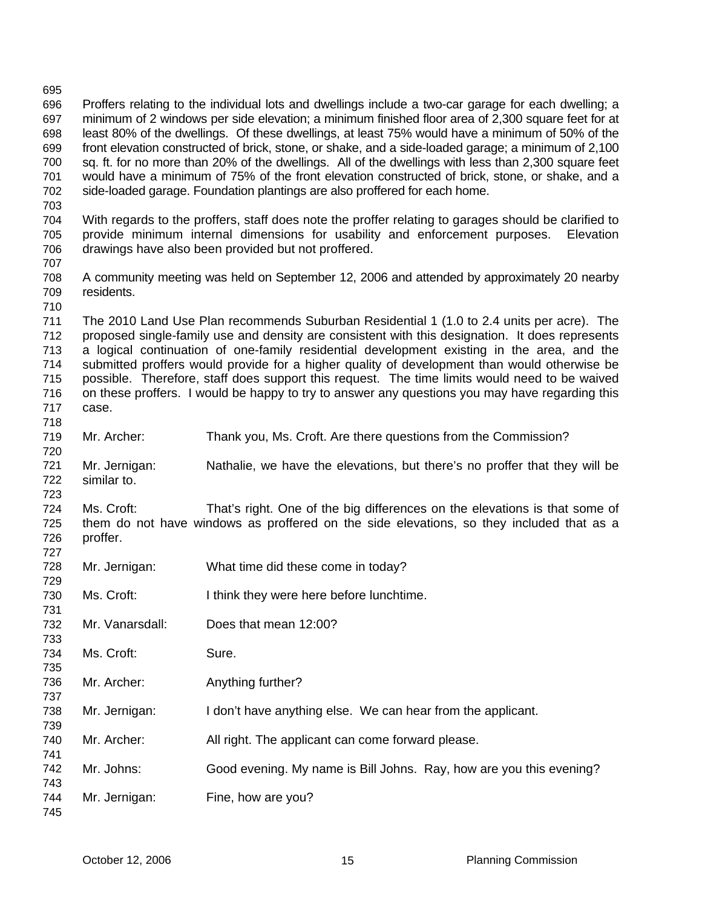| ししし        |                                                                                                 |                                                                                                                                                                                                            |  |  |
|------------|-------------------------------------------------------------------------------------------------|------------------------------------------------------------------------------------------------------------------------------------------------------------------------------------------------------------|--|--|
| 696<br>697 |                                                                                                 | Proffers relating to the individual lots and dwellings include a two-car garage for each dwelling; a<br>minimum of 2 windows per side elevation; a minimum finished floor area of 2,300 square feet for at |  |  |
| 698        | least 80% of the dwellings. Of these dwellings, at least 75% would have a minimum of 50% of the |                                                                                                                                                                                                            |  |  |
| 699        |                                                                                                 | front elevation constructed of brick, stone, or shake, and a side-loaded garage; a minimum of 2,100                                                                                                        |  |  |
| 700        |                                                                                                 | sq. ft. for no more than 20% of the dwellings. All of the dwellings with less than 2,300 square feet                                                                                                       |  |  |
| 701        | would have a minimum of 75% of the front elevation constructed of brick, stone, or shake, and a |                                                                                                                                                                                                            |  |  |
| 702<br>703 |                                                                                                 | side-loaded garage. Foundation plantings are also proffered for each home.                                                                                                                                 |  |  |
| 704        |                                                                                                 | With regards to the proffers, staff does note the proffer relating to garages should be clarified to                                                                                                       |  |  |
| 705        |                                                                                                 | provide minimum internal dimensions for usability and enforcement purposes.<br>Elevation                                                                                                                   |  |  |
| 706        |                                                                                                 | drawings have also been provided but not proffered.                                                                                                                                                        |  |  |
| 707        |                                                                                                 |                                                                                                                                                                                                            |  |  |
| 708        |                                                                                                 | A community meeting was held on September 12, 2006 and attended by approximately 20 nearby                                                                                                                 |  |  |
| 709        | residents.                                                                                      |                                                                                                                                                                                                            |  |  |
| 710        |                                                                                                 |                                                                                                                                                                                                            |  |  |
| 711        |                                                                                                 | The 2010 Land Use Plan recommends Suburban Residential 1 (1.0 to 2.4 units per acre). The                                                                                                                  |  |  |
| 712        |                                                                                                 | proposed single-family use and density are consistent with this designation. It does represents                                                                                                            |  |  |
| 713        |                                                                                                 | a logical continuation of one-family residential development existing in the area, and the                                                                                                                 |  |  |
| 714        |                                                                                                 | submitted proffers would provide for a higher quality of development than would otherwise be                                                                                                               |  |  |
| 715        | possible. Therefore, staff does support this request. The time limits would need to be waived   |                                                                                                                                                                                                            |  |  |
| 716        |                                                                                                 | on these proffers. I would be happy to try to answer any questions you may have regarding this                                                                                                             |  |  |
| 717        | case.                                                                                           |                                                                                                                                                                                                            |  |  |
| 718        |                                                                                                 |                                                                                                                                                                                                            |  |  |
| 719        | Mr. Archer:                                                                                     | Thank you, Ms. Croft. Are there questions from the Commission?                                                                                                                                             |  |  |
| 720<br>721 | Mr. Jernigan:                                                                                   | Nathalie, we have the elevations, but there's no proffer that they will be                                                                                                                                 |  |  |
| 722        | similar to.                                                                                     |                                                                                                                                                                                                            |  |  |
| 723        |                                                                                                 |                                                                                                                                                                                                            |  |  |
| 724        | Ms. Croft:                                                                                      | That's right. One of the big differences on the elevations is that some of                                                                                                                                 |  |  |
| 725        |                                                                                                 | them do not have windows as proffered on the side elevations, so they included that as a                                                                                                                   |  |  |
| 726        | proffer.                                                                                        |                                                                                                                                                                                                            |  |  |
| 727        |                                                                                                 |                                                                                                                                                                                                            |  |  |
| 728        | Mr. Jernigan:                                                                                   | What time did these come in today?                                                                                                                                                                         |  |  |
| 729        |                                                                                                 |                                                                                                                                                                                                            |  |  |
| 730        | Ms. Croft:                                                                                      | I think they were here before lunchtime.                                                                                                                                                                   |  |  |
| 731<br>732 | Mr. Vanarsdall:                                                                                 | Does that mean 12:00?                                                                                                                                                                                      |  |  |
| 733        |                                                                                                 |                                                                                                                                                                                                            |  |  |
| 734        | Ms. Croft:                                                                                      | Sure.                                                                                                                                                                                                      |  |  |
| 735        |                                                                                                 |                                                                                                                                                                                                            |  |  |
| 736        | Mr. Archer:                                                                                     | Anything further?                                                                                                                                                                                          |  |  |
| 737        |                                                                                                 |                                                                                                                                                                                                            |  |  |
| 738        | Mr. Jernigan:                                                                                   | I don't have anything else. We can hear from the applicant.                                                                                                                                                |  |  |
| 739        |                                                                                                 |                                                                                                                                                                                                            |  |  |
| 740        | Mr. Archer:                                                                                     | All right. The applicant can come forward please.                                                                                                                                                          |  |  |
| 741        |                                                                                                 |                                                                                                                                                                                                            |  |  |
| 742        | Mr. Johns:                                                                                      | Good evening. My name is Bill Johns. Ray, how are you this evening?                                                                                                                                        |  |  |
| 743        |                                                                                                 |                                                                                                                                                                                                            |  |  |
| 744        | Mr. Jernigan:                                                                                   | Fine, how are you?                                                                                                                                                                                         |  |  |
| 745        |                                                                                                 |                                                                                                                                                                                                            |  |  |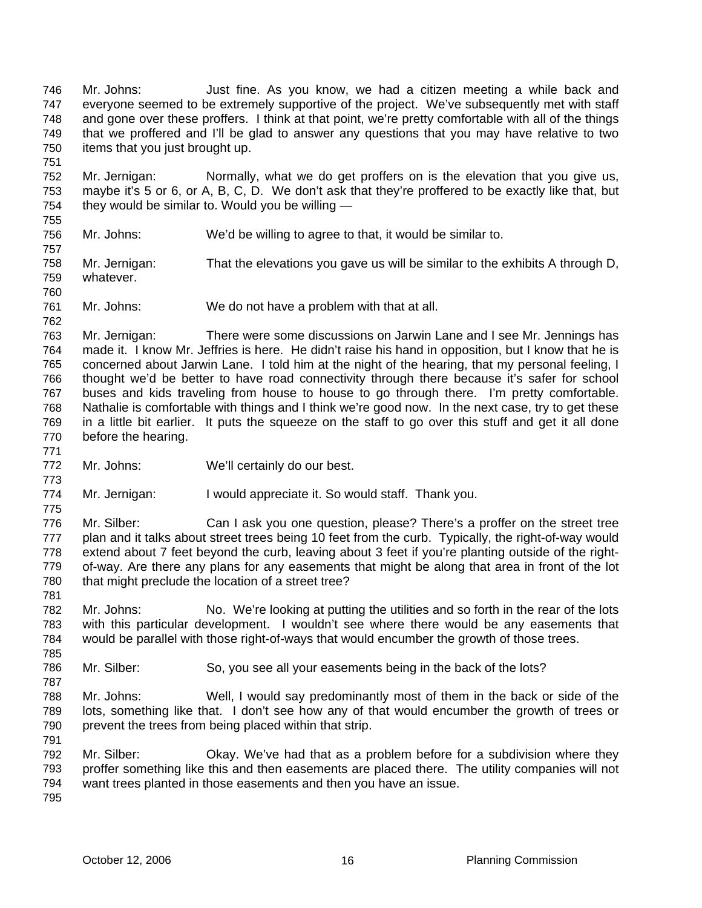Mr. Johns: Just fine. As you know, we had a citizen meeting a while back and everyone seemed to be extremely supportive of the project. We've subsequently met with staff and gone over these proffers. I think at that point, we're pretty comfortable with all of the things that we proffered and I'll be glad to answer any questions that you may have relative to two items that you just brought up. 746 747 748 749 750

752 753 754 Mr. Jernigan: Normally, what we do get proffers on is the elevation that you give us, maybe it's 5 or 6, or A, B, C, D. We don't ask that they're proffered to be exactly like that, but they would be similar to. Would you be willing —

755 756 757

760

762

771

773

775

781

785

787

791

751

Mr. Johns: We'd be willing to agree to that, it would be similar to.

758 759 Mr. Jernigan: That the elevations you gave us will be similar to the exhibits A through D, whatever.

761 Mr. Johns: We do not have a problem with that at all.

763 764 765 766 767 768 769 770 Mr. Jernigan: There were some discussions on Jarwin Lane and I see Mr. Jennings has made it. I know Mr. Jeffries is here. He didn't raise his hand in opposition, but I know that he is concerned about Jarwin Lane. I told him at the night of the hearing, that my personal feeling, I thought we'd be better to have road connectivity through there because it's safer for school buses and kids traveling from house to house to go through there. I'm pretty comfortable. Nathalie is comfortable with things and I think we're good now. In the next case, try to get these in a little bit earlier. It puts the squeeze on the staff to go over this stuff and get it all done before the hearing.

772 Mr. Johns: We'll certainly do our best.

774 Mr. Jernigan: I would appreciate it. So would staff. Thank you.

776 777 778 779 780 Mr. Silber: Can I ask you one question, please? There's a proffer on the street tree plan and it talks about street trees being 10 feet from the curb. Typically, the right-of-way would extend about 7 feet beyond the curb, leaving about 3 feet if you're planting outside of the rightof-way. Are there any plans for any easements that might be along that area in front of the lot that might preclude the location of a street tree?

- 782 783 784 Mr. Johns: No. We're looking at putting the utilities and so forth in the rear of the lots with this particular development. I wouldn't see where there would be any easements that would be parallel with those right-of-ways that would encumber the growth of those trees.
- 786 Mr. Silber: So, you see all your easements being in the back of the lots?
- 788 789 790 Mr. Johns: Well, I would say predominantly most of them in the back or side of the lots, something like that. I don't see how any of that would encumber the growth of trees or prevent the trees from being placed within that strip.
- 792 793 794 Mr. Silber: Okay. We've had that as a problem before for a subdivision where they proffer something like this and then easements are placed there. The utility companies will not want trees planted in those easements and then you have an issue.
- 795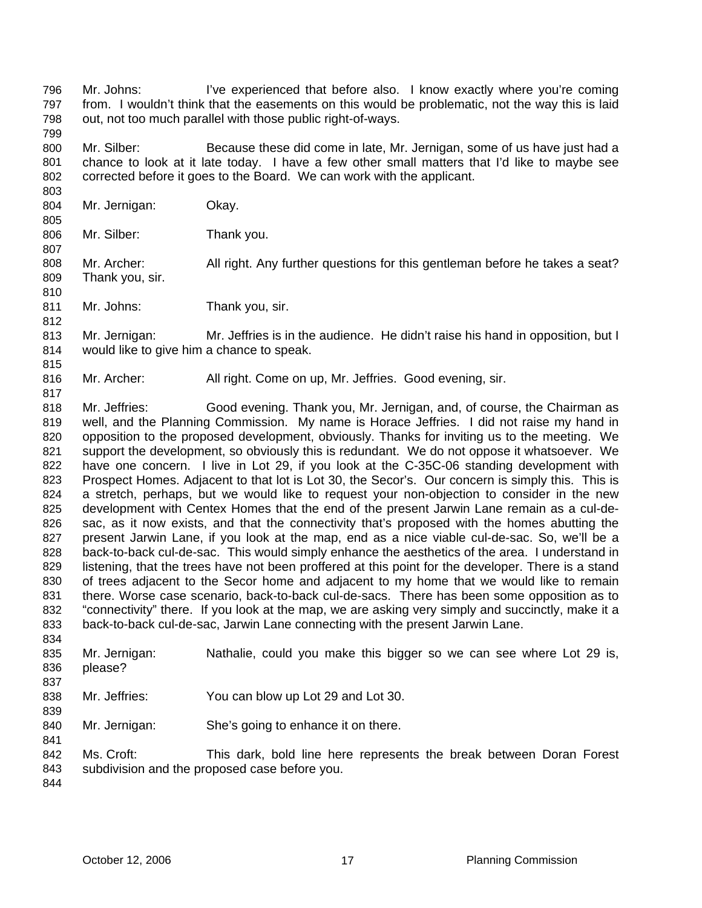Mr. Johns: I've experienced that before also. I know exactly where you're coming from. I wouldn't think that the easements on this would be problematic, not the way this is laid out, not too much parallel with those public right-of-ways. 796 797 798

800 801 802 Mr. Silber: Because these did come in late, Mr. Jernigan, some of us have just had a chance to look at it late today. I have a few other small matters that I'd like to maybe see corrected before it goes to the Board. We can work with the applicant.

804 Mr. Jernigan: Okay.

799

803

805

807

810

812

815

817

806 Mr. Silber: Thank you.

808 809 Mr. Archer: All right. Any further questions for this gentleman before he takes a seat? Thank you, sir.

811 Mr. Johns: Thank you, sir.

813 814 Mr. Jernigan: Mr. Jeffries is in the audience. He didn't raise his hand in opposition, but I would like to give him a chance to speak.

816 Mr. Archer: All right. Come on up, Mr. Jeffries. Good evening, sir.

818 819 820 821 822 823 824 825 826 827 828 829 830 831 832 833 Mr. Jeffries: Good evening. Thank you, Mr. Jernigan, and, of course, the Chairman as well, and the Planning Commission. My name is Horace Jeffries. I did not raise my hand in opposition to the proposed development, obviously. Thanks for inviting us to the meeting. We support the development, so obviously this is redundant. We do not oppose it whatsoever. We have one concern. I live in Lot 29, if you look at the C-35C-06 standing development with Prospect Homes. Adjacent to that lot is Lot 30, the Secor's. Our concern is simply this. This is a stretch, perhaps, but we would like to request your non-objection to consider in the new development with Centex Homes that the end of the present Jarwin Lane remain as a cul-desac, as it now exists, and that the connectivity that's proposed with the homes abutting the present Jarwin Lane, if you look at the map, end as a nice viable cul-de-sac. So, we'll be a back-to-back cul-de-sac. This would simply enhance the aesthetics of the area. I understand in listening, that the trees have not been proffered at this point for the developer. There is a stand of trees adjacent to the Secor home and adjacent to my home that we would like to remain there. Worse case scenario, back-to-back cul-de-sacs. There has been some opposition as to "connectivity" there. If you look at the map, we are asking very simply and succinctly, make it a back-to-back cul-de-sac, Jarwin Lane connecting with the present Jarwin Lane.

835 836 837 Mr. Jernigan: Nathalie, could you make this bigger so we can see where Lot 29 is, please?

838 Mr. Jeffries: You can blow up Lot 29 and Lot 30.

840 Mr. Jernigan: She's going to enhance it on there.

842 843 Ms. Croft: This dark, bold line here represents the break between Doran Forest subdivision and the proposed case before you.

844

834

839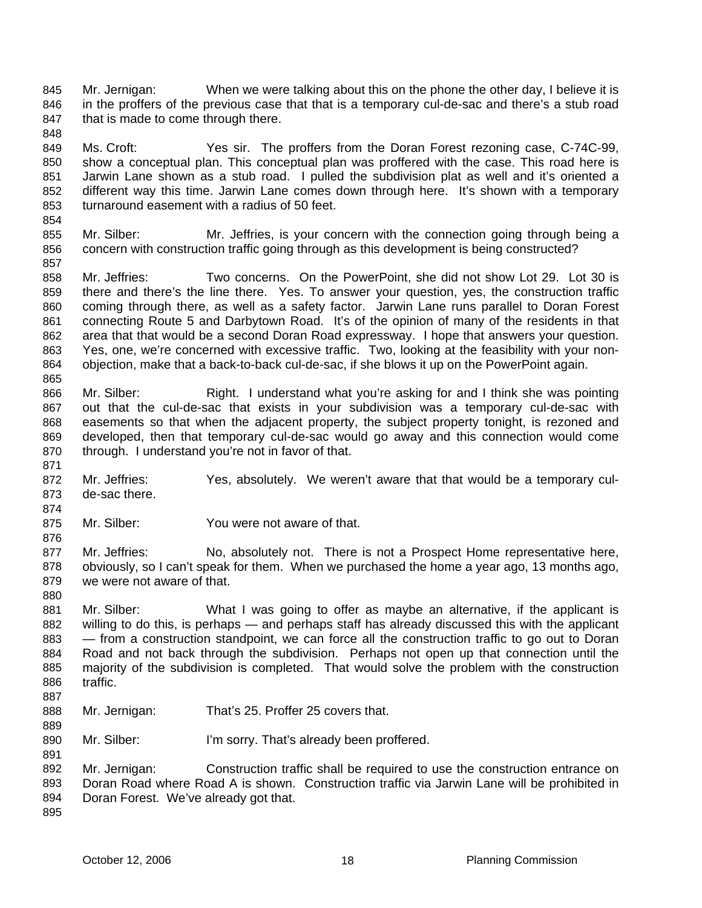Mr. Jernigan: When we were talking about this on the phone the other day, I believe it is in the proffers of the previous case that that is a temporary cul-de-sac and there's a stub road that is made to come through there. 845 846 847

849 850 851 852 853 Ms. Croft: Yes sir. The proffers from the Doran Forest rezoning case, C-74C-99, show a conceptual plan. This conceptual plan was proffered with the case. This road here is Jarwin Lane shown as a stub road. I pulled the subdivision plat as well and it's oriented a different way this time. Jarwin Lane comes down through here. It's shown with a temporary turnaround easement with a radius of 50 feet.

855 856 Mr. Silber: Mr. Jeffries, is your concern with the connection going through being a concern with construction traffic going through as this development is being constructed?

858 859 860 861 862 863 864 865 Mr. Jeffries: Two concerns. On the PowerPoint, she did not show Lot 29. Lot 30 is there and there's the line there. Yes. To answer your question, yes, the construction traffic coming through there, as well as a safety factor. Jarwin Lane runs parallel to Doran Forest connecting Route 5 and Darbytown Road. It's of the opinion of many of the residents in that area that that would be a second Doran Road expressway. I hope that answers your question. Yes, one, we're concerned with excessive traffic. Two, looking at the feasibility with your nonobjection, make that a back-to-back cul-de-sac, if she blows it up on the PowerPoint again.

- 866 867 868 869 870 Mr. Silber: Right. I understand what you're asking for and I think she was pointing out that the cul-de-sac that exists in your subdivision was a temporary cul-de-sac with easements so that when the adjacent property, the subject property tonight, is rezoned and developed, then that temporary cul-de-sac would go away and this connection would come through. I understand you're not in favor of that.
- 872 873 Mr. Jeffries: Yes, absolutely. We weren't aware that that would be a temporary culde-sac there.
- 875 Mr. Silber: You were not aware of that.
- 877 878 879 880 Mr. Jeffries: No, absolutely not. There is not a Prospect Home representative here, obviously, so I can't speak for them. When we purchased the home a year ago, 13 months ago, we were not aware of that.
- 881 882 883 884 885 886 Mr. Silber: What I was going to offer as maybe an alternative, if the applicant is willing to do this, is perhaps — and perhaps staff has already discussed this with the applicant — from a construction standpoint, we can force all the construction traffic to go out to Doran Road and not back through the subdivision. Perhaps not open up that connection until the majority of the subdivision is completed. That would solve the problem with the construction traffic.
- 888 Mr. Jernigan: That's 25. Proffer 25 covers that.
- 890 Mr. Silber: I'm sorry. That's already been proffered.

892 893 894 895 Mr. Jernigan: Construction traffic shall be required to use the construction entrance on Doran Road where Road A is shown. Construction traffic via Jarwin Lane will be prohibited in Doran Forest. We've already got that.

848

854

857

871

874

876

887

889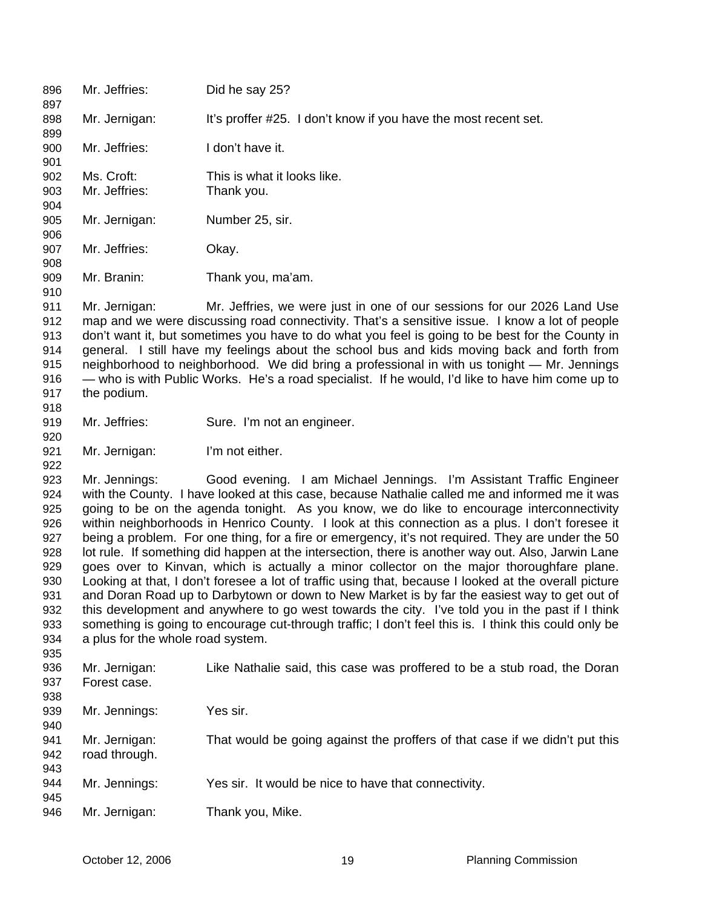| 896<br>897 | Mr. Jeffries:                                                                                      | Did he say 25?                                                                                        |
|------------|----------------------------------------------------------------------------------------------------|-------------------------------------------------------------------------------------------------------|
| 898<br>899 | Mr. Jernigan:                                                                                      | It's proffer #25. I don't know if you have the most recent set.                                       |
| 900<br>901 | Mr. Jeffries:                                                                                      | I don't have it.                                                                                      |
| 902        | Ms. Croft:                                                                                         | This is what it looks like.                                                                           |
| 903        | Mr. Jeffries:                                                                                      | Thank you.                                                                                            |
| 904        |                                                                                                    |                                                                                                       |
| 905        | Mr. Jernigan:                                                                                      | Number 25, sir.                                                                                       |
| 906        |                                                                                                    |                                                                                                       |
| 907        | Mr. Jeffries:                                                                                      | Okay.                                                                                                 |
| 908        |                                                                                                    |                                                                                                       |
| 909        | Mr. Branin:                                                                                        | Thank you, ma'am.                                                                                     |
| 910        |                                                                                                    |                                                                                                       |
| 911        | Mr. Jernigan:                                                                                      | Mr. Jeffries, we were just in one of our sessions for our 2026 Land Use                               |
| 912        |                                                                                                    | map and we were discussing road connectivity. That's a sensitive issue. I know a lot of people        |
| 913        |                                                                                                    | don't want it, but sometimes you have to do what you feel is going to be best for the County in       |
| 914        |                                                                                                    | general. I still have my feelings about the school bus and kids moving back and forth from            |
| 915        |                                                                                                    | neighborhood to neighborhood. We did bring a professional in with us tonight - Mr. Jennings           |
| 916        |                                                                                                    | — who is with Public Works. He's a road specialist. If he would, I'd like to have him come up to      |
| 917        | the podium.                                                                                        |                                                                                                       |
| 918        |                                                                                                    |                                                                                                       |
| 919        | Mr. Jeffries:                                                                                      | Sure. I'm not an engineer.                                                                            |
| 920        |                                                                                                    |                                                                                                       |
| 921        | Mr. Jernigan:                                                                                      | I'm not either.                                                                                       |
| 922        |                                                                                                    |                                                                                                       |
| 923        | Mr. Jennings:                                                                                      | Good evening. I am Michael Jennings. I'm Assistant Traffic Engineer                                   |
| 924        |                                                                                                    | with the County. I have looked at this case, because Nathalie called me and informed me it was        |
| 925        |                                                                                                    | going to be on the agenda tonight. As you know, we do like to encourage interconnectivity             |
| 926        |                                                                                                    | within neighborhoods in Henrico County. I look at this connection as a plus. I don't foresee it       |
| 927        |                                                                                                    | being a problem. For one thing, for a fire or emergency, it's not required. They are under the 50     |
| 928        | lot rule. If something did happen at the intersection, there is another way out. Also, Jarwin Lane |                                                                                                       |
| 929        |                                                                                                    | goes over to Kinvan, which is actually a minor collector on the major thoroughfare plane.             |
| 930        |                                                                                                    | Looking at that, I don't foresee a lot of traffic using that, because I looked at the overall picture |
| 931        |                                                                                                    | and Doran Road up to Darbytown or down to New Market is by far the easiest way to get out of          |
| 932        |                                                                                                    | this development and anywhere to go west towards the city. I've told you in the past if I think       |
| 933        |                                                                                                    | something is going to encourage cut-through traffic; I don't feel this is. I think this could only be |
| 934        | a plus for the whole road system.                                                                  |                                                                                                       |
| 935        |                                                                                                    |                                                                                                       |
| 936        | Mr. Jernigan:                                                                                      | Like Nathalie said, this case was proffered to be a stub road, the Doran                              |
| 937        | Forest case.                                                                                       |                                                                                                       |
| 938        |                                                                                                    |                                                                                                       |
| 939        | Mr. Jennings:                                                                                      | Yes sir.                                                                                              |
| 940        |                                                                                                    |                                                                                                       |
| 941        | Mr. Jernigan:                                                                                      | That would be going against the proffers of that case if we didn't put this                           |
| 942        | road through.                                                                                      |                                                                                                       |
| 943        |                                                                                                    |                                                                                                       |
| 944        | Mr. Jennings:                                                                                      | Yes sir. It would be nice to have that connectivity.                                                  |
| 945        |                                                                                                    |                                                                                                       |
| 946        | Mr. Jernigan:                                                                                      | Thank you, Mike.                                                                                      |
|            |                                                                                                    |                                                                                                       |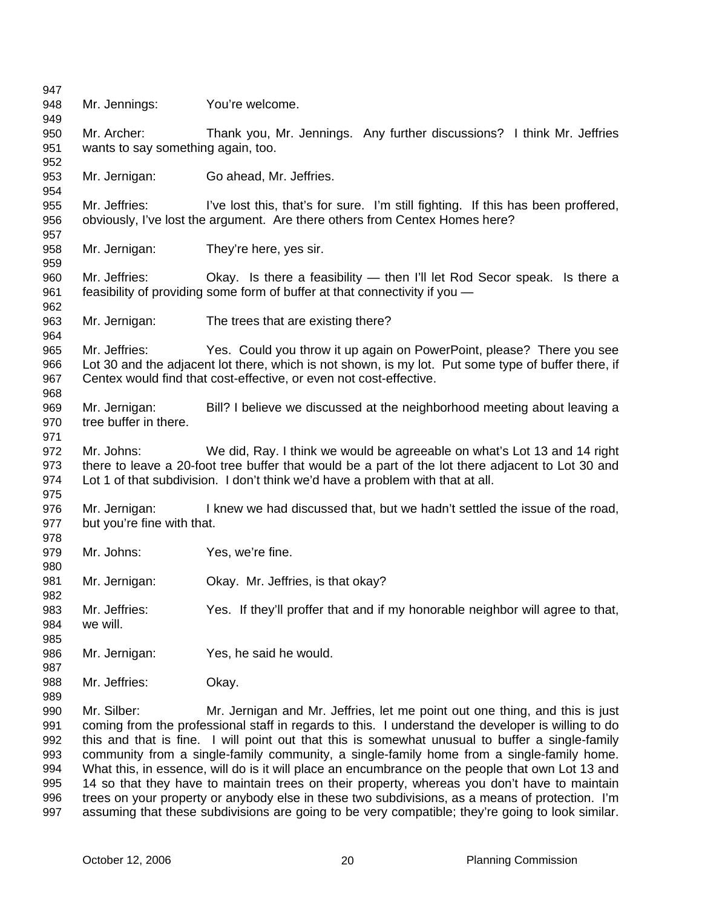| 947                                                  |                                             |                                                                                                                                                                                                                                                                                                                                                                                                                                                                                                                                                                                                                                                                                                                                                                                              |
|------------------------------------------------------|---------------------------------------------|----------------------------------------------------------------------------------------------------------------------------------------------------------------------------------------------------------------------------------------------------------------------------------------------------------------------------------------------------------------------------------------------------------------------------------------------------------------------------------------------------------------------------------------------------------------------------------------------------------------------------------------------------------------------------------------------------------------------------------------------------------------------------------------------|
| 948<br>949                                           | Mr. Jennings:                               | You're welcome.                                                                                                                                                                                                                                                                                                                                                                                                                                                                                                                                                                                                                                                                                                                                                                              |
| 950                                                  | Mr. Archer:                                 | Thank you, Mr. Jennings. Any further discussions? I think Mr. Jeffries                                                                                                                                                                                                                                                                                                                                                                                                                                                                                                                                                                                                                                                                                                                       |
| 951<br>952                                           | wants to say something again, too.          |                                                                                                                                                                                                                                                                                                                                                                                                                                                                                                                                                                                                                                                                                                                                                                                              |
| 953<br>954                                           | Mr. Jernigan:                               | Go ahead, Mr. Jeffries.                                                                                                                                                                                                                                                                                                                                                                                                                                                                                                                                                                                                                                                                                                                                                                      |
| 955<br>956                                           | Mr. Jeffries:                               | I've lost this, that's for sure. I'm still fighting. If this has been proffered,<br>obviously, I've lost the argument. Are there others from Centex Homes here?                                                                                                                                                                                                                                                                                                                                                                                                                                                                                                                                                                                                                              |
| 957                                                  |                                             |                                                                                                                                                                                                                                                                                                                                                                                                                                                                                                                                                                                                                                                                                                                                                                                              |
| 958<br>959                                           | Mr. Jernigan:                               | They're here, yes sir.                                                                                                                                                                                                                                                                                                                                                                                                                                                                                                                                                                                                                                                                                                                                                                       |
| 960<br>961<br>962                                    | Mr. Jeffries:                               | Okay. Is there a feasibility - then I'll let Rod Secor speak. Is there a<br>feasibility of providing some form of buffer at that connectivity if you -                                                                                                                                                                                                                                                                                                                                                                                                                                                                                                                                                                                                                                       |
| 963<br>964                                           | Mr. Jernigan:                               | The trees that are existing there?                                                                                                                                                                                                                                                                                                                                                                                                                                                                                                                                                                                                                                                                                                                                                           |
| 965<br>966<br>967                                    | Mr. Jeffries:                               | Yes. Could you throw it up again on PowerPoint, please? There you see<br>Lot 30 and the adjacent lot there, which is not shown, is my lot. Put some type of buffer there, if<br>Centex would find that cost-effective, or even not cost-effective.                                                                                                                                                                                                                                                                                                                                                                                                                                                                                                                                           |
| 968<br>969<br>970<br>971                             | Mr. Jernigan:<br>tree buffer in there.      | Bill? I believe we discussed at the neighborhood meeting about leaving a                                                                                                                                                                                                                                                                                                                                                                                                                                                                                                                                                                                                                                                                                                                     |
| 972<br>973<br>974<br>975                             | Mr. Johns:                                  | We did, Ray. I think we would be agreeable on what's Lot 13 and 14 right<br>there to leave a 20-foot tree buffer that would be a part of the lot there adjacent to Lot 30 and<br>Lot 1 of that subdivision. I don't think we'd have a problem with that at all.                                                                                                                                                                                                                                                                                                                                                                                                                                                                                                                              |
| 976<br>977<br>978                                    | Mr. Jernigan:<br>but you're fine with that. | I knew we had discussed that, but we hadn't settled the issue of the road,                                                                                                                                                                                                                                                                                                                                                                                                                                                                                                                                                                                                                                                                                                                   |
| 979<br>980                                           | Mr. Johns:                                  | Yes, we're fine.                                                                                                                                                                                                                                                                                                                                                                                                                                                                                                                                                                                                                                                                                                                                                                             |
| 981<br>982                                           | Mr. Jernigan:                               | Okay. Mr. Jeffries, is that okay?                                                                                                                                                                                                                                                                                                                                                                                                                                                                                                                                                                                                                                                                                                                                                            |
| 983<br>984<br>985                                    | Mr. Jeffries:<br>we will.                   | Yes. If they'll proffer that and if my honorable neighbor will agree to that,                                                                                                                                                                                                                                                                                                                                                                                                                                                                                                                                                                                                                                                                                                                |
| 986<br>987                                           | Mr. Jernigan:                               | Yes, he said he would.                                                                                                                                                                                                                                                                                                                                                                                                                                                                                                                                                                                                                                                                                                                                                                       |
| 988<br>989                                           | Mr. Jeffries:                               | Okay.                                                                                                                                                                                                                                                                                                                                                                                                                                                                                                                                                                                                                                                                                                                                                                                        |
| 990<br>991<br>992<br>993<br>994<br>995<br>996<br>997 | Mr. Silber:                                 | Mr. Jernigan and Mr. Jeffries, let me point out one thing, and this is just<br>coming from the professional staff in regards to this. I understand the developer is willing to do<br>this and that is fine. I will point out that this is somewhat unusual to buffer a single-family<br>community from a single-family community, a single-family home from a single-family home.<br>What this, in essence, will do is it will place an encumbrance on the people that own Lot 13 and<br>14 so that they have to maintain trees on their property, whereas you don't have to maintain<br>trees on your property or anybody else in these two subdivisions, as a means of protection. I'm<br>assuming that these subdivisions are going to be very compatible; they're going to look similar. |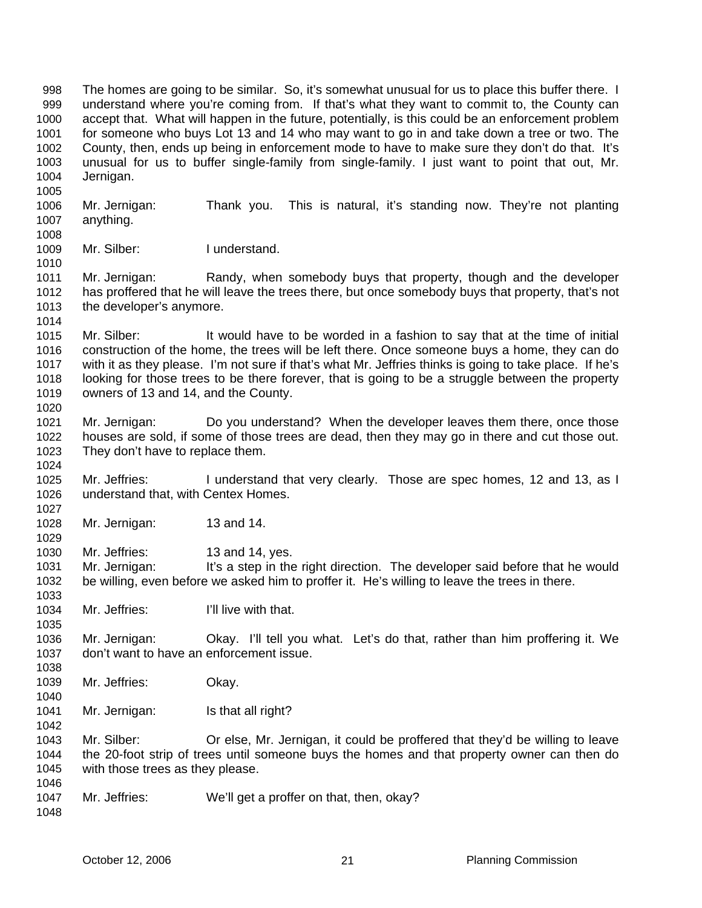The homes are going to be similar. So, it's somewhat unusual for us to place this buffer there. I understand where you're coming from. If that's what they want to commit to, the County can accept that. What will happen in the future, potentially, is this could be an enforcement problem for someone who buys Lot 13 and 14 who may want to go in and take down a tree or two. The County, then, ends up being in enforcement mode to have to make sure they don't do that. It's unusual for us to buffer single-family from single-family. I just want to point that out, Mr. Jernigan. 998 999 1000 1001 1002 1003 1004

1006 1007 1008 Mr. Jernigan: Thank you. This is natural, it's standing now. They're not planting anything.

1009 Mr. Silber: I understand.

1005

1010

1027

1035

1038

1040

1042

- 1011 1012 1013 1014 Mr. Jernigan: Randy, when somebody buys that property, though and the developer has proffered that he will leave the trees there, but once somebody buys that property, that's not the developer's anymore.
- 1015 1016 1017 1018 1019 1020 Mr. Silber: It would have to be worded in a fashion to say that at the time of initial construction of the home, the trees will be left there. Once someone buys a home, they can do with it as they please. I'm not sure if that's what Mr. Jeffries thinks is going to take place. If he's looking for those trees to be there forever, that is going to be a struggle between the property owners of 13 and 14, and the County.
- 1021 1022 1023 1024 Mr. Jernigan: Do you understand? When the developer leaves them there, once those houses are sold, if some of those trees are dead, then they may go in there and cut those out. They don't have to replace them.
- 1025 1026 Mr. Jeffries: I understand that very clearly. Those are spec homes, 12 and 13, as I understand that, with Centex Homes.
- 1028 1029 Mr. Jernigan: 13 and 14.
- 1030 Mr. Jeffries: 13 and 14, yes.
- 1031 1032 1033 Mr. Jernigan: It's a step in the right direction. The developer said before that he would be willing, even before we asked him to proffer it. He's willing to leave the trees in there.
- 1034 Mr. Jeffries: I'll live with that.
- 1036 1037 Mr. Jernigan: Okay. I'll tell you what. Let's do that, rather than him proffering it. We don't want to have an enforcement issue.
- 1039 Mr. Jeffries: Okay.
- 1041 Mr. Jernigan: Is that all right?
- 1043 1044 1045 1046 Mr. Silber: Or else, Mr. Jernigan, it could be proffered that they'd be willing to leave the 20-foot strip of trees until someone buys the homes and that property owner can then do with those trees as they please.
- 1047 Mr. Jeffries: We'll get a proffer on that, then, okay?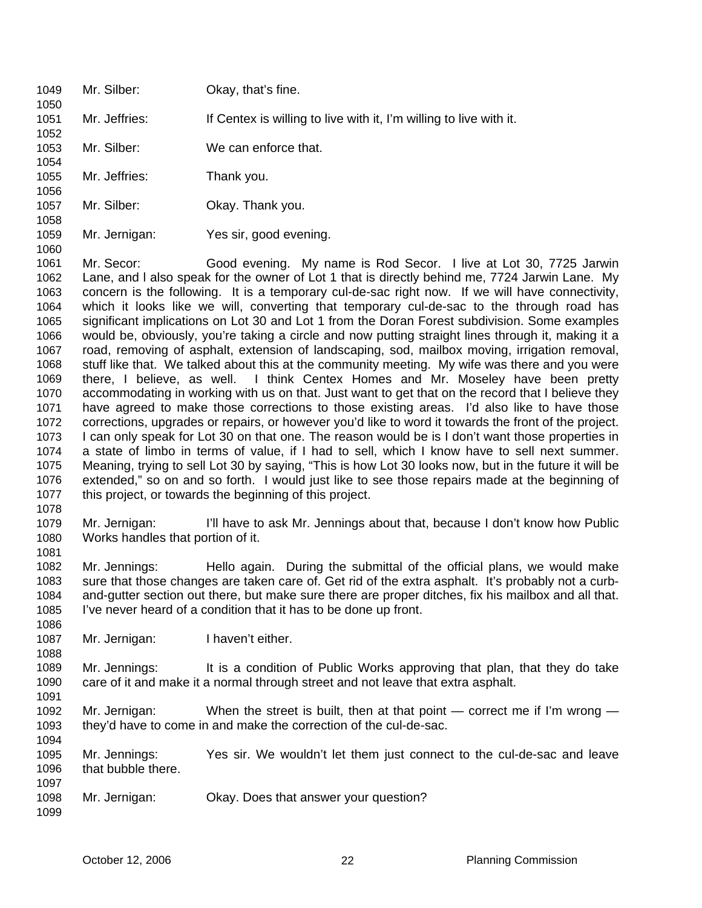| 1051<br>1052                                                                                                                                 | Mr. Jeffries:                                      | If Centex is willing to live with it, I'm willing to live with it.                                                                                                                                                                                                                                                                                                                                                                                                                                                                                                                                                                                                                                                                                                                                                                                                                                                                                                                                                                                                                                                                                                                                                                                                                                                                                                                                                                                                                                                                                                                                                                                     |
|----------------------------------------------------------------------------------------------------------------------------------------------|----------------------------------------------------|--------------------------------------------------------------------------------------------------------------------------------------------------------------------------------------------------------------------------------------------------------------------------------------------------------------------------------------------------------------------------------------------------------------------------------------------------------------------------------------------------------------------------------------------------------------------------------------------------------------------------------------------------------------------------------------------------------------------------------------------------------------------------------------------------------------------------------------------------------------------------------------------------------------------------------------------------------------------------------------------------------------------------------------------------------------------------------------------------------------------------------------------------------------------------------------------------------------------------------------------------------------------------------------------------------------------------------------------------------------------------------------------------------------------------------------------------------------------------------------------------------------------------------------------------------------------------------------------------------------------------------------------------------|
| 1053<br>1054                                                                                                                                 | Mr. Silber:                                        | We can enforce that.                                                                                                                                                                                                                                                                                                                                                                                                                                                                                                                                                                                                                                                                                                                                                                                                                                                                                                                                                                                                                                                                                                                                                                                                                                                                                                                                                                                                                                                                                                                                                                                                                                   |
| 1055<br>1056                                                                                                                                 | Mr. Jeffries:                                      | Thank you.                                                                                                                                                                                                                                                                                                                                                                                                                                                                                                                                                                                                                                                                                                                                                                                                                                                                                                                                                                                                                                                                                                                                                                                                                                                                                                                                                                                                                                                                                                                                                                                                                                             |
| 1057<br>1058                                                                                                                                 | Mr. Silber:                                        | Okay. Thank you.                                                                                                                                                                                                                                                                                                                                                                                                                                                                                                                                                                                                                                                                                                                                                                                                                                                                                                                                                                                                                                                                                                                                                                                                                                                                                                                                                                                                                                                                                                                                                                                                                                       |
| 1059<br>1060                                                                                                                                 | Mr. Jernigan:                                      | Yes sir, good evening.                                                                                                                                                                                                                                                                                                                                                                                                                                                                                                                                                                                                                                                                                                                                                                                                                                                                                                                                                                                                                                                                                                                                                                                                                                                                                                                                                                                                                                                                                                                                                                                                                                 |
| 1061<br>1062<br>1063<br>1064<br>1065<br>1066<br>1067<br>1068<br>1069<br>1070<br>1071<br>1072<br>1073<br>1074<br>1075<br>1076<br>1077<br>1078 | Mr. Secor:                                         | Good evening. My name is Rod Secor. I live at Lot 30, 7725 Jarwin<br>Lane, and I also speak for the owner of Lot 1 that is directly behind me, 7724 Jarwin Lane. My<br>concern is the following. It is a temporary cul-de-sac right now. If we will have connectivity,<br>which it looks like we will, converting that temporary cul-de-sac to the through road has<br>significant implications on Lot 30 and Lot 1 from the Doran Forest subdivision. Some examples<br>would be, obviously, you're taking a circle and now putting straight lines through it, making it a<br>road, removing of asphalt, extension of landscaping, sod, mailbox moving, irrigation removal,<br>stuff like that. We talked about this at the community meeting. My wife was there and you were<br>there, I believe, as well. I think Centex Homes and Mr. Moseley have been pretty<br>accommodating in working with us on that. Just want to get that on the record that I believe they<br>have agreed to make those corrections to those existing areas. I'd also like to have those<br>corrections, upgrades or repairs, or however you'd like to word it towards the front of the project.<br>I can only speak for Lot 30 on that one. The reason would be is I don't want those properties in<br>a state of limbo in terms of value, if I had to sell, which I know have to sell next summer.<br>Meaning, trying to sell Lot 30 by saying, "This is how Lot 30 looks now, but in the future it will be<br>extended," so on and so forth. I would just like to see those repairs made at the beginning of<br>this project, or towards the beginning of this project. |
| 1079<br>1080<br>1081                                                                                                                         | Mr. Jernigan:<br>Works handles that portion of it. | I'll have to ask Mr. Jennings about that, because I don't know how Public                                                                                                                                                                                                                                                                                                                                                                                                                                                                                                                                                                                                                                                                                                                                                                                                                                                                                                                                                                                                                                                                                                                                                                                                                                                                                                                                                                                                                                                                                                                                                                              |
| 1082<br>1083<br>1084<br>1085<br>1086                                                                                                         | Mr. Jennings:                                      | Hello again. During the submittal of the official plans, we would make<br>sure that those changes are taken care of. Get rid of the extra asphalt. It's probably not a curb-<br>and-gutter section out there, but make sure there are proper ditches, fix his mailbox and all that.<br>I've never heard of a condition that it has to be done up front.                                                                                                                                                                                                                                                                                                                                                                                                                                                                                                                                                                                                                                                                                                                                                                                                                                                                                                                                                                                                                                                                                                                                                                                                                                                                                                |
| 1087<br>1088                                                                                                                                 | Mr. Jernigan:                                      | I haven't either.                                                                                                                                                                                                                                                                                                                                                                                                                                                                                                                                                                                                                                                                                                                                                                                                                                                                                                                                                                                                                                                                                                                                                                                                                                                                                                                                                                                                                                                                                                                                                                                                                                      |
| 1089<br>1090<br>1091                                                                                                                         | Mr. Jennings:                                      | It is a condition of Public Works approving that plan, that they do take<br>care of it and make it a normal through street and not leave that extra asphalt.                                                                                                                                                                                                                                                                                                                                                                                                                                                                                                                                                                                                                                                                                                                                                                                                                                                                                                                                                                                                                                                                                                                                                                                                                                                                                                                                                                                                                                                                                           |
| 1092<br>1093                                                                                                                                 | Mr. Jernigan:                                      | When the street is built, then at that point - correct me if I'm wrong -<br>they'd have to come in and make the correction of the cul-de-sac.                                                                                                                                                                                                                                                                                                                                                                                                                                                                                                                                                                                                                                                                                                                                                                                                                                                                                                                                                                                                                                                                                                                                                                                                                                                                                                                                                                                                                                                                                                          |
| 1094<br>1095<br>1096                                                                                                                         | Mr. Jennings:<br>that bubble there.                | Yes sir. We wouldn't let them just connect to the cul-de-sac and leave                                                                                                                                                                                                                                                                                                                                                                                                                                                                                                                                                                                                                                                                                                                                                                                                                                                                                                                                                                                                                                                                                                                                                                                                                                                                                                                                                                                                                                                                                                                                                                                 |

1049 Mr. Silber: Okay, that's fine.

1050

1098 Mr. Jernigan: Okay. Does that answer your question?

1097

1099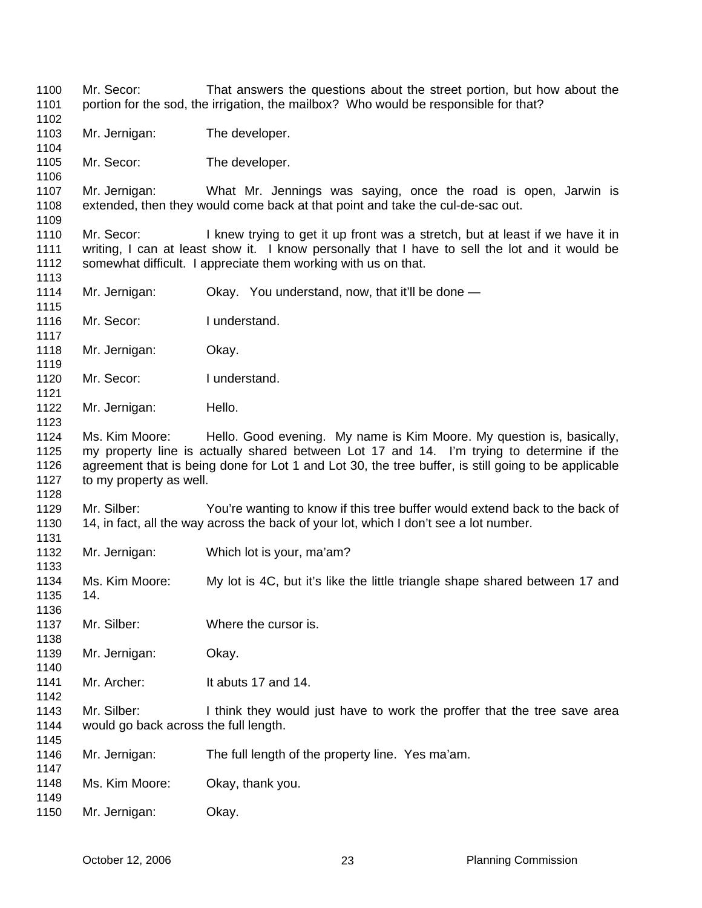Mr. Secor: That answers the questions about the street portion, but how about the portion for the sod, the irrigation, the mailbox? Who would be responsible for that? Mr. Jernigan: The developer. Mr. Secor: The developer. Mr. Jernigan: What Mr. Jennings was saying, once the road is open, Jarwin is extended, then they would come back at that point and take the cul-de-sac out. Mr. Secor: I knew trying to get it up front was a stretch, but at least if we have it in writing, I can at least show it. I know personally that I have to sell the lot and it would be somewhat difficult. I appreciate them working with us on that. Mr. Jernigan: Ckay. You understand, now, that it'll be done — Mr. Secor: I understand. Mr. Jernigan: Okay. Mr. Secor: I understand. Mr. Jernigan: Hello. Ms. Kim Moore: Hello. Good evening. My name is Kim Moore. My question is, basically, my property line is actually shared between Lot 17 and 14. I'm trying to determine if the agreement that is being done for Lot 1 and Lot 30, the tree buffer, is still going to be applicable to my property as well. Mr. Silber: You're wanting to know if this tree buffer would extend back to the back of 14, in fact, all the way across the back of your lot, which I don't see a lot number. Mr. Jernigan: Which lot is your, ma'am? Ms. Kim Moore: My lot is 4C, but it's like the little triangle shape shared between 17 and 14. Mr. Silber: Where the cursor is. Mr. Jernigan: Okay. Mr. Archer: It abuts 17 and 14. Mr. Silber: I think they would just have to work the proffer that the tree save area would go back across the full length. Mr. Jernigan: The full length of the property line. Yes ma'am. Ms. Kim Moore: Okay, thank you. Mr. Jernigan: Okay.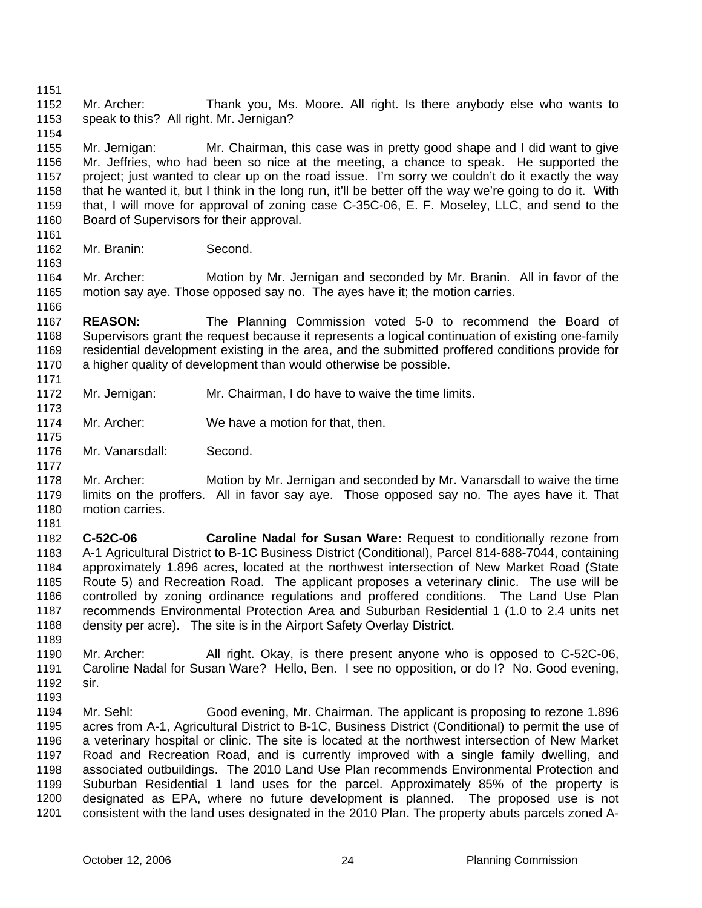1151

1154

1152 1153 Mr. Archer: Thank you, Ms. Moore. All right. Is there anybody else who wants to speak to this? All right. Mr. Jernigan?

1155 1156 1157 1158 1159 1160 Mr. Jernigan: Mr. Chairman, this case was in pretty good shape and I did want to give Mr. Jeffries, who had been so nice at the meeting, a chance to speak. He supported the project; just wanted to clear up on the road issue. I'm sorry we couldn't do it exactly the way that he wanted it, but I think in the long run, it'll be better off the way we're going to do it. With that, I will move for approval of zoning case C-35C-06, E. F. Moseley, LLC, and send to the Board of Supervisors for their approval.

1161 1162

1163

1166

1173

1175

1177

1189

Mr. Branin: Second.

1164 1165 Mr. Archer: Motion by Mr. Jernigan and seconded by Mr. Branin. All in favor of the motion say aye. Those opposed say no. The ayes have it; the motion carries.

1167 1168 1169 1170 1171 **REASON:** The Planning Commission voted 5-0 to recommend the Board of Supervisors grant the request because it represents a logical continuation of existing one-family residential development existing in the area, and the submitted proffered conditions provide for a higher quality of development than would otherwise be possible.

- 1172 Mr. Jernigan: Mr. Chairman, I do have to waive the time limits.
- 1174 Mr. Archer: We have a motion for that, then.
- 1176 Mr. Vanarsdall: Second.

1178 1179 1180 Mr. Archer: Motion by Mr. Jernigan and seconded by Mr. Vanarsdall to waive the time limits on the proffers. All in favor say aye. Those opposed say no. The ayes have it. That motion carries.

- 1181 1182 1183 1184 1185 1186 1187 1188 **C-52C-06 Caroline Nadal for Susan Ware:** Request to conditionally rezone from A-1 Agricultural District to B-1C Business District (Conditional), Parcel 814-688-7044, containing approximately 1.896 acres, located at the northwest intersection of New Market Road (State Route 5) and Recreation Road. The applicant proposes a veterinary clinic. The use will be controlled by zoning ordinance regulations and proffered conditions. The Land Use Plan recommends Environmental Protection Area and Suburban Residential 1 (1.0 to 2.4 units net density per acre). The site is in the Airport Safety Overlay District.
- 1190 1191 1192 1193 Mr. Archer: All right. Okay, is there present anyone who is opposed to C-52C-06, Caroline Nadal for Susan Ware? Hello, Ben. I see no opposition, or do I? No. Good evening, sir.
- 1194 1195 1196 1197 1198 1199 1200 1201 Mr. Sehl: Good evening, Mr. Chairman. The applicant is proposing to rezone 1.896 acres from A-1, Agricultural District to B-1C, Business District (Conditional) to permit the use of a veterinary hospital or clinic. The site is located at the northwest intersection of New Market Road and Recreation Road, and is currently improved with a single family dwelling, and associated outbuildings. The 2010 Land Use Plan recommends Environmental Protection and Suburban Residential 1 land uses for the parcel. Approximately 85% of the property is designated as EPA, where no future development is planned. The proposed use is not consistent with the land uses designated in the 2010 Plan. The property abuts parcels zoned A-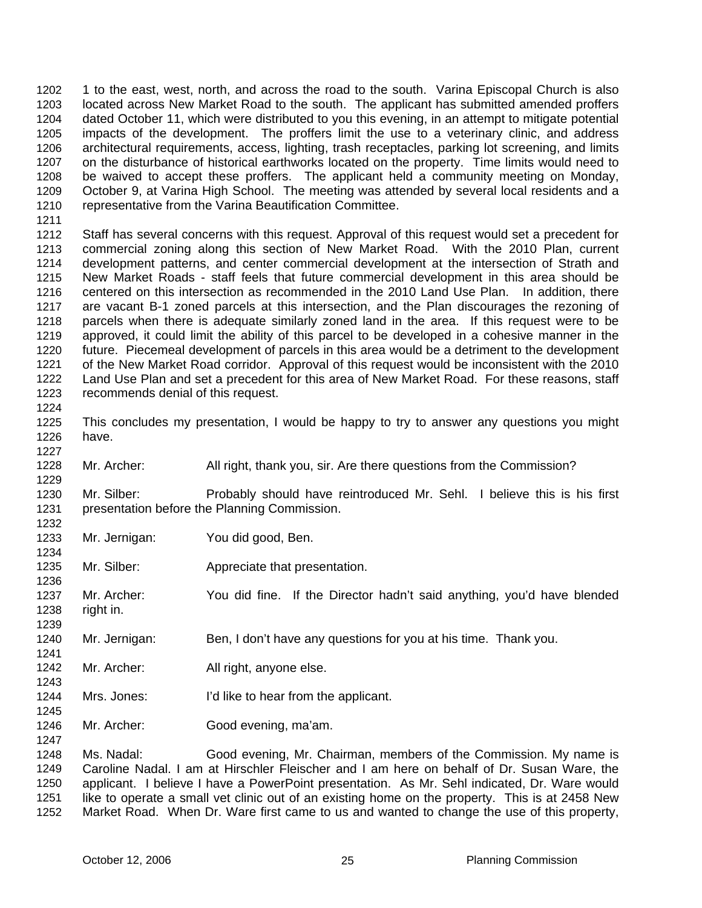1 to the east, west, north, and across the road to the south. Varina Episcopal Church is also located across New Market Road to the south. The applicant has submitted amended proffers dated October 11, which were distributed to you this evening, in an attempt to mitigate potential impacts of the development. The proffers limit the use to a veterinary clinic, and address architectural requirements, access, lighting, trash receptacles, parking lot screening, and limits on the disturbance of historical earthworks located on the property. Time limits would need to be waived to accept these proffers. The applicant held a community meeting on Monday, October 9, at Varina High School. The meeting was attended by several local residents and a representative from the Varina Beautification Committee. 1202 1203 1204 1205 1206 1207 1208 1209 1210

1211

1212 1213 1214 1215 1216 1217 1218 1219 1220 1221 1222 1223 Staff has several concerns with this request. Approval of this request would set a precedent for commercial zoning along this section of New Market Road. With the 2010 Plan, current development patterns, and center commercial development at the intersection of Strath and New Market Roads - staff feels that future commercial development in this area should be centered on this intersection as recommended in the 2010 Land Use Plan. In addition, there are vacant B-1 zoned parcels at this intersection, and the Plan discourages the rezoning of parcels when there is adequate similarly zoned land in the area. If this request were to be approved, it could limit the ability of this parcel to be developed in a cohesive manner in the future. Piecemeal development of parcels in this area would be a detriment to the development of the New Market Road corridor. Approval of this request would be inconsistent with the 2010 Land Use Plan and set a precedent for this area of New Market Road. For these reasons, staff recommends denial of this request.

1224

1229

1234

1236

1239

1241

1245

1247

1225 1226 1227 This concludes my presentation, I would be happy to try to answer any questions you might have.

1228 Mr. Archer: All right, thank you, sir. Are there questions from the Commission?

1230 1231 1232 Mr. Silber: Probably should have reintroduced Mr. Sehl. I believe this is his first presentation before the Planning Commission.

- 1233 Mr. Jernigan: You did good, Ben.
- 1235 Mr. Silber: Appreciate that presentation.

1237 1238 Mr. Archer: You did fine. If the Director hadn't said anything, you'd have blended right in.

- 1240 Mr. Jernigan: Ben, I don't have any questions for you at his time. Thank you.
- 1242 1243 Mr. Archer: All right, anyone else.
- 1244 Mrs. Jones: I'd like to hear from the applicant.
- 1246 Mr. Archer: Good evening, ma'am.

1248 1249 1250 1251 1252 Ms. Nadal: Good evening, Mr. Chairman, members of the Commission. My name is Caroline Nadal. I am at Hirschler Fleischer and I am here on behalf of Dr. Susan Ware, the applicant. I believe I have a PowerPoint presentation. As Mr. Sehl indicated, Dr. Ware would like to operate a small vet clinic out of an existing home on the property. This is at 2458 New Market Road. When Dr. Ware first came to us and wanted to change the use of this property,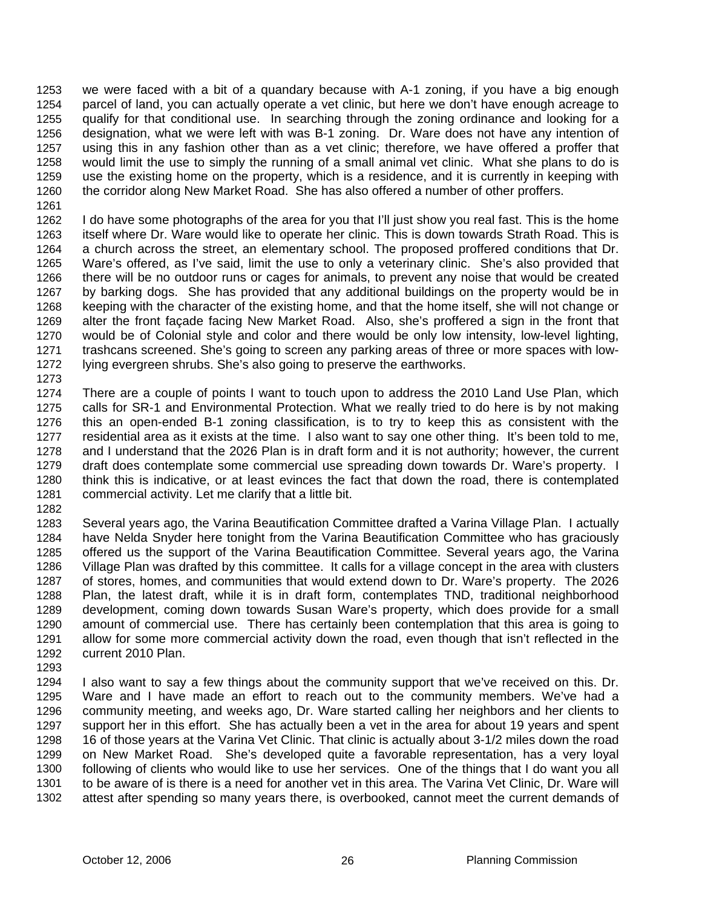we were faced with a bit of a quandary because with A-1 zoning, if you have a big enough parcel of land, you can actually operate a vet clinic, but here we don't have enough acreage to qualify for that conditional use. In searching through the zoning ordinance and looking for a designation, what we were left with was B-1 zoning. Dr. Ware does not have any intention of using this in any fashion other than as a vet clinic; therefore, we have offered a proffer that would limit the use to simply the running of a small animal vet clinic. What she plans to do is use the existing home on the property, which is a residence, and it is currently in keeping with the corridor along New Market Road. She has also offered a number of other proffers. 1253 1254 1255 1256 1257 1258 1259 1260 1261

1262 1263 1264 1265 1266 1267 1268 1269 1270 1271 1272 I do have some photographs of the area for you that I'll just show you real fast. This is the home itself where Dr. Ware would like to operate her clinic. This is down towards Strath Road. This is a church across the street, an elementary school. The proposed proffered conditions that Dr. Ware's offered, as I've said, limit the use to only a veterinary clinic. She's also provided that there will be no outdoor runs or cages for animals, to prevent any noise that would be created by barking dogs. She has provided that any additional buildings on the property would be in keeping with the character of the existing home, and that the home itself, she will not change or alter the front façade facing New Market Road. Also, she's proffered a sign in the front that would be of Colonial style and color and there would be only low intensity, low-level lighting, trashcans screened. She's going to screen any parking areas of three or more spaces with lowlying evergreen shrubs. She's also going to preserve the earthworks.

1273

1274 1275 1276 1277 1278 1279 1280 1281 There are a couple of points I want to touch upon to address the 2010 Land Use Plan, which calls for SR-1 and Environmental Protection. What we really tried to do here is by not making this an open-ended B-1 zoning classification, is to try to keep this as consistent with the residential area as it exists at the time. I also want to say one other thing. It's been told to me, and I understand that the 2026 Plan is in draft form and it is not authority; however, the current draft does contemplate some commercial use spreading down towards Dr. Ware's property. I think this is indicative, or at least evinces the fact that down the road, there is contemplated commercial activity. Let me clarify that a little bit.

1282

1283 1284 1285 1286 1287 1288 1289 1290 1291 1292 Several years ago, the Varina Beautification Committee drafted a Varina Village Plan. I actually have Nelda Snyder here tonight from the Varina Beautification Committee who has graciously offered us the support of the Varina Beautification Committee. Several years ago, the Varina Village Plan was drafted by this committee. It calls for a village concept in the area with clusters of stores, homes, and communities that would extend down to Dr. Ware's property. The 2026 Plan, the latest draft, while it is in draft form, contemplates TND, traditional neighborhood development, coming down towards Susan Ware's property, which does provide for a small amount of commercial use. There has certainly been contemplation that this area is going to allow for some more commercial activity down the road, even though that isn't reflected in the current 2010 Plan.

1293

1294 1295 1296 1297 1298 1299 1300 1301 1302 I also want to say a few things about the community support that we've received on this. Dr. Ware and I have made an effort to reach out to the community members. We've had a community meeting, and weeks ago, Dr. Ware started calling her neighbors and her clients to support her in this effort. She has actually been a vet in the area for about 19 years and spent 16 of those years at the Varina Vet Clinic. That clinic is actually about 3-1/2 miles down the road on New Market Road. She's developed quite a favorable representation, has a very loyal following of clients who would like to use her services. One of the things that I do want you all to be aware of is there is a need for another vet in this area. The Varina Vet Clinic, Dr. Ware will attest after spending so many years there, is overbooked, cannot meet the current demands of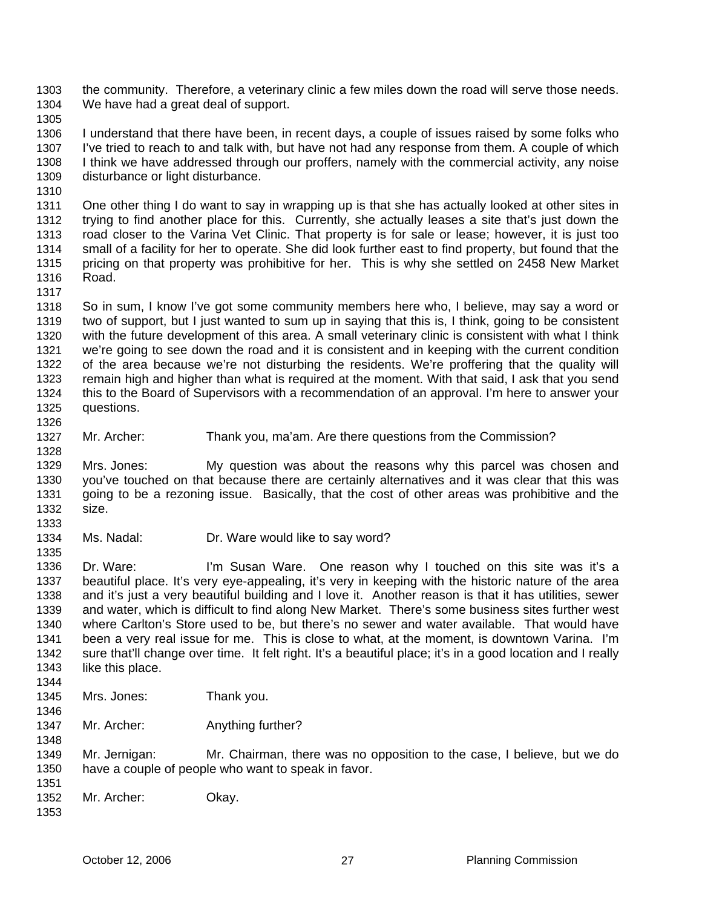the community. Therefore, a veterinary clinic a few miles down the road will serve those needs. We have had a great deal of support. 1303 1304

1305

1306 1307 1308 1309 I understand that there have been, in recent days, a couple of issues raised by some folks who I've tried to reach to and talk with, but have not had any response from them. A couple of which I think we have addressed through our proffers, namely with the commercial activity, any noise disturbance or light disturbance.

1310

1311 1312 1313 1314 1315 1316 One other thing I do want to say in wrapping up is that she has actually looked at other sites in trying to find another place for this. Currently, she actually leases a site that's just down the road closer to the Varina Vet Clinic. That property is for sale or lease; however, it is just too small of a facility for her to operate. She did look further east to find property, but found that the pricing on that property was prohibitive for her. This is why she settled on 2458 New Market Road.

1317

1318 1319 1320 1321 1322 1323 1324 1325 1326 So in sum, I know I've got some community members here who, I believe, may say a word or two of support, but I just wanted to sum up in saying that this is, I think, going to be consistent with the future development of this area. A small veterinary clinic is consistent with what I think we're going to see down the road and it is consistent and in keeping with the current condition of the area because we're not disturbing the residents. We're proffering that the quality will remain high and higher than what is required at the moment. With that said, I ask that you send this to the Board of Supervisors with a recommendation of an approval. I'm here to answer your questions.

1327 1328 Mr. Archer: Thank you, ma'am. Are there questions from the Commission?

1329 1330 1331 1332 1333 Mrs. Jones: My question was about the reasons why this parcel was chosen and you've touched on that because there are certainly alternatives and it was clear that this was going to be a rezoning issue. Basically, that the cost of other areas was prohibitive and the size.

1334 Ms. Nadal: Dr. Ware would like to say word?

1336 1337 1338 1339 1340 1341 1342 1343 1344 Dr. Ware: I'm Susan Ware. One reason why I touched on this site was it's a beautiful place. It's very eye-appealing, it's very in keeping with the historic nature of the area and it's just a very beautiful building and I love it. Another reason is that it has utilities, sewer and water, which is difficult to find along New Market. There's some business sites further west where Carlton's Store used to be, but there's no sewer and water available. That would have been a very real issue for me. This is close to what, at the moment, is downtown Varina. I'm sure that'll change over time. It felt right. It's a beautiful place; it's in a good location and I really like this place.

- 1345 Mrs. Jones: Thank you.
- 1347 Mr. Archer: Anything further?

1349 1350 1351 Mr. Jernigan: Mr. Chairman, there was no opposition to the case, I believe, but we do have a couple of people who want to speak in favor.

1352 Mr. Archer: Okay.

1346

1348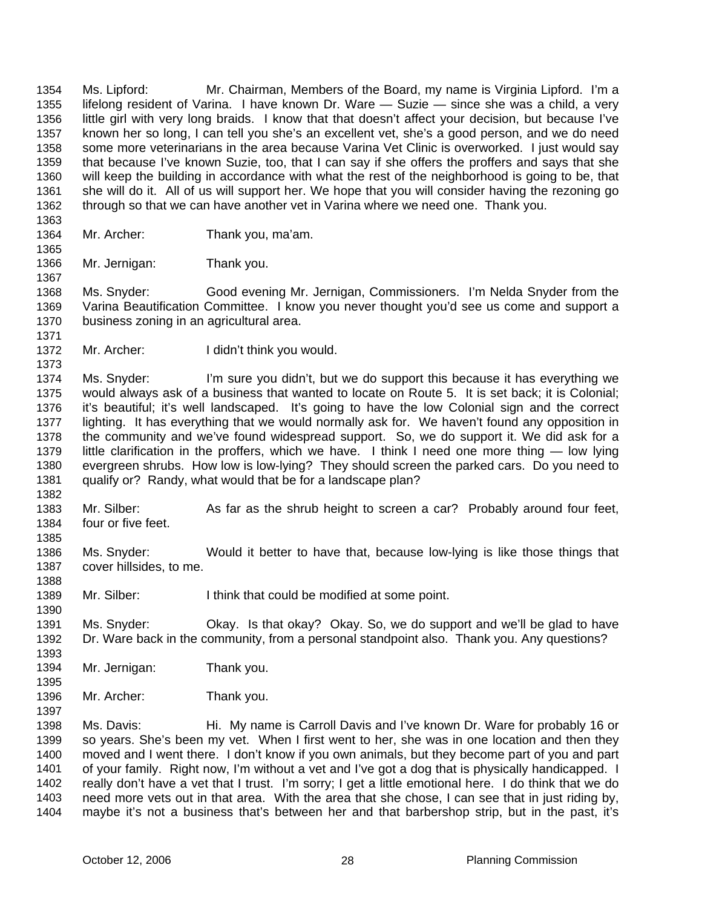Ms. Lipford: Mr. Chairman, Members of the Board, my name is Virginia Lipford. I'm a lifelong resident of Varina. I have known Dr. Ware — Suzie — since she was a child, a very little girl with very long braids. I know that that doesn't affect your decision, but because I've known her so long, I can tell you she's an excellent vet, she's a good person, and we do need some more veterinarians in the area because Varina Vet Clinic is overworked. I just would say that because I've known Suzie, too, that I can say if she offers the proffers and says that she will keep the building in accordance with what the rest of the neighborhood is going to be, that she will do it. All of us will support her. We hope that you will consider having the rezoning go through so that we can have another vet in Varina where we need one. Thank you. 1354 1355 1356 1357 1358 1359 1360 1361 1362 1363

- 1364 Mr. Archer: Thank you, ma'am.
- 1366 Mr. Jernigan: Thank you.

1365

1367

1373

1382

1388

1390

1393

1397

1368 1369 1370 1371 Ms. Snyder: Good evening Mr. Jernigan, Commissioners. I'm Nelda Snyder from the Varina Beautification Committee. I know you never thought you'd see us come and support a business zoning in an agricultural area.

1372 Mr. Archer: I didn't think you would.

1374 1375 1376 1377 1378 1379 1380 1381 Ms. Snyder: I'm sure you didn't, but we do support this because it has everything we would always ask of a business that wanted to locate on Route 5. It is set back; it is Colonial; it's beautiful; it's well landscaped. It's going to have the low Colonial sign and the correct lighting. It has everything that we would normally ask for. We haven't found any opposition in the community and we've found widespread support. So, we do support it. We did ask for a little clarification in the proffers, which we have. I think I need one more thing — low lying evergreen shrubs. How low is low-lying? They should screen the parked cars. Do you need to qualify or? Randy, what would that be for a landscape plan?

- 1383 1384 1385 Mr. Silber: As far as the shrub height to screen a car? Probably around four feet, four or five feet.
- 1386 1387 Ms. Snyder: Would it better to have that, because low-lying is like those things that cover hillsides, to me.
- 1389 Mr. Silber: I think that could be modified at some point.
- 1391 1392 Ms. Snyder: Okay. Is that okay? Okay. So, we do support and we'll be glad to have Dr. Ware back in the community, from a personal standpoint also. Thank you. Any questions?
- 1394 1395 Mr. Jernigan: Thank you.
- 1396 Mr. Archer: Thank you.

1398 1399 1400 1401 1402 1403 1404 Ms. Davis: Hi. My name is Carroll Davis and I've known Dr. Ware for probably 16 or so years. She's been my vet. When I first went to her, she was in one location and then they moved and I went there. I don't know if you own animals, but they become part of you and part of your family. Right now, I'm without a vet and I've got a dog that is physically handicapped. I really don't have a vet that I trust. I'm sorry; I get a little emotional here. I do think that we do need more vets out in that area. With the area that she chose, I can see that in just riding by, maybe it's not a business that's between her and that barbershop strip, but in the past, it's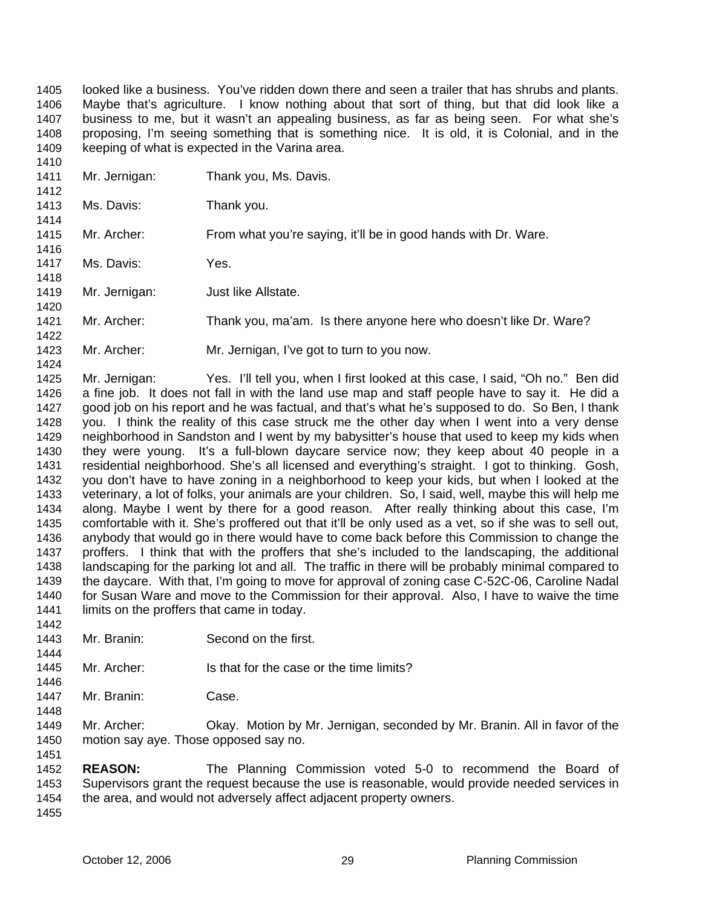looked like a business. You've ridden down there and seen a trailer that has shrubs and plants. Maybe that's agriculture. I know nothing about that sort of thing, but that did look like a business to me, but it wasn't an appealing business, as far as being seen. For what she's proposing, I'm seeing something that is something nice. It is old, it is Colonial, and in the keeping of what is expected in the Varina area. 1405 1406 1407 1408 1409 1410

1411 1412 1413 1414 1415 1416 1417 1418 1419 1420 1421 1422 1423 1424 1425 Mr. Jernigan: Thank you, Ms. Davis. Ms. Davis: Thank you. Mr. Archer: From what you're saying, it'll be in good hands with Dr. Ware. Ms. Davis: Yes. Mr. Jernigan: Just like Allstate. Mr. Archer: Thank you, ma'am. Is there anyone here who doesn't like Dr. Ware? Mr. Archer: Mr. Jernigan, I've got to turn to you now. Mr. Jernigan: Yes. I'll tell you, when I first looked at this case, I said, "Oh no." Ben did

1426 1427 1428 1429 1430 1431 1432 1433 1434 1435 1436 1437 1438 1439 1440 1441 1442 a fine job. It does not fall in with the land use map and staff people have to say it. He did a good job on his report and he was factual, and that's what he's supposed to do. So Ben, I thank you. I think the reality of this case struck me the other day when I went into a very dense neighborhood in Sandston and I went by my babysitter's house that used to keep my kids when they were young. It's a full-blown daycare service now; they keep about 40 people in a residential neighborhood. She's all licensed and everything's straight. I got to thinking. Gosh, you don't have to have zoning in a neighborhood to keep your kids, but when I looked at the veterinary, a lot of folks, your animals are your children. So, I said, well, maybe this will help me along. Maybe I went by there for a good reason. After really thinking about this case, I'm comfortable with it. She's proffered out that it'll be only used as a vet, so if she was to sell out, anybody that would go in there would have to come back before this Commission to change the proffers. I think that with the proffers that she's included to the landscaping, the additional landscaping for the parking lot and all. The traffic in there will be probably minimal compared to the daycare. With that, I'm going to move for approval of zoning case C-52C-06, Caroline Nadal for Susan Ware and move to the Commission for their approval. Also, I have to waive the time limits on the proffers that came in today.

- 1443 Mr. Branin: Second on the first.
- 1445 1446 Mr. Archer: Is that for the case or the time limits?
- 1447 Mr. Branin: Case.

1444

1448

1449 1450 1451 Mr. Archer: Okay. Motion by Mr. Jernigan, seconded by Mr. Branin. All in favor of the motion say aye. Those opposed say no.

1452 1453 1454 1455 **REASON:** The Planning Commission voted 5-0 to recommend the Board of Supervisors grant the request because the use is reasonable, would provide needed services in the area, and would not adversely affect adjacent property owners.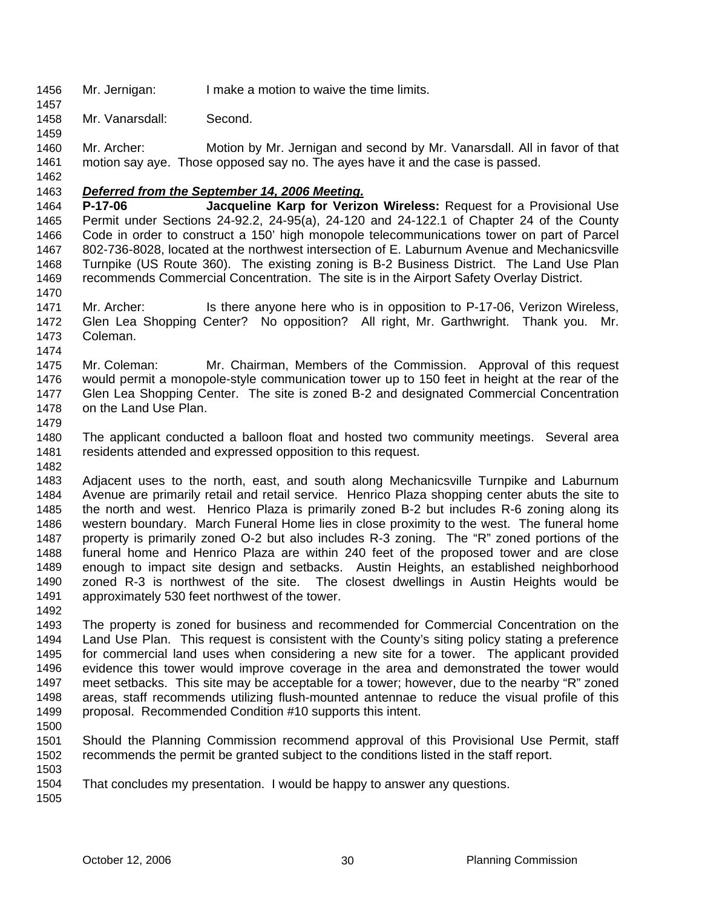1456 Mr. Jernigan: I make a motion to waive the time limits.

1458 Mr. Vanarsdall: Second.

1460 1461 1462 Mr. Archer: Motion by Mr. Jernigan and second by Mr. Vanarsdall. All in favor of that motion say aye. Those opposed say no. The ayes have it and the case is passed.

1463 *Deferred from the September 14, 2006 Meeting.*

1464 1465 1466 1467 1468 1469 1470 **P-17-06 Jacqueline Karp for Verizon Wireless:** Request for a Provisional Use Permit under Sections 24-92.2, 24-95(a), 24-120 and 24-122.1 of Chapter 24 of the County Code in order to construct a 150' high monopole telecommunications tower on part of Parcel 802-736-8028, located at the northwest intersection of E. Laburnum Avenue and Mechanicsville Turnpike (US Route 360). The existing zoning is B-2 Business District. The Land Use Plan recommends Commercial Concentration. The site is in the Airport Safety Overlay District.

1471 1472 1473 Mr. Archer: Is there anyone here who is in opposition to P-17-06, Verizon Wireless, Glen Lea Shopping Center? No opposition? All right, Mr. Garthwright. Thank you. Mr. Coleman.

1474

1457

1459

1475 1476 1477 1478 Mr. Coleman: Mr. Chairman, Members of the Commission. Approval of this request would permit a monopole-style communication tower up to 150 feet in height at the rear of the Glen Lea Shopping Center. The site is zoned B-2 and designated Commercial Concentration on the Land Use Plan.

1479

1480 1481 1482 The applicant conducted a balloon float and hosted two community meetings. Several area residents attended and expressed opposition to this request.

1483 1484 1485 1486 1487 1488 1489 1490 1491 Adjacent uses to the north, east, and south along Mechanicsville Turnpike and Laburnum Avenue are primarily retail and retail service. Henrico Plaza shopping center abuts the site to the north and west. Henrico Plaza is primarily zoned B-2 but includes R-6 zoning along its western boundary. March Funeral Home lies in close proximity to the west. The funeral home property is primarily zoned O-2 but also includes R-3 zoning. The "R" zoned portions of the funeral home and Henrico Plaza are within 240 feet of the proposed tower and are close enough to impact site design and setbacks. Austin Heights, an established neighborhood zoned R-3 is northwest of the site. The closest dwellings in Austin Heights would be approximately 530 feet northwest of the tower.

1493 1494 1495 1496 1497 1498 1499 The property is zoned for business and recommended for Commercial Concentration on the Land Use Plan. This request is consistent with the County's siting policy stating a preference for commercial land uses when considering a new site for a tower. The applicant provided evidence this tower would improve coverage in the area and demonstrated the tower would meet setbacks. This site may be acceptable for a tower; however, due to the nearby "R" zoned areas, staff recommends utilizing flush-mounted antennae to reduce the visual profile of this proposal. Recommended Condition #10 supports this intent.

1500

1492

1501 1502 Should the Planning Commission recommend approval of this Provisional Use Permit, staff recommends the permit be granted subject to the conditions listed in the staff report.

1503

1504 That concludes my presentation. I would be happy to answer any questions.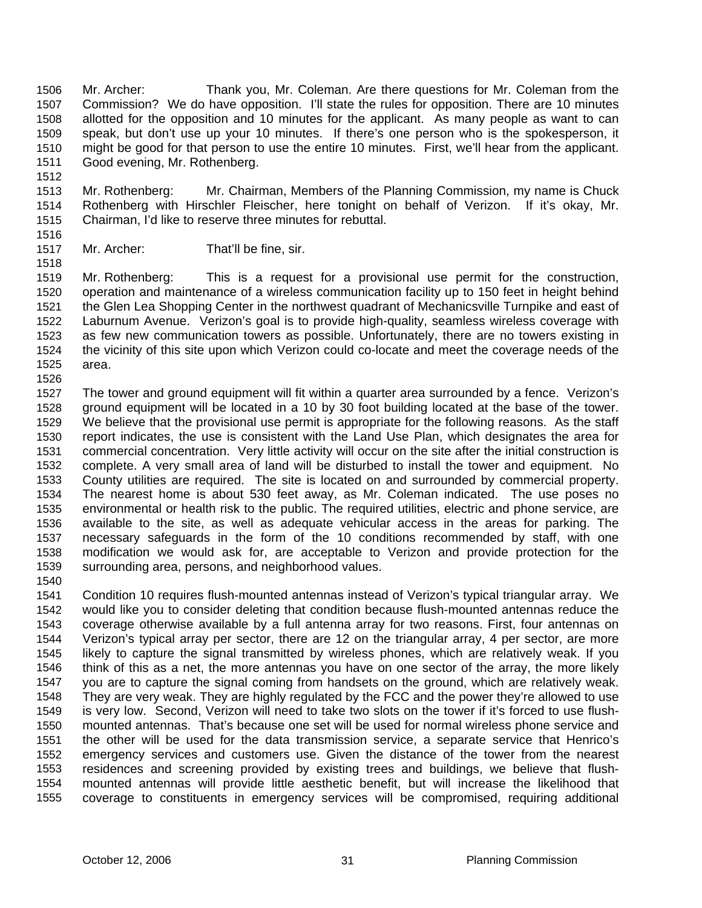Mr. Archer: Thank you, Mr. Coleman. Are there questions for Mr. Coleman from the Commission? We do have opposition. I'll state the rules for opposition. There are 10 minutes allotted for the opposition and 10 minutes for the applicant. As many people as want to can speak, but don't use up your 10 minutes. If there's one person who is the spokesperson, it might be good for that person to use the entire 10 minutes. First, we'll hear from the applicant. Good evening, Mr. Rothenberg. 1506 1507 1508 1509 1510 1511

- 1513 1514 1515 Mr. Rothenberg: Mr. Chairman, Members of the Planning Commission, my name is Chuck Rothenberg with Hirschler Fleischer, here tonight on behalf of Verizon. If it's okay, Mr. Chairman, I'd like to reserve three minutes for rebuttal.
- 1516 1517

1518

1512

Mr. Archer: That'll be fine, sir.

1519 1520 1521 1522 1523 1524 1525 Mr. Rothenberg: This is a request for a provisional use permit for the construction, operation and maintenance of a wireless communication facility up to 150 feet in height behind the Glen Lea Shopping Center in the northwest quadrant of Mechanicsville Turnpike and east of Laburnum Avenue. Verizon's goal is to provide high-quality, seamless wireless coverage with as few new communication towers as possible. Unfortunately, there are no towers existing in the vicinity of this site upon which Verizon could co-locate and meet the coverage needs of the area.

1526

1527 1528 1529 1530 1531 1532 1533 1534 1535 1536 1537 1538 1539 The tower and ground equipment will fit within a quarter area surrounded by a fence. Verizon's ground equipment will be located in a 10 by 30 foot building located at the base of the tower. We believe that the provisional use permit is appropriate for the following reasons. As the staff report indicates, the use is consistent with the Land Use Plan, which designates the area for commercial concentration. Very little activity will occur on the site after the initial construction is complete. A very small area of land will be disturbed to install the tower and equipment. No County utilities are required. The site is located on and surrounded by commercial property. The nearest home is about 530 feet away, as Mr. Coleman indicated. The use poses no environmental or health risk to the public. The required utilities, electric and phone service, are available to the site, as well as adequate vehicular access in the areas for parking. The necessary safeguards in the form of the 10 conditions recommended by staff, with one modification we would ask for, are acceptable to Verizon and provide protection for the surrounding area, persons, and neighborhood values.

1540

1541 1542 1543 1544 1545 1546 1547 1548 1549 1550 1551 1552 1553 1554 1555 Condition 10 requires flush-mounted antennas instead of Verizon's typical triangular array. We would like you to consider deleting that condition because flush-mounted antennas reduce the coverage otherwise available by a full antenna array for two reasons. First, four antennas on Verizon's typical array per sector, there are 12 on the triangular array, 4 per sector, are more likely to capture the signal transmitted by wireless phones, which are relatively weak. If you think of this as a net, the more antennas you have on one sector of the array, the more likely you are to capture the signal coming from handsets on the ground, which are relatively weak. They are very weak. They are highly regulated by the FCC and the power they're allowed to use is very low. Second, Verizon will need to take two slots on the tower if it's forced to use flushmounted antennas. That's because one set will be used for normal wireless phone service and the other will be used for the data transmission service, a separate service that Henrico's emergency services and customers use. Given the distance of the tower from the nearest residences and screening provided by existing trees and buildings, we believe that flushmounted antennas will provide little aesthetic benefit, but will increase the likelihood that coverage to constituents in emergency services will be compromised, requiring additional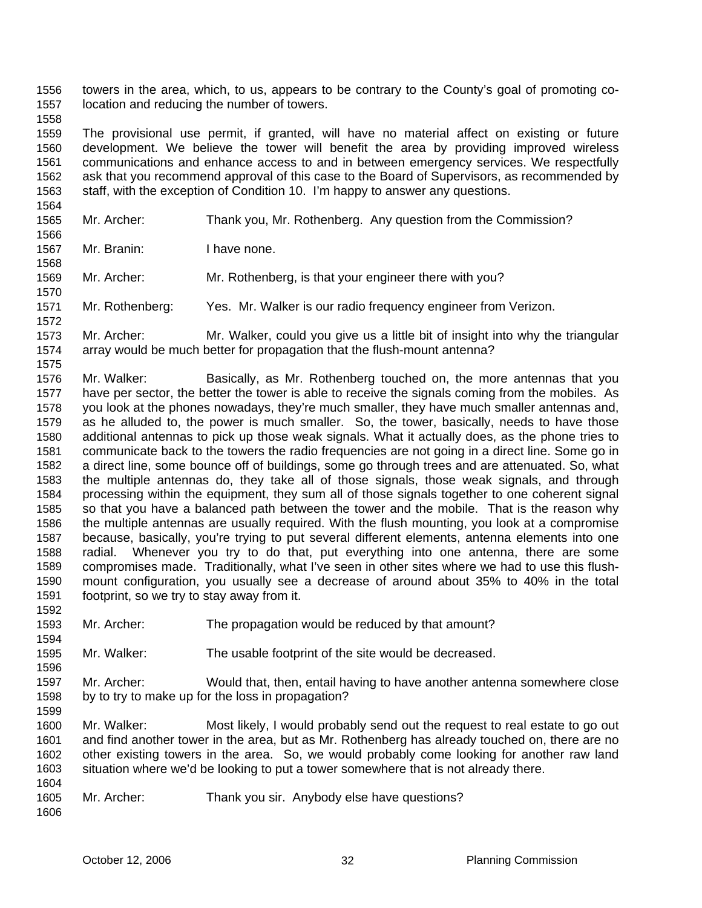towers in the area, which, to us, appears to be contrary to the County's goal of promoting colocation and reducing the number of towers. 1556 1557

1559 1560 1561 1562 1563 The provisional use permit, if granted, will have no material affect on existing or future development. We believe the tower will benefit the area by providing improved wireless communications and enhance access to and in between emergency services. We respectfully ask that you recommend approval of this case to the Board of Supervisors, as recommended by staff, with the exception of Condition 10. I'm happy to answer any questions.

- 1565 Mr. Archer: Thank you, Mr. Rothenberg. Any question from the Commission?
- 1567 Mr. Branin: I have none.

1558

1564

1566

1568

1570

1575

1569 Mr. Archer: Mr. Rothenberg, is that your engineer there with you?

1571 1572 Mr. Rothenberg: Yes. Mr. Walker is our radio frequency engineer from Verizon.

1573 1574 Mr. Archer: Mr. Walker, could you give us a little bit of insight into why the triangular array would be much better for propagation that the flush-mount antenna?

1576 1577 1578 1579 1580 1581 1582 1583 1584 1585 1586 1587 1588 1589 1590 1591 Mr. Walker: Basically, as Mr. Rothenberg touched on, the more antennas that you have per sector, the better the tower is able to receive the signals coming from the mobiles. As you look at the phones nowadays, they're much smaller, they have much smaller antennas and, as he alluded to, the power is much smaller. So, the tower, basically, needs to have those additional antennas to pick up those weak signals. What it actually does, as the phone tries to communicate back to the towers the radio frequencies are not going in a direct line. Some go in a direct line, some bounce off of buildings, some go through trees and are attenuated. So, what the multiple antennas do, they take all of those signals, those weak signals, and through processing within the equipment, they sum all of those signals together to one coherent signal so that you have a balanced path between the tower and the mobile. That is the reason why the multiple antennas are usually required. With the flush mounting, you look at a compromise because, basically, you're trying to put several different elements, antenna elements into one radial. Whenever you try to do that, put everything into one antenna, there are some compromises made. Traditionally, what I've seen in other sites where we had to use this flushmount configuration, you usually see a decrease of around about 35% to 40% in the total footprint, so we try to stay away from it.

1593 Mr. Archer: The propagation would be reduced by that amount?

1595 Mr. Walker: The usable footprint of the site would be decreased.

1597 1598 Mr. Archer: Would that, then, entail having to have another antenna somewhere close by to try to make up for the loss in propagation?

1600 1601 1602 1603 Mr. Walker: Most likely, I would probably send out the request to real estate to go out and find another tower in the area, but as Mr. Rothenberg has already touched on, there are no other existing towers in the area. So, we would probably come looking for another raw land situation where we'd be looking to put a tower somewhere that is not already there.

1605 Mr. Archer: Thank you sir. Anybody else have questions?

1604

1592

1594

1596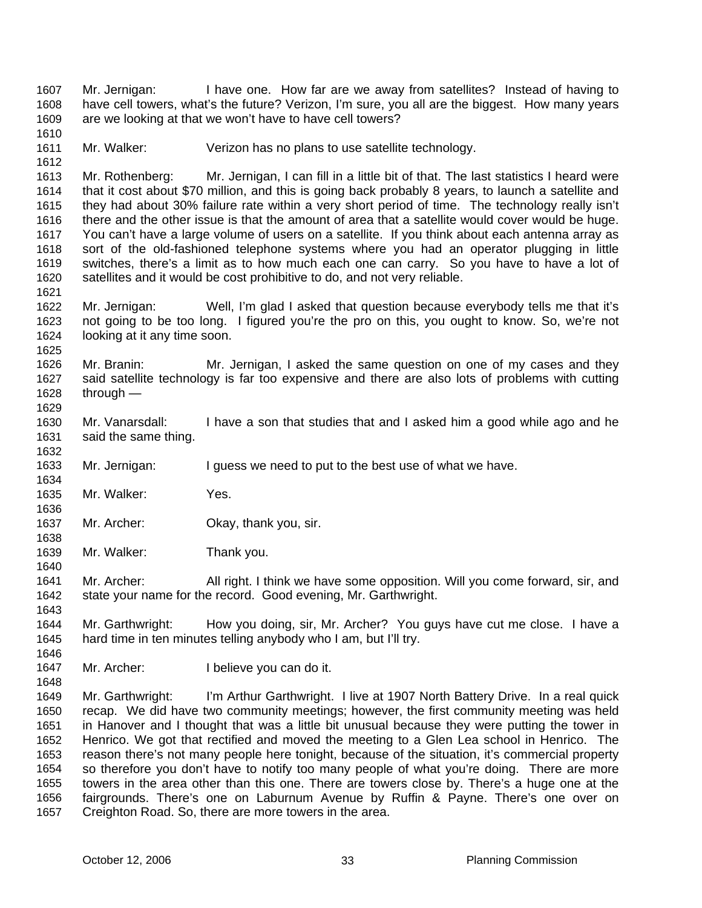Mr. Jernigan: I have one. How far are we away from satellites? Instead of having to have cell towers, what's the future? Verizon, I'm sure, you all are the biggest. How many years are we looking at that we won't have to have cell towers? 1607 1608 1609 1610

1611 1612 Mr. Walker: Verizon has no plans to use satellite technology.

1613 1614 1615 1616 1617 1618 1619 1620 Mr. Rothenberg: Mr. Jernigan, I can fill in a little bit of that. The last statistics I heard were that it cost about \$70 million, and this is going back probably 8 years, to launch a satellite and they had about 30% failure rate within a very short period of time. The technology really isn't there and the other issue is that the amount of area that a satellite would cover would be huge. You can't have a large volume of users on a satellite. If you think about each antenna array as sort of the old-fashioned telephone systems where you had an operator plugging in little switches, there's a limit as to how much each one can carry. So you have to have a lot of satellites and it would be cost prohibitive to do, and not very reliable.

- 1622 1623 1624 Mr. Jernigan: Well, I'm glad I asked that question because everybody tells me that it's not going to be too long. I figured you're the pro on this, you ought to know. So, we're not looking at it any time soon.
- 1626 1627 1628 1629 Mr. Branin: Mr. Jernigan, I asked the same question on one of my cases and they said satellite technology is far too expensive and there are also lots of problems with cutting through —
- 1630 1631 Mr. Vanarsdall: I have a son that studies that and I asked him a good while ago and he said the same thing.

1633 Mr. Jernigan: I guess we need to put to the best use of what we have.

- 1635 Mr. Walker: Yes.
- 1637 1638 Mr. Archer: Okay, thank you, sir.
- 1639 Mr. Walker: Thank you.

1641 1642 Mr. Archer: All right. I think we have some opposition. Will you come forward, sir, and state your name for the record. Good evening, Mr. Garthwright.

1644 1645 Mr. Garthwright: How you doing, sir, Mr. Archer? You guys have cut me close. I have a hard time in ten minutes telling anybody who I am, but I'll try.

1646 1647

1648

1621

1625

1632

1634

1636

1640

- Mr. Archer: I believe you can do it.
- 1649 1650 1651 1652 1653 1654 1655 1656 1657 Mr. Garthwright: I'm Arthur Garthwright. I live at 1907 North Battery Drive. In a real quick recap. We did have two community meetings; however, the first community meeting was held in Hanover and I thought that was a little bit unusual because they were putting the tower in Henrico. We got that rectified and moved the meeting to a Glen Lea school in Henrico. The reason there's not many people here tonight, because of the situation, it's commercial property so therefore you don't have to notify too many people of what you're doing. There are more towers in the area other than this one. There are towers close by. There's a huge one at the fairgrounds. There's one on Laburnum Avenue by Ruffin & Payne. There's one over on Creighton Road. So, there are more towers in the area.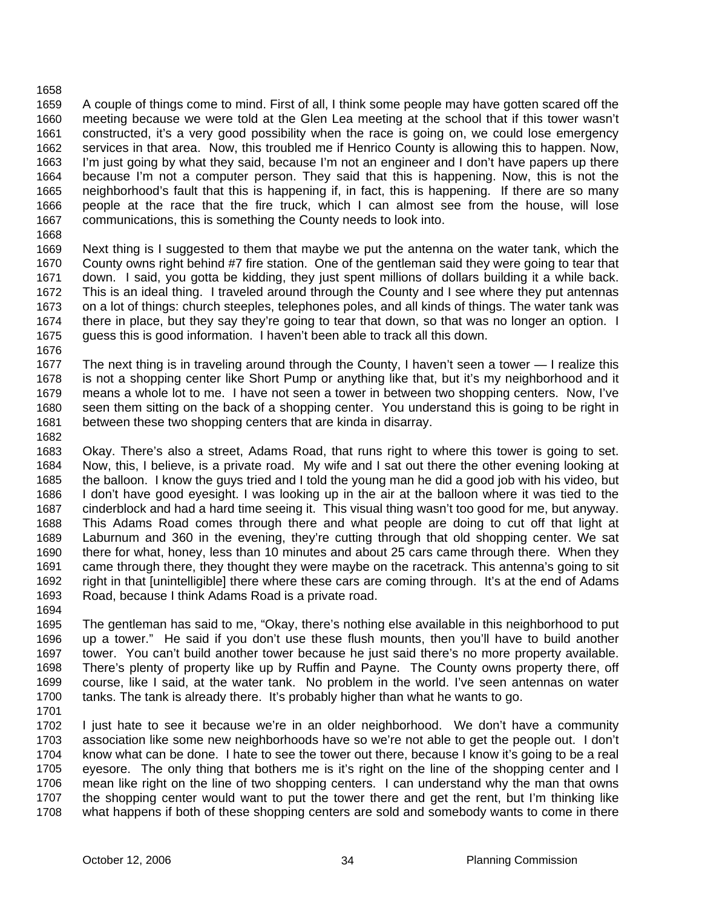#### 1658

1659 1660 1661 1662 1663 1664 1665 1666 1667 A couple of things come to mind. First of all, I think some people may have gotten scared off the meeting because we were told at the Glen Lea meeting at the school that if this tower wasn't constructed, it's a very good possibility when the race is going on, we could lose emergency services in that area. Now, this troubled me if Henrico County is allowing this to happen. Now, I'm just going by what they said, because I'm not an engineer and I don't have papers up there because I'm not a computer person. They said that this is happening. Now, this is not the neighborhood's fault that this is happening if, in fact, this is happening. If there are so many people at the race that the fire truck, which I can almost see from the house, will lose communications, this is something the County needs to look into.

1668

1669 1670 1671 1672 1673 1674 1675 Next thing is I suggested to them that maybe we put the antenna on the water tank, which the County owns right behind #7 fire station. One of the gentleman said they were going to tear that down. I said, you gotta be kidding, they just spent millions of dollars building it a while back. This is an ideal thing. I traveled around through the County and I see where they put antennas on a lot of things: church steeples, telephones poles, and all kinds of things. The water tank was there in place, but they say they're going to tear that down, so that was no longer an option. I guess this is good information. I haven't been able to track all this down.

1676

1677 1678 1679 1680 1681 The next thing is in traveling around through the County, I haven't seen a tower — I realize this is not a shopping center like Short Pump or anything like that, but it's my neighborhood and it means a whole lot to me. I have not seen a tower in between two shopping centers. Now, I've seen them sitting on the back of a shopping center. You understand this is going to be right in between these two shopping centers that are kinda in disarray.

1682

1683 1684 1685 1686 1687 1688 1689 1690 1691 1692 1693 1694 Okay. There's also a street, Adams Road, that runs right to where this tower is going to set. Now, this, I believe, is a private road. My wife and I sat out there the other evening looking at the balloon. I know the guys tried and I told the young man he did a good job with his video, but I don't have good eyesight. I was looking up in the air at the balloon where it was tied to the cinderblock and had a hard time seeing it. This visual thing wasn't too good for me, but anyway. This Adams Road comes through there and what people are doing to cut off that light at Laburnum and 360 in the evening, they're cutting through that old shopping center. We sat there for what, honey, less than 10 minutes and about 25 cars came through there. When they came through there, they thought they were maybe on the racetrack. This antenna's going to sit right in that [unintelligible] there where these cars are coming through. It's at the end of Adams Road, because I think Adams Road is a private road.

1695 1696 1697 1698 1699 1700 The gentleman has said to me, "Okay, there's nothing else available in this neighborhood to put up a tower." He said if you don't use these flush mounts, then you'll have to build another tower. You can't build another tower because he just said there's no more property available. There's plenty of property like up by Ruffin and Payne. The County owns property there, off course, like I said, at the water tank. No problem in the world. I've seen antennas on water tanks. The tank is already there. It's probably higher than what he wants to go.

1701

1702 1703 1704 1705 1706 1707 1708 I just hate to see it because we're in an older neighborhood. We don't have a community association like some new neighborhoods have so we're not able to get the people out. I don't know what can be done. I hate to see the tower out there, because I know it's going to be a real eyesore. The only thing that bothers me is it's right on the line of the shopping center and I mean like right on the line of two shopping centers. I can understand why the man that owns the shopping center would want to put the tower there and get the rent, but I'm thinking like what happens if both of these shopping centers are sold and somebody wants to come in there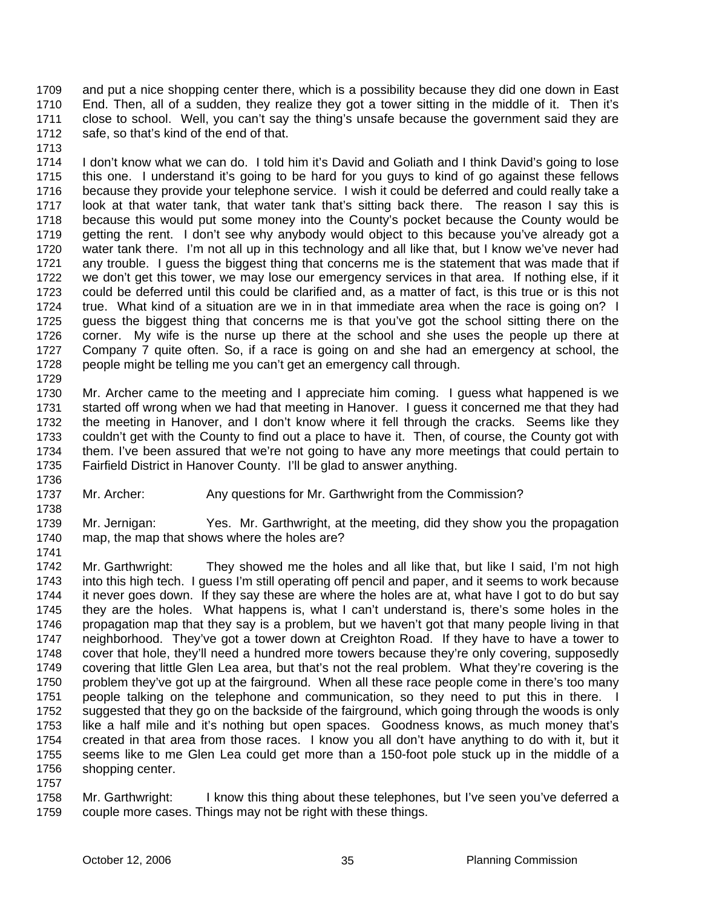and put a nice shopping center there, which is a possibility because they did one down in East End. Then, all of a sudden, they realize they got a tower sitting in the middle of it. Then it's close to school. Well, you can't say the thing's unsafe because the government said they are safe, so that's kind of the end of that. 1709 1710 1711 1712

1713

1714 1715 1716 1717 1718 1719 1720 1721 1722 1723 1724 1725 1726 1727 1728 1729 I don't know what we can do. I told him it's David and Goliath and I think David's going to lose this one. I understand it's going to be hard for you guys to kind of go against these fellows because they provide your telephone service. I wish it could be deferred and could really take a look at that water tank, that water tank that's sitting back there. The reason I say this is because this would put some money into the County's pocket because the County would be getting the rent. I don't see why anybody would object to this because you've already got a water tank there. I'm not all up in this technology and all like that, but I know we've never had any trouble. I guess the biggest thing that concerns me is the statement that was made that if we don't get this tower, we may lose our emergency services in that area. If nothing else, if it could be deferred until this could be clarified and, as a matter of fact, is this true or is this not true. What kind of a situation are we in in that immediate area when the race is going on? I guess the biggest thing that concerns me is that you've got the school sitting there on the corner. My wife is the nurse up there at the school and she uses the people up there at Company 7 quite often. So, if a race is going on and she had an emergency at school, the people might be telling me you can't get an emergency call through.

1730 1731 1732 1733 1734 1735 Mr. Archer came to the meeting and I appreciate him coming. I guess what happened is we started off wrong when we had that meeting in Hanover. I guess it concerned me that they had the meeting in Hanover, and I don't know where it fell through the cracks. Seems like they couldn't get with the County to find out a place to have it. Then, of course, the County got with them. I've been assured that we're not going to have any more meetings that could pertain to Fairfield District in Hanover County. I'll be glad to answer anything.

1736 1737

1738

1741

Mr. Archer: Any questions for Mr. Garthwright from the Commission?

1739 1740 Mr. Jernigan: Yes. Mr. Garthwright, at the meeting, did they show you the propagation map, the map that shows where the holes are?

1742 1743 1744 1745 1746 1747 1748 1749 1750 1751 1752 1753 1754 1755 1756 1757 Mr. Garthwright: They showed me the holes and all like that, but like I said, I'm not high into this high tech. I guess I'm still operating off pencil and paper, and it seems to work because it never goes down. If they say these are where the holes are at, what have I got to do but say they are the holes. What happens is, what I can't understand is, there's some holes in the propagation map that they say is a problem, but we haven't got that many people living in that neighborhood. They've got a tower down at Creighton Road. If they have to have a tower to cover that hole, they'll need a hundred more towers because they're only covering, supposedly covering that little Glen Lea area, but that's not the real problem. What they're covering is the problem they've got up at the fairground. When all these race people come in there's too many people talking on the telephone and communication, so they need to put this in there. I suggested that they go on the backside of the fairground, which going through the woods is only like a half mile and it's nothing but open spaces. Goodness knows, as much money that's created in that area from those races. I know you all don't have anything to do with it, but it seems like to me Glen Lea could get more than a 150-foot pole stuck up in the middle of a shopping center.

1758 1759 Mr. Garthwright: I know this thing about these telephones, but I've seen you've deferred a couple more cases. Things may not be right with these things.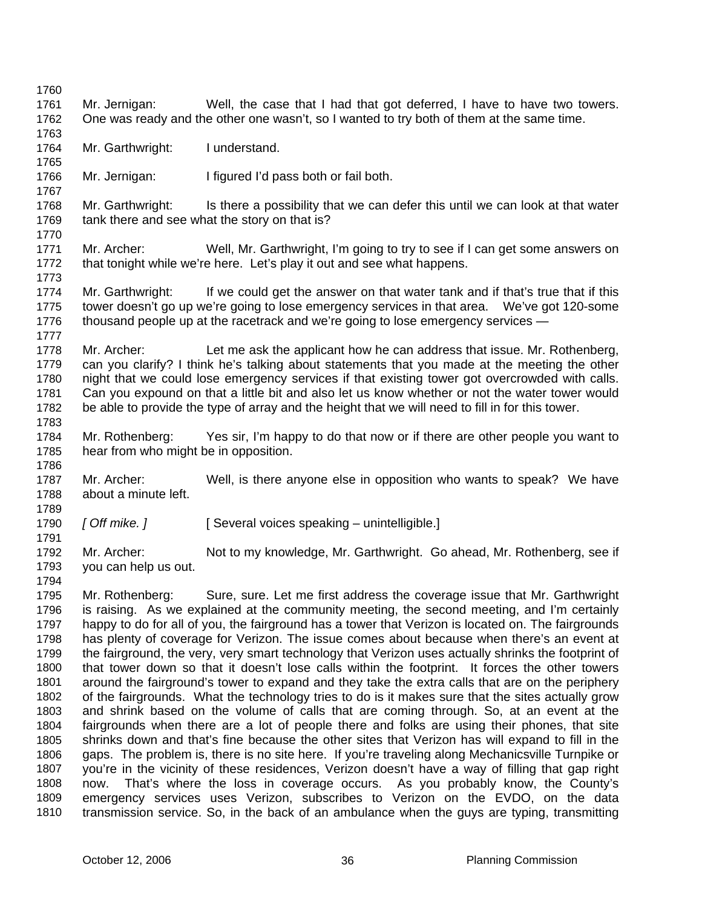1760 1761 1762 1763 1764 1765 1766 1767 1768 1769 1770 1771 1772 1773 1774 1775 1776 1777 1778 1779 1780 1781 1782 1783 1784 1785 1786 1787 1788 1789 1790 1791 1792 1793 1794 1795 1796 1797 1798 1799 1800 1801 1802 1803 1804 1805 1806 1807 1808 1809 1810 Mr. Jernigan: Well, the case that I had that got deferred, I have to have two towers. One was ready and the other one wasn't, so I wanted to try both of them at the same time. Mr. Garthwright: I understand. Mr. Jernigan: I figured I'd pass both or fail both. Mr. Garthwright: Is there a possibility that we can defer this until we can look at that water tank there and see what the story on that is? Mr. Archer: Well, Mr. Garthwright, I'm going to try to see if I can get some answers on that tonight while we're here. Let's play it out and see what happens. Mr. Garthwright: If we could get the answer on that water tank and if that's true that if this tower doesn't go up we're going to lose emergency services in that area. We've got 120-some thousand people up at the racetrack and we're going to lose emergency services — Mr. Archer: Let me ask the applicant how he can address that issue. Mr. Rothenberg, can you clarify? I think he's talking about statements that you made at the meeting the other night that we could lose emergency services if that existing tower got overcrowded with calls. Can you expound on that a little bit and also let us know whether or not the water tower would be able to provide the type of array and the height that we will need to fill in for this tower. Mr. Rothenberg: Yes sir, I'm happy to do that now or if there are other people you want to hear from who might be in opposition. Mr. Archer: Well, is there anyone else in opposition who wants to speak? We have about a minute left. [ Off mike. ] **[ Several voices speaking – unintelligible.]** Mr. Archer: Not to my knowledge, Mr. Garthwright. Go ahead, Mr. Rothenberg, see if you can help us out. Mr. Rothenberg: Sure, sure. Let me first address the coverage issue that Mr. Garthwright is raising. As we explained at the community meeting, the second meeting, and I'm certainly happy to do for all of you, the fairground has a tower that Verizon is located on. The fairgrounds has plenty of coverage for Verizon. The issue comes about because when there's an event at the fairground, the very, very smart technology that Verizon uses actually shrinks the footprint of that tower down so that it doesn't lose calls within the footprint. It forces the other towers around the fairground's tower to expand and they take the extra calls that are on the periphery of the fairgrounds. What the technology tries to do is it makes sure that the sites actually grow and shrink based on the volume of calls that are coming through. So, at an event at the fairgrounds when there are a lot of people there and folks are using their phones, that site shrinks down and that's fine because the other sites that Verizon has will expand to fill in the gaps. The problem is, there is no site here. If you're traveling along Mechanicsville Turnpike or you're in the vicinity of these residences, Verizon doesn't have a way of filling that gap right now. That's where the loss in coverage occurs. As you probably know, the County's emergency services uses Verizon, subscribes to Verizon on the EVDO, on the data transmission service. So, in the back of an ambulance when the guys are typing, transmitting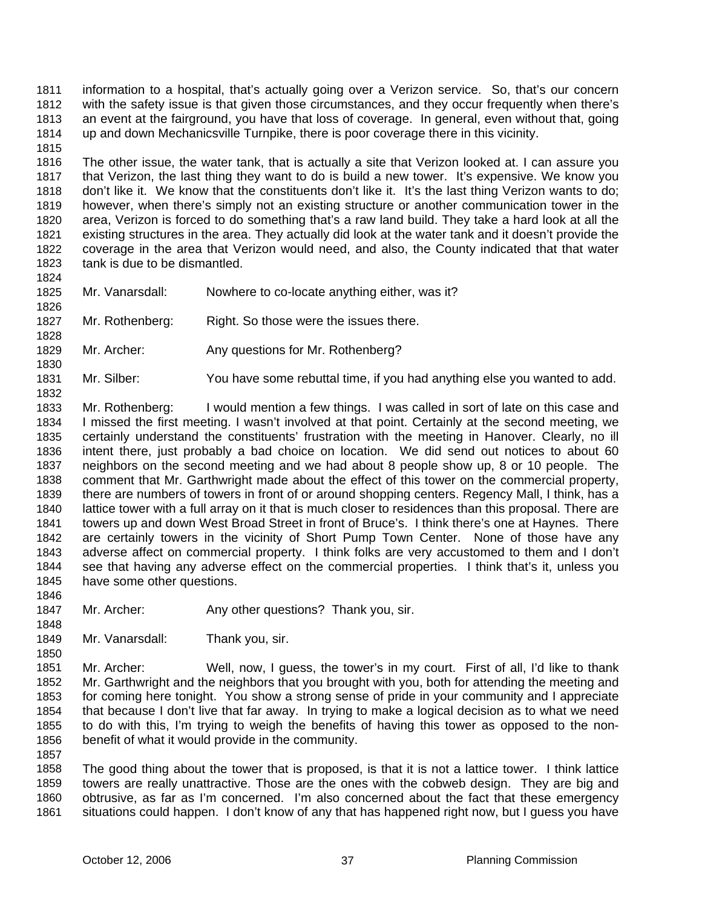information to a hospital, that's actually going over a Verizon service. So, that's our concern with the safety issue is that given those circumstances, and they occur frequently when there's an event at the fairground, you have that loss of coverage. In general, even without that, going up and down Mechanicsville Turnpike, there is poor coverage there in this vicinity. 1811 1812 1813 1814

1815

1824

1826

1828

1830

1832

1848

1850

1816 1817 1818 1819 1820 1821 1822 1823 The other issue, the water tank, that is actually a site that Verizon looked at. I can assure you that Verizon, the last thing they want to do is build a new tower. It's expensive. We know you don't like it. We know that the constituents don't like it. It's the last thing Verizon wants to do; however, when there's simply not an existing structure or another communication tower in the area, Verizon is forced to do something that's a raw land build. They take a hard look at all the existing structures in the area. They actually did look at the water tank and it doesn't provide the coverage in the area that Verizon would need, and also, the County indicated that that water tank is due to be dismantled.

- 1825 Mr. Vanarsdall: Nowhere to co-locate anything either, was it?
- 1827 Mr. Rothenberg: Right. So those were the issues there.
- 1829 Mr. Archer: Any questions for Mr. Rothenberg?
- 1831 Mr. Silber: You have some rebuttal time, if you had anything else you wanted to add.

1833 1834 1835 1836 1837 1838 1839 1840 1841 1842 1843 1844 1845 1846 Mr. Rothenberg: I would mention a few things. I was called in sort of late on this case and I missed the first meeting. I wasn't involved at that point. Certainly at the second meeting, we certainly understand the constituents' frustration with the meeting in Hanover. Clearly, no ill intent there, just probably a bad choice on location. We did send out notices to about 60 neighbors on the second meeting and we had about 8 people show up, 8 or 10 people. The comment that Mr. Garthwright made about the effect of this tower on the commercial property, there are numbers of towers in front of or around shopping centers. Regency Mall, I think, has a lattice tower with a full array on it that is much closer to residences than this proposal. There are towers up and down West Broad Street in front of Bruce's. I think there's one at Haynes. There are certainly towers in the vicinity of Short Pump Town Center. None of those have any adverse affect on commercial property. I think folks are very accustomed to them and I don't see that having any adverse effect on the commercial properties. I think that's it, unless you have some other questions.

- 1847 Mr. Archer: Any other questions? Thank you, sir.
- 1849 Mr. Vanarsdall: Thank you, sir.

1851 1852 1853 1854 1855 1856 1857 Mr. Archer: Well, now, I guess, the tower's in my court. First of all, I'd like to thank Mr. Garthwright and the neighbors that you brought with you, both for attending the meeting and for coming here tonight. You show a strong sense of pride in your community and I appreciate that because I don't live that far away. In trying to make a logical decision as to what we need to do with this, I'm trying to weigh the benefits of having this tower as opposed to the nonbenefit of what it would provide in the community.

1858 1859 1860 1861 The good thing about the tower that is proposed, is that it is not a lattice tower. I think lattice towers are really unattractive. Those are the ones with the cobweb design. They are big and obtrusive, as far as I'm concerned. I'm also concerned about the fact that these emergency situations could happen. I don't know of any that has happened right now, but I guess you have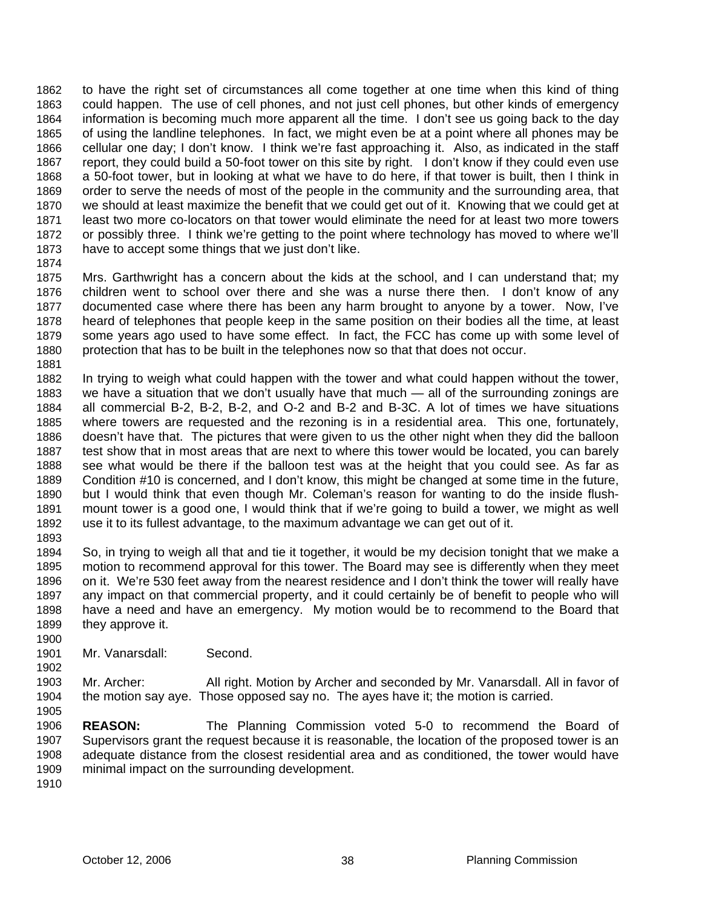to have the right set of circumstances all come together at one time when this kind of thing could happen. The use of cell phones, and not just cell phones, but other kinds of emergency information is becoming much more apparent all the time. I don't see us going back to the day of using the landline telephones. In fact, we might even be at a point where all phones may be cellular one day; I don't know. I think we're fast approaching it. Also, as indicated in the staff report, they could build a 50-foot tower on this site by right. I don't know if they could even use a 50-foot tower, but in looking at what we have to do here, if that tower is built, then I think in order to serve the needs of most of the people in the community and the surrounding area, that we should at least maximize the benefit that we could get out of it. Knowing that we could get at least two more co-locators on that tower would eliminate the need for at least two more towers or possibly three. I think we're getting to the point where technology has moved to where we'll have to accept some things that we just don't like. 1862 1863 1864 1865 1866 1867 1868 1869 1870 1871 1872 1873

1874

1875 1876 1877 1878 1879 1880 1881 Mrs. Garthwright has a concern about the kids at the school, and I can understand that; my children went to school over there and she was a nurse there then. I don't know of any documented case where there has been any harm brought to anyone by a tower. Now, I've heard of telephones that people keep in the same position on their bodies all the time, at least some years ago used to have some effect. In fact, the FCC has come up with some level of protection that has to be built in the telephones now so that that does not occur.

1882 1883 1884 1885 1886 1887 1888 1889 1890 1891 1892 In trying to weigh what could happen with the tower and what could happen without the tower, we have a situation that we don't usually have that much — all of the surrounding zonings are all commercial B-2, B-2, B-2, and O-2 and B-2 and B-3C. A lot of times we have situations where towers are requested and the rezoning is in a residential area. This one, fortunately, doesn't have that. The pictures that were given to us the other night when they did the balloon test show that in most areas that are next to where this tower would be located, you can barely see what would be there if the balloon test was at the height that you could see. As far as Condition #10 is concerned, and I don't know, this might be changed at some time in the future, but I would think that even though Mr. Coleman's reason for wanting to do the inside flushmount tower is a good one, I would think that if we're going to build a tower, we might as well use it to its fullest advantage, to the maximum advantage we can get out of it.

1893

1900

1905

1894 1895 1896 1897 1898 1899 So, in trying to weigh all that and tie it together, it would be my decision tonight that we make a motion to recommend approval for this tower. The Board may see is differently when they meet on it. We're 530 feet away from the nearest residence and I don't think the tower will really have any impact on that commercial property, and it could certainly be of benefit to people who will have a need and have an emergency. My motion would be to recommend to the Board that they approve it.

1901 Mr. Vanarsdall: Second.

1902 1903 1904 Mr. Archer: All right. Motion by Archer and seconded by Mr. Vanarsdall. All in favor of the motion say aye. Those opposed say no. The ayes have it; the motion is carried.

1906 1907 1908 1909 **REASON:** The Planning Commission voted 5-0 to recommend the Board of Supervisors grant the request because it is reasonable, the location of the proposed tower is an adequate distance from the closest residential area and as conditioned, the tower would have minimal impact on the surrounding development.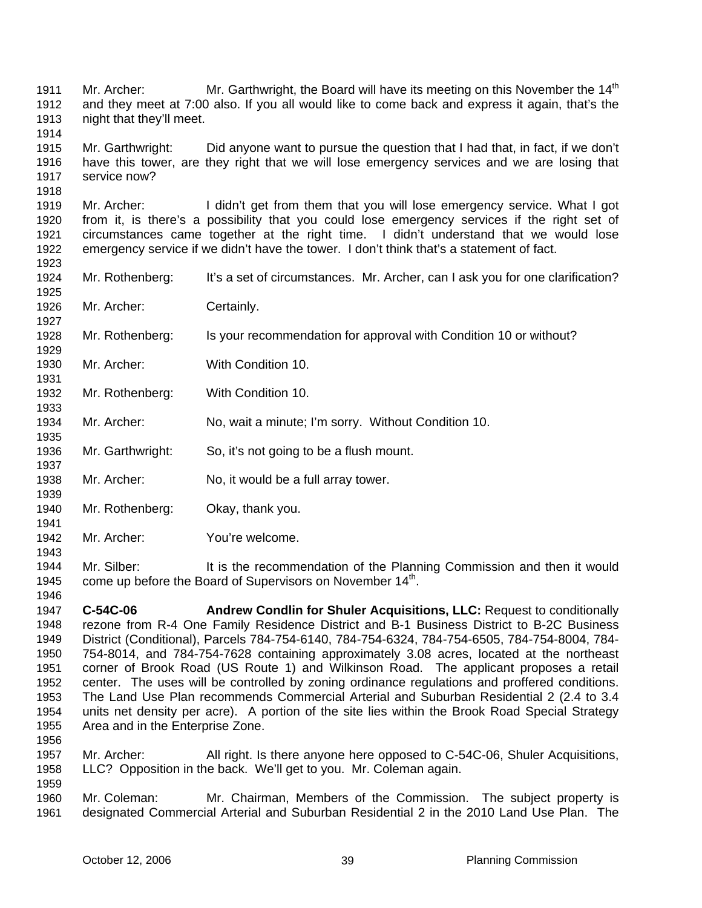Mr. Archer: Mr. Garthwright, the Board will have its meeting on this November the  $14<sup>th</sup>$ and they meet at 7:00 also. If you all would like to come back and express it again, that's the night that they'll meet. 1911 1912 1913

1915 1916 1917 Mr. Garthwright: Did anyone want to pursue the question that I had that, in fact, if we don't have this tower, are they right that we will lose emergency services and we are losing that service now?

1919 1920 1921 1922 Mr. Archer: I didn't get from them that you will lose emergency service. What I got from it, is there's a possibility that you could lose emergency services if the right set of circumstances came together at the right time. I didn't understand that we would lose emergency service if we didn't have the tower. I don't think that's a statement of fact.

- 1924 Mr. Rothenberg: It's a set of circumstances. Mr. Archer, can I ask you for one clarification?
- 1926 Mr. Archer: Certainly.

1914

1918

1923

1925

1927

1929

1931

1933

1935

1937

1939

1941

- 1928 Mr. Rothenberg: Is your recommendation for approval with Condition 10 or without?
- 1930 Mr. Archer: With Condition 10.
- 1932 Mr. Rothenberg: With Condition 10.
- 1934 Mr. Archer: No, wait a minute; I'm sorry. Without Condition 10.
- 1936 Mr. Garthwright: So, it's not going to be a flush mount.
- 1938 Mr. Archer: No, it would be a full array tower.
- 1940 Mr. Rothenberg: Okay, thank you.
- 1942 Mr. Archer: You're welcome.
- 1944 1945 1946 Mr. Silber: It is the recommendation of the Planning Commission and then it would come up before the Board of Supervisors on November 14<sup>th</sup>.
- 1947 1948 1949 1950 1951 1952 1953 1954 1955 1956 **C-54C-06 Andrew Condlin for Shuler Acquisitions, LLC:** Request to conditionally rezone from R-4 One Family Residence District and B-1 Business District to B-2C Business District (Conditional), Parcels 784-754-6140, 784-754-6324, 784-754-6505, 784-754-8004, 784- 754-8014, and 784-754-7628 containing approximately 3.08 acres, located at the northeast corner of Brook Road (US Route 1) and Wilkinson Road. The applicant proposes a retail center. The uses will be controlled by zoning ordinance regulations and proffered conditions. The Land Use Plan recommends Commercial Arterial and Suburban Residential 2 (2.4 to 3.4 units net density per acre). A portion of the site lies within the Brook Road Special Strategy Area and in the Enterprise Zone.
- 1957 1958 1959 Mr. Archer: All right. Is there anyone here opposed to C-54C-06, Shuler Acquisitions, LLC? Opposition in the back. We'll get to you. Mr. Coleman again.
- 1960 1961 Mr. Coleman: Mr. Chairman, Members of the Commission.The subject property is designated Commercial Arterial and Suburban Residential 2 in the 2010 Land Use Plan. The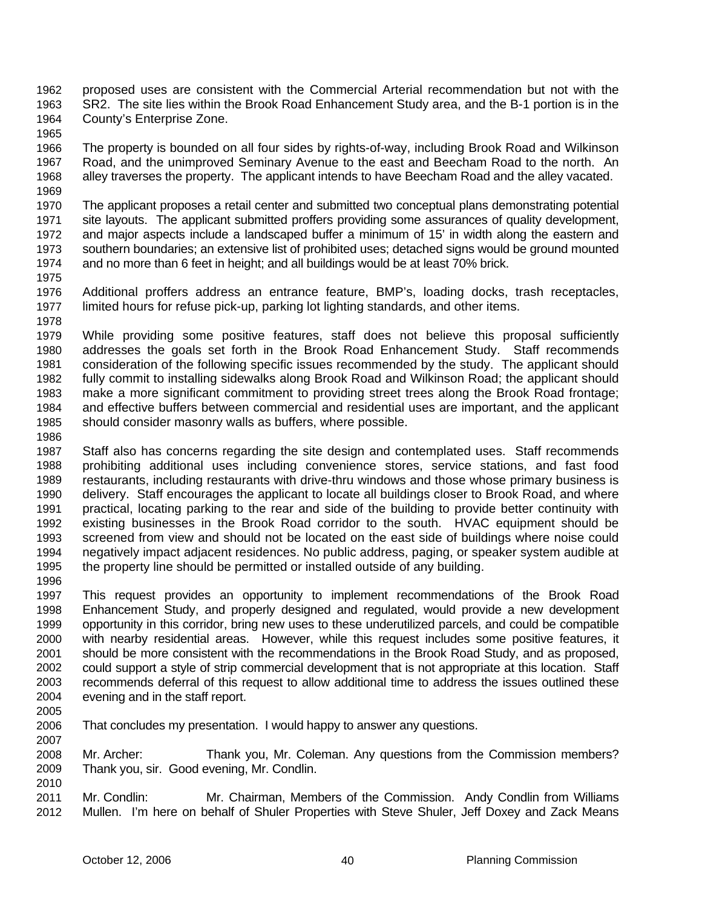proposed uses are consistent with the Commercial Arterial recommendation but not with the SR2. The site lies within the Brook Road Enhancement Study area, and the B-1 portion is in the County's Enterprise Zone. 1962 1963 1964

1966 1967 1968 1969 The property is bounded on all four sides by rights-of-way, including Brook Road and Wilkinson Road, and the unimproved Seminary Avenue to the east and Beecham Road to the north. An alley traverses the property. The applicant intends to have Beecham Road and the alley vacated.

1970 1971 1972 1973 1974 1975 The applicant proposes a retail center and submitted two conceptual plans demonstrating potential site layouts. The applicant submitted proffers providing some assurances of quality development, and major aspects include a landscaped buffer a minimum of 15' in width along the eastern and southern boundaries; an extensive list of prohibited uses; detached signs would be ground mounted and no more than 6 feet in height; and all buildings would be at least 70% brick.

1976 1977 1978 Additional proffers address an entrance feature, BMP's, loading docks, trash receptacles, limited hours for refuse pick-up, parking lot lighting standards, and other items.

1979 1980 1981 1982 1983 1984 1985 While providing some positive features, staff does not believe this proposal sufficiently addresses the goals set forth in the Brook Road Enhancement Study. Staff recommends consideration of the following specific issues recommended by the study. The applicant should fully commit to installing sidewalks along Brook Road and Wilkinson Road; the applicant should make a more significant commitment to providing street trees along the Brook Road frontage; and effective buffers between commercial and residential uses are important, and the applicant should consider masonry walls as buffers, where possible.

1986

1965

1987 1988 1989 1990 1991 1992 1993 1994 1995 Staff also has concerns regarding the site design and contemplated uses. Staff recommends prohibiting additional uses including convenience stores, service stations, and fast food restaurants, including restaurants with drive-thru windows and those whose primary business is delivery. Staff encourages the applicant to locate all buildings closer to Brook Road, and where practical, locating parking to the rear and side of the building to provide better continuity with existing businesses in the Brook Road corridor to the south. HVAC equipment should be screened from view and should not be located on the east side of buildings where noise could negatively impact adjacent residences. No public address, paging, or speaker system audible at the property line should be permitted or installed outside of any building.

1996

1997 1998 1999 2000 2001 2002 2003 2004 This request provides an opportunity to implement recommendations of the Brook Road Enhancement Study, and properly designed and regulated, would provide a new development opportunity in this corridor, bring new uses to these underutilized parcels, and could be compatible with nearby residential areas. However, while this request includes some positive features, it should be more consistent with the recommendations in the Brook Road Study, and as proposed, could support a style of strip commercial development that is not appropriate at this location. Staff recommends deferral of this request to allow additional time to address the issues outlined these evening and in the staff report.

2005

2006 2007 That concludes my presentation. I would happy to answer any questions.

2008 2009 2010 Mr. Archer: Thank you, Mr. Coleman. Any questions from the Commission members? Thank you, sir. Good evening, Mr. Condlin.

2011 2012 Mr. Condlin: Mr. Chairman, Members of the Commission. Andy Condlin from Williams Mullen. I'm here on behalf of Shuler Properties with Steve Shuler, Jeff Doxey and Zack Means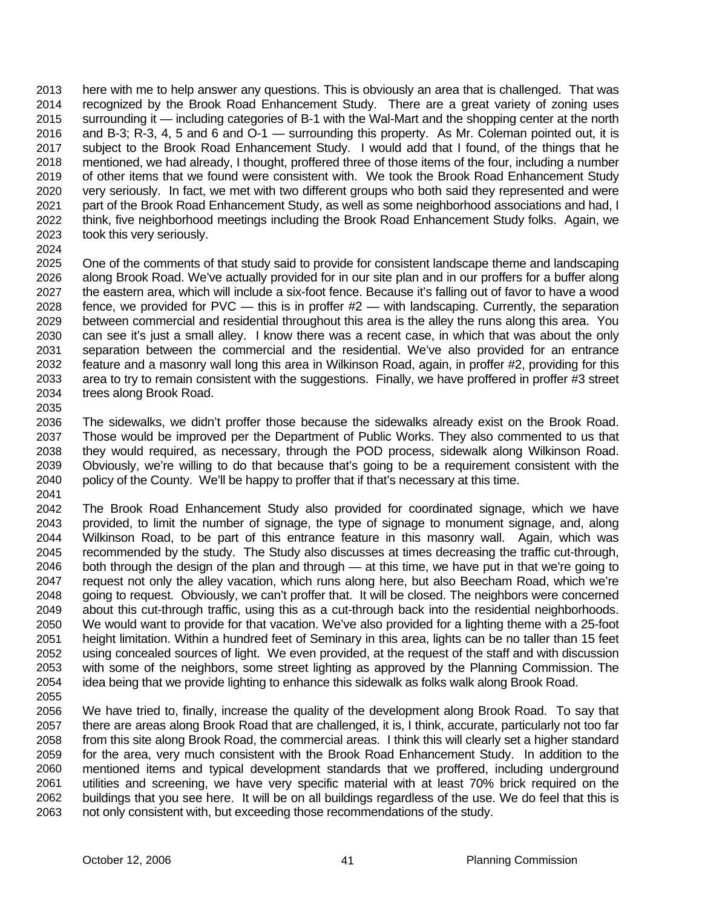here with me to help answer any questions. This is obviously an area that is challenged. That was recognized by the Brook Road Enhancement Study. There are a great variety of zoning uses surrounding it — including categories of B-1 with the Wal-Mart and the shopping center at the north and B-3; R-3, 4, 5 and 6 and O-1 — surrounding this property. As Mr. Coleman pointed out, it is subject to the Brook Road Enhancement Study. I would add that I found, of the things that he mentioned, we had already, I thought, proffered three of those items of the four, including a number of other items that we found were consistent with. We took the Brook Road Enhancement Study very seriously. In fact, we met with two different groups who both said they represented and were part of the Brook Road Enhancement Study, as well as some neighborhood associations and had, I think, five neighborhood meetings including the Brook Road Enhancement Study folks. Again, we took this very seriously. 2013 2014 2015 2016 2017 2018 2019 2020 2021 2022 2023

2024

2035

2025 2026 2027 2028 2029 2030 2031 2032 2033 2034 One of the comments of that study said to provide for consistent landscape theme and landscaping along Brook Road. We've actually provided for in our site plan and in our proffers for a buffer along the eastern area, which will include a six-foot fence. Because it's falling out of favor to have a wood fence, we provided for PVC — this is in proffer #2 — with landscaping. Currently, the separation between commercial and residential throughout this area is the alley the runs along this area. You can see it's just a small alley. I know there was a recent case, in which that was about the only separation between the commercial and the residential. We've also provided for an entrance feature and a masonry wall long this area in Wilkinson Road, again, in proffer #2, providing for this area to try to remain consistent with the suggestions. Finally, we have proffered in proffer #3 street trees along Brook Road.

2036 2037 2038 2039 2040 2041 The sidewalks, we didn't proffer those because the sidewalks already exist on the Brook Road. Those would be improved per the Department of Public Works. They also commented to us that they would required, as necessary, through the POD process, sidewalk along Wilkinson Road. Obviously, we're willing to do that because that's going to be a requirement consistent with the policy of the County. We'll be happy to proffer that if that's necessary at this time.

2042 2043 2044 2045 2046 2047 2048 2049 2050 2051 2052 2053 2054 2055 The Brook Road Enhancement Study also provided for coordinated signage, which we have provided, to limit the number of signage, the type of signage to monument signage, and, along Wilkinson Road, to be part of this entrance feature in this masonry wall. Again, which was recommended by the study. The Study also discusses at times decreasing the traffic cut-through, both through the design of the plan and through — at this time, we have put in that we're going to request not only the alley vacation, which runs along here, but also Beecham Road, which we're going to request. Obviously, we can't proffer that. It will be closed. The neighbors were concerned about this cut-through traffic, using this as a cut-through back into the residential neighborhoods. We would want to provide for that vacation. We've also provided for a lighting theme with a 25-foot height limitation. Within a hundred feet of Seminary in this area, lights can be no taller than 15 feet using concealed sources of light. We even provided, at the request of the staff and with discussion with some of the neighbors, some street lighting as approved by the Planning Commission. The idea being that we provide lighting to enhance this sidewalk as folks walk along Brook Road.

2056 2057 2058 2059 2060 2061 2062 2063 We have tried to, finally, increase the quality of the development along Brook Road. To say that there are areas along Brook Road that are challenged, it is, I think, accurate, particularly not too far from this site along Brook Road, the commercial areas. I think this will clearly set a higher standard for the area, very much consistent with the Brook Road Enhancement Study. In addition to the mentioned items and typical development standards that we proffered, including underground utilities and screening, we have very specific material with at least 70% brick required on the buildings that you see here. It will be on all buildings regardless of the use. We do feel that this is not only consistent with, but exceeding those recommendations of the study.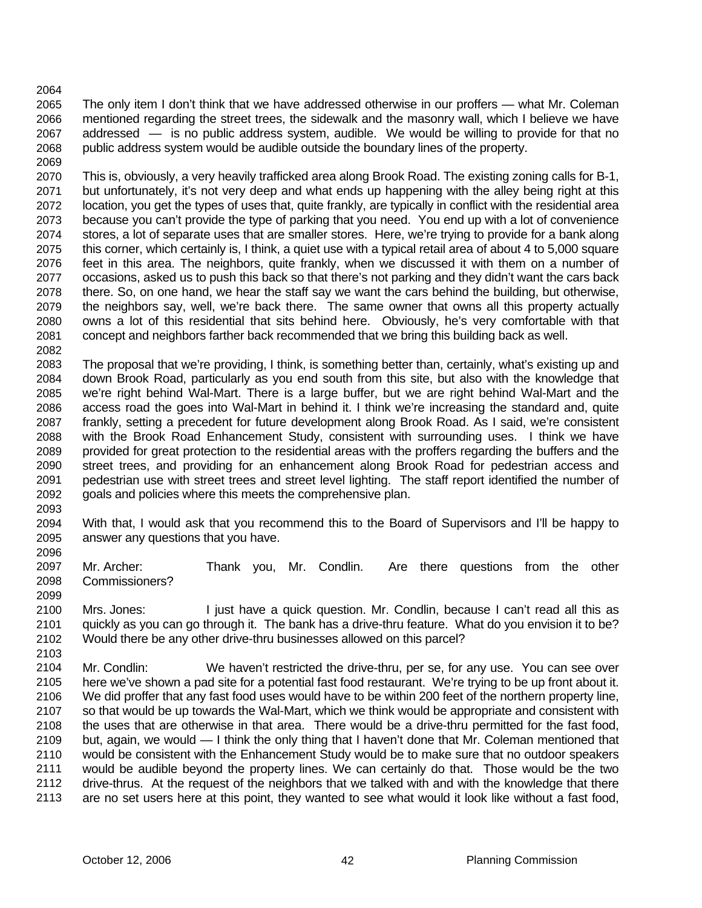### 2064

2065 2066 2067 2068 The only item I don't think that we have addressed otherwise in our proffers — what Mr. Coleman mentioned regarding the street trees, the sidewalk and the masonry wall, which I believe we have addressed — is no public address system, audible. We would be willing to provide for that no public address system would be audible outside the boundary lines of the property.

2069 2070 2071 2072 2073 2074 2075 2076 2077 2078 2079 2080 2081 2082 This is, obviously, a very heavily trafficked area along Brook Road. The existing zoning calls for B-1, but unfortunately, it's not very deep and what ends up happening with the alley being right at this location, you get the types of uses that, quite frankly, are typically in conflict with the residential area because you can't provide the type of parking that you need. You end up with a lot of convenience stores, a lot of separate uses that are smaller stores. Here, we're trying to provide for a bank along this corner, which certainly is, I think, a quiet use with a typical retail area of about 4 to 5,000 square feet in this area. The neighbors, quite frankly, when we discussed it with them on a number of occasions, asked us to push this back so that there's not parking and they didn't want the cars back there. So, on one hand, we hear the staff say we want the cars behind the building, but otherwise, the neighbors say, well, we're back there. The same owner that owns all this property actually owns a lot of this residential that sits behind here. Obviously, he's very comfortable with that concept and neighbors farther back recommended that we bring this building back as well.

2083 2084 2085 2086 2087 2088 2089 2090 2091 2092 The proposal that we're providing, I think, is something better than, certainly, what's existing up and down Brook Road, particularly as you end south from this site, but also with the knowledge that we're right behind Wal-Mart. There is a large buffer, but we are right behind Wal-Mart and the access road the goes into Wal-Mart in behind it. I think we're increasing the standard and, quite frankly, setting a precedent for future development along Brook Road. As I said, we're consistent with the Brook Road Enhancement Study, consistent with surrounding uses. I think we have provided for great protection to the residential areas with the proffers regarding the buffers and the street trees, and providing for an enhancement along Brook Road for pedestrian access and pedestrian use with street trees and street level lighting. The staff report identified the number of goals and policies where this meets the comprehensive plan.

2094 2095 With that, I would ask that you recommend this to the Board of Supervisors and I'll be happy to answer any questions that you have.

2097 2098 2099 Mr. Archer: Thank you, Mr. Condlin. Are there questions from the other Commissioners?

2100 2101 2102 Mrs. Jones: I just have a quick question. Mr. Condlin, because I can't read all this as quickly as you can go through it. The bank has a drive-thru feature. What do you envision it to be? Would there be any other drive-thru businesses allowed on this parcel?

2103

2093

2096

2104 2105 2106 2107 2108 2109 2110 2111 2112 2113 Mr. Condlin: We haven't restricted the drive-thru, per se, for any use. You can see over here we've shown a pad site for a potential fast food restaurant. We're trying to be up front about it. We did proffer that any fast food uses would have to be within 200 feet of the northern property line, so that would be up towards the Wal-Mart, which we think would be appropriate and consistent with the uses that are otherwise in that area. There would be a drive-thru permitted for the fast food, but, again, we would — I think the only thing that I haven't done that Mr. Coleman mentioned that would be consistent with the Enhancement Study would be to make sure that no outdoor speakers would be audible beyond the property lines. We can certainly do that. Those would be the two drive-thrus. At the request of the neighbors that we talked with and with the knowledge that there are no set users here at this point, they wanted to see what would it look like without a fast food,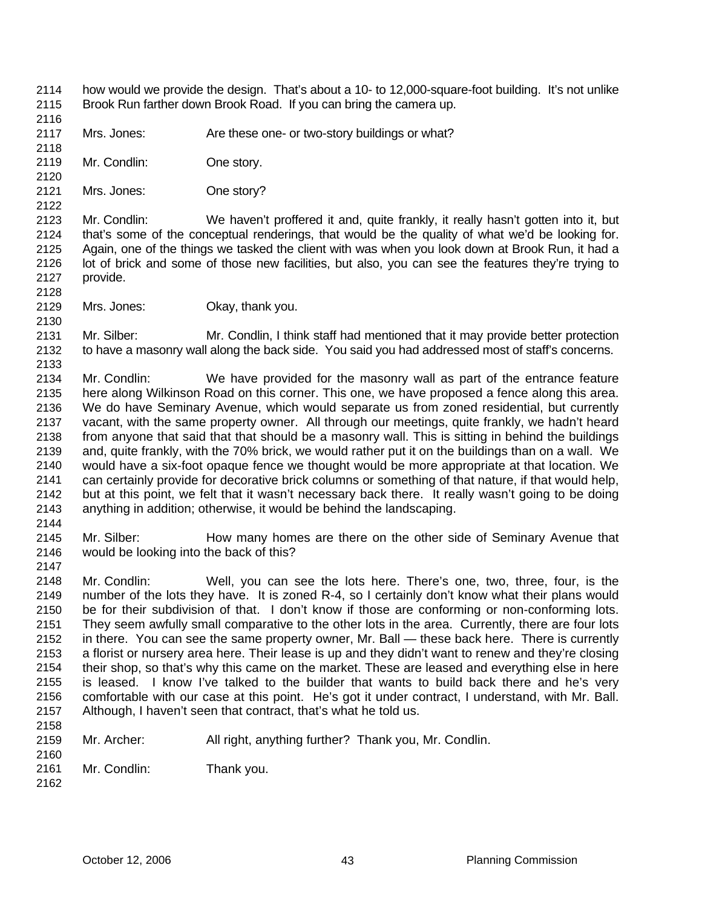- how would we provide the design. That's about a 10- to 12,000-square-foot building. It's not unlike Brook Run farther down Brook Road. If you can bring the camera up. 2114 2115
- 2117 Mrs. Jones: Are these one- or two-story buildings or what?
- 2119 Mr. Condlin: One story.
- 2121 Mrs. Jones: One story?

2123 2124 2125 2126 2127 2128 Mr. Condlin: We haven't proffered it and, quite frankly, it really hasn't gotten into it, but that's some of the conceptual renderings, that would be the quality of what we'd be looking for. Again, one of the things we tasked the client with was when you look down at Brook Run, it had a lot of brick and some of those new facilities, but also, you can see the features they're trying to provide.

2129 2130 Mrs. Jones: **Okay, thank you.** 

2131 2132 Mr. Silber: Mr. Condlin, I think staff had mentioned that it may provide better protection to have a masonry wall along the back side. You said you had addressed most of staff's concerns.

2134 2135 2136 2137 2138 2139 2140 2141 2142 2143 Mr. Condlin: We have provided for the masonry wall as part of the entrance feature here along Wilkinson Road on this corner. This one, we have proposed a fence along this area. We do have Seminary Avenue, which would separate us from zoned residential, but currently vacant, with the same property owner. All through our meetings, quite frankly, we hadn't heard from anyone that said that that should be a masonry wall. This is sitting in behind the buildings and, quite frankly, with the 70% brick, we would rather put it on the buildings than on a wall. We would have a six-foot opaque fence we thought would be more appropriate at that location. We can certainly provide for decorative brick columns or something of that nature, if that would help, but at this point, we felt that it wasn't necessary back there. It really wasn't going to be doing anything in addition; otherwise, it would be behind the landscaping.

2144

2147

2116

2118

2120

2122

2133

2145 2146 Mr. Silber: How many homes are there on the other side of Seminary Avenue that would be looking into the back of this?

2148 2149 2150 2151 2152 2153 2154 2155 2156 2157 2158 Mr. Condlin: Well, you can see the lots here. There's one, two, three, four, is the number of the lots they have. It is zoned R-4, so I certainly don't know what their plans would be for their subdivision of that. I don't know if those are conforming or non-conforming lots. They seem awfully small comparative to the other lots in the area. Currently, there are four lots in there. You can see the same property owner, Mr. Ball — these back here. There is currently a florist or nursery area here. Their lease is up and they didn't want to renew and they're closing their shop, so that's why this came on the market. These are leased and everything else in here is leased. I know I've talked to the builder that wants to build back there and he's very comfortable with our case at this point. He's got it under contract, I understand, with Mr. Ball. Although, I haven't seen that contract, that's what he told us.

- 2159 2160 Mr. Archer: All right, anything further? Thank you, Mr. Condlin.
- 2161 Mr. Condlin: Thank you.
- 2162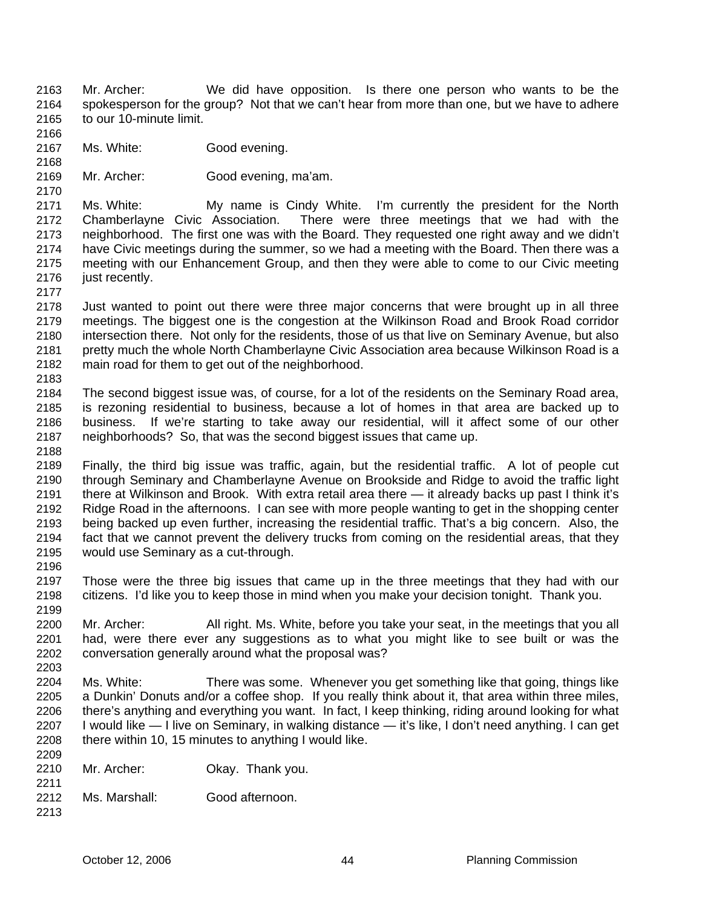- Mr. Archer: We did have opposition. Is there one person who wants to be the spokesperson for the group? Not that we can't hear from more than one, but we have to adhere to our 10-minute limit. 2163 2164 2165
- 2167 Ms. White: Good evening.
- 2169 Mr. Archer: Good evening, ma'am.

2171 2172 2173 2174 2175 2176 Ms. White: My name is Cindy White. I'm currently the president for the North Chamberlayne Civic Association. There were three meetings that we had with the neighborhood. The first one was with the Board. They requested one right away and we didn't have Civic meetings during the summer, so we had a meeting with the Board. Then there was a meeting with our Enhancement Group, and then they were able to come to our Civic meeting just recently.

2177

2166

2168

2170

2178 2179 2180 2181 2182 Just wanted to point out there were three major concerns that were brought up in all three meetings. The biggest one is the congestion at the Wilkinson Road and Brook Road corridor intersection there. Not only for the residents, those of us that live on Seminary Avenue, but also pretty much the whole North Chamberlayne Civic Association area because Wilkinson Road is a main road for them to get out of the neighborhood.

2183

2184 2185 2186 2187 2188 The second biggest issue was, of course, for a lot of the residents on the Seminary Road area, is rezoning residential to business, because a lot of homes in that area are backed up to business. If we're starting to take away our residential, will it affect some of our other neighborhoods? So, that was the second biggest issues that came up.

2189 2190 2191 2192 2193 2194 2195 Finally, the third big issue was traffic, again, but the residential traffic. A lot of people cut through Seminary and Chamberlayne Avenue on Brookside and Ridge to avoid the traffic light there at Wilkinson and Brook. With extra retail area there — it already backs up past I think it's Ridge Road in the afternoons. I can see with more people wanting to get in the shopping center being backed up even further, increasing the residential traffic. That's a big concern. Also, the fact that we cannot prevent the delivery trucks from coming on the residential areas, that they would use Seminary as a cut-through.

2196

2211

2213

2197 2198 2199 Those were the three big issues that came up in the three meetings that they had with our citizens. I'd like you to keep those in mind when you make your decision tonight. Thank you.

2200 2201 2202 2203 Mr. Archer: All right. Ms. White, before you take your seat, in the meetings that you all had, were there ever any suggestions as to what you might like to see built or was the conversation generally around what the proposal was?

2204 2205 2206 2207 2208 2209 Ms. White: There was some. Whenever you get something like that going, things like a Dunkin' Donuts and/or a coffee shop. If you really think about it, that area within three miles, there's anything and everything you want. In fact, I keep thinking, riding around looking for what I would like — I live on Seminary, in walking distance — it's like, I don't need anything. I can get there within 10, 15 minutes to anything I would like.

- 2210 Mr. Archer: Okay. Thank you.
- 2212 Ms. Marshall: Good afternoon.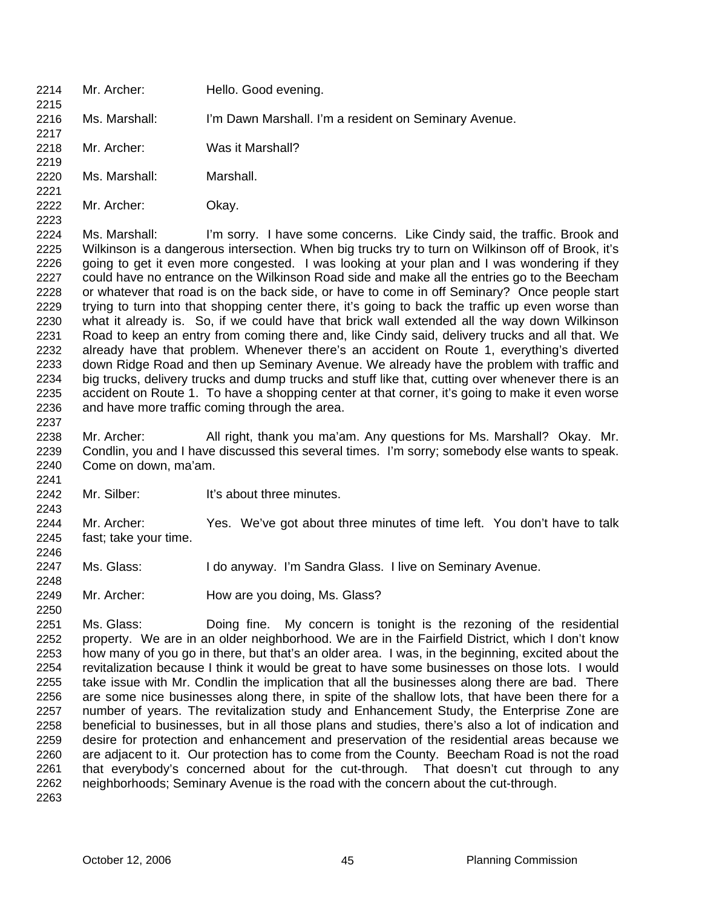- 2214 Mr. Archer: Hello. Good evening. 2215 2216 2217 2218 2219 2220 2221 2222 2223 2224 2225 2226 2227 2228 2229 2230 2231 2232 2233 2234 Ms. Marshall: I'm Dawn Marshall. I'm a resident on Seminary Avenue. Mr. Archer: Was it Marshall? Ms. Marshall: Marshall. Mr. Archer: Okay. Ms. Marshall: I'm sorry. I have some concerns. Like Cindy said, the traffic. Brook and Wilkinson is a dangerous intersection. When big trucks try to turn on Wilkinson off of Brook, it's going to get it even more congested. I was looking at your plan and I was wondering if they could have no entrance on the Wilkinson Road side and make all the entries go to the Beecham or whatever that road is on the back side, or have to come in off Seminary? Once people start trying to turn into that shopping center there, it's going to back the traffic up even worse than what it already is. So, if we could have that brick wall extended all the way down Wilkinson Road to keep an entry from coming there and, like Cindy said, delivery trucks and all that. We already have that problem. Whenever there's an accident on Route 1, everything's diverted down Ridge Road and then up Seminary Avenue. We already have the problem with traffic and big trucks, delivery trucks and dump trucks and stuff like that, cutting over whenever there is an
- 2235 2236 2237 2238 accident on Route 1. To have a shopping center at that corner, it's going to make it even worse and have more traffic coming through the area. Mr. Archer: All right, thank you ma'am. Any questions for Ms. Marshall? Okay. Mr.
- 2239 2240 2241 Condlin, you and I have discussed this several times. I'm sorry; somebody else wants to speak. Come on down, ma'am.
- 2242 Mr. Silber: It's about three minutes.

2243

2248

- 2244 2245 2246 Mr. Archer: Yes. We've got about three minutes of time left. You don't have to talk fast; take your time.
- 2247 Ms. Glass: I do anyway. I'm Sandra Glass. I live on Seminary Avenue.
- 2249 Mr. Archer: How are you doing, Ms. Glass?
- 2251 2252 2253 2254 2255 2256 2257 2258 2259 2260 2261 2262 2263 Ms. Glass: Doing fine. My concern is tonight is the rezoning of the residential property. We are in an older neighborhood. We are in the Fairfield District, which I don't know how many of you go in there, but that's an older area. I was, in the beginning, excited about the revitalization because I think it would be great to have some businesses on those lots. I would take issue with Mr. Condlin the implication that all the businesses along there are bad. There are some nice businesses along there, in spite of the shallow lots, that have been there for a number of years. The revitalization study and Enhancement Study, the Enterprise Zone are beneficial to businesses, but in all those plans and studies, there's also a lot of indication and desire for protection and enhancement and preservation of the residential areas because we are adjacent to it. Our protection has to come from the County. Beecham Road is not the road that everybody's concerned about for the cut-through. That doesn't cut through to any neighborhoods; Seminary Avenue is the road with the concern about the cut-through.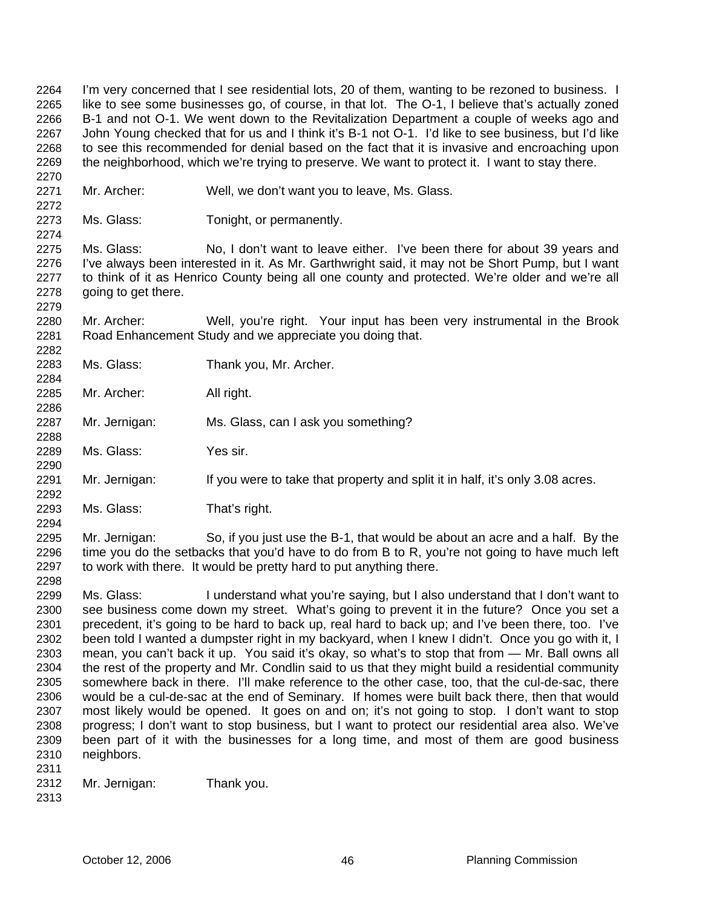I'm very concerned that I see residential lots, 20 of them, wanting to be rezoned to business. I like to see some businesses go, of course, in that lot. The O-1, I believe that's actually zoned B-1 and not O-1. We went down to the Revitalization Department a couple of weeks ago and John Young checked that for us and I think it's B-1 not O-1. I'd like to see business, but I'd like to see this recommended for denial based on the fact that it is invasive and encroaching upon the neighborhood, which we're trying to preserve. We want to protect it. I want to stay there. 2264 2265 2266 2267 2268 2269 2270

- 2271 Mr. Archer: Well, we don't want you to leave, Ms. Glass.
- 2273 Ms. Glass: Tonight, or permanently.

2275 2276 2277 2278 Ms. Glass: No, I don't want to leave either. I've been there for about 39 years and I've always been interested in it. As Mr. Garthwright said, it may not be Short Pump, but I want to think of it as Henrico County being all one county and protected. We're older and we're all going to get there.

2280 2281 Mr. Archer: Well, you're right. Your input has been very instrumental in the Brook Road Enhancement Study and we appreciate you doing that.

2283 2284 Ms. Glass: Thank you, Mr. Archer.

2285 Mr. Archer: All right.

- 2287 Mr. Jernigan: Ms. Glass, can I ask you something?
- 2289 Ms. Glass: Yes sir.
- 2291 Mr. Jernigan: If you were to take that property and split it in half, it's only 3.08 acres.
- 2293 Ms. Glass: That's right.

2295 2296 2297 2298 Mr. Jernigan: So, if you just use the B-1, that would be about an acre and a half. By the time you do the setbacks that you'd have to do from B to R, you're not going to have much left to work with there. It would be pretty hard to put anything there.

2299 2300 2301 2302 2303 2304 2305 2306 2307 2308 2309 2310 Ms. Glass: I understand what you're saying, but I also understand that I don't want to see business come down my street. What's going to prevent it in the future? Once you set a precedent, it's going to be hard to back up, real hard to back up; and I've been there, too. I've been told I wanted a dumpster right in my backyard, when I knew I didn't. Once you go with it, I mean, you can't back it up. You said it's okay, so what's to stop that from — Mr. Ball owns all the rest of the property and Mr. Condlin said to us that they might build a residential community somewhere back in there. I'll make reference to the other case, too, that the cul-de-sac, there would be a cul-de-sac at the end of Seminary. If homes were built back there, then that would most likely would be opened. It goes on and on; it's not going to stop. I don't want to stop progress; I don't want to stop business, but I want to protect our residential area also. We've been part of it with the businesses for a long time, and most of them are good business neighbors.

2311

2272

2274

2279

2282

2286

2288

2290

2292

- 2312 Mr. Jernigan: Thank you.
- 2313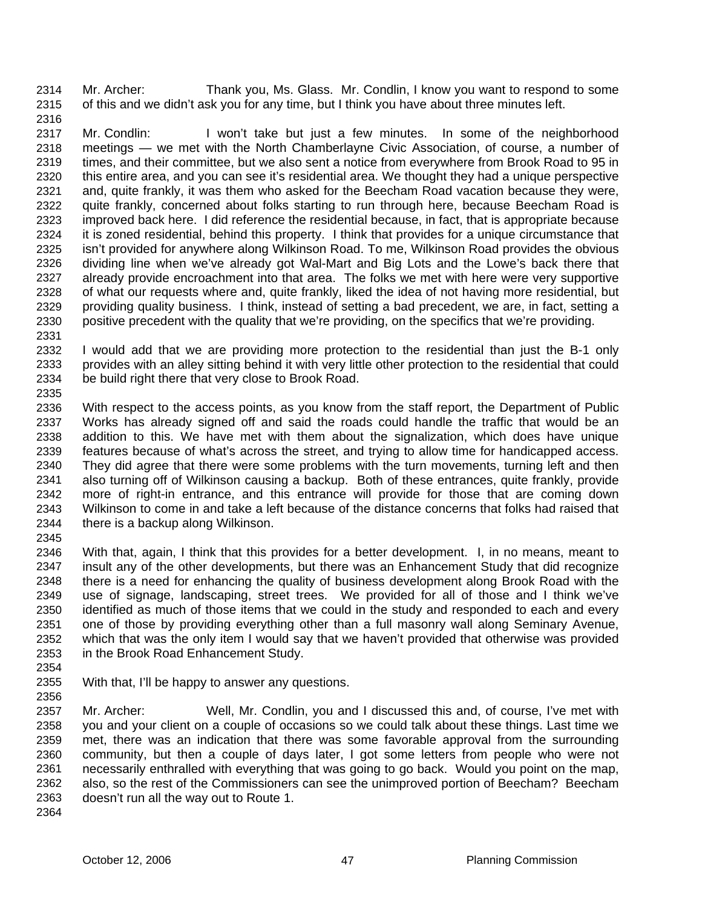Mr. Archer: Thank you, Ms. Glass. Mr. Condlin, I know you want to respond to some of this and we didn't ask you for any time, but I think you have about three minutes left. 2314 2315

2317 2318 2319 2320 2321 2322 2323 2324 2325 2326 2327 2328 2329 2330 2331 Mr. Condlin: I won't take but just a few minutes. In some of the neighborhood meetings — we met with the North Chamberlayne Civic Association, of course, a number of times, and their committee, but we also sent a notice from everywhere from Brook Road to 95 in this entire area, and you can see it's residential area. We thought they had a unique perspective and, quite frankly, it was them who asked for the Beecham Road vacation because they were, quite frankly, concerned about folks starting to run through here, because Beecham Road is improved back here. I did reference the residential because, in fact, that is appropriate because it is zoned residential, behind this property. I think that provides for a unique circumstance that isn't provided for anywhere along Wilkinson Road. To me, Wilkinson Road provides the obvious dividing line when we've already got Wal-Mart and Big Lots and the Lowe's back there that already provide encroachment into that area. The folks we met with here were very supportive of what our requests where and, quite frankly, liked the idea of not having more residential, but providing quality business. I think, instead of setting a bad precedent, we are, in fact, setting a positive precedent with the quality that we're providing, on the specifics that we're providing.

2332 2333 2334 2335 I would add that we are providing more protection to the residential than just the B-1 only provides with an alley sitting behind it with very little other protection to the residential that could be build right there that very close to Brook Road.

2336 2337 2338 2339 2340 2341 2342 2343 2344 2345 With respect to the access points, as you know from the staff report, the Department of Public Works has already signed off and said the roads could handle the traffic that would be an addition to this. We have met with them about the signalization, which does have unique features because of what's across the street, and trying to allow time for handicapped access. They did agree that there were some problems with the turn movements, turning left and then also turning off of Wilkinson causing a backup. Both of these entrances, quite frankly, provide more of right-in entrance, and this entrance will provide for those that are coming down Wilkinson to come in and take a left because of the distance concerns that folks had raised that there is a backup along Wilkinson.

2346 2347 2348 2349 2350 2351 2352 2353 With that, again, I think that this provides for a better development. I, in no means, meant to insult any of the other developments, but there was an Enhancement Study that did recognize there is a need for enhancing the quality of business development along Brook Road with the use of signage, landscaping, street trees. We provided for all of those and I think we've identified as much of those items that we could in the study and responded to each and every one of those by providing everything other than a full masonry wall along Seminary Avenue, which that was the only item I would say that we haven't provided that otherwise was provided in the Brook Road Enhancement Study.

2354

2316

2355 2356 With that, I'll be happy to answer any questions.

2357 2358 2359 2360 2361 2362 2363 2364 Mr. Archer: Well, Mr. Condlin, you and I discussed this and, of course, I've met with you and your client on a couple of occasions so we could talk about these things. Last time we met, there was an indication that there was some favorable approval from the surrounding community, but then a couple of days later, I got some letters from people who were not necessarily enthralled with everything that was going to go back. Would you point on the map, also, so the rest of the Commissioners can see the unimproved portion of Beecham? Beecham doesn't run all the way out to Route 1.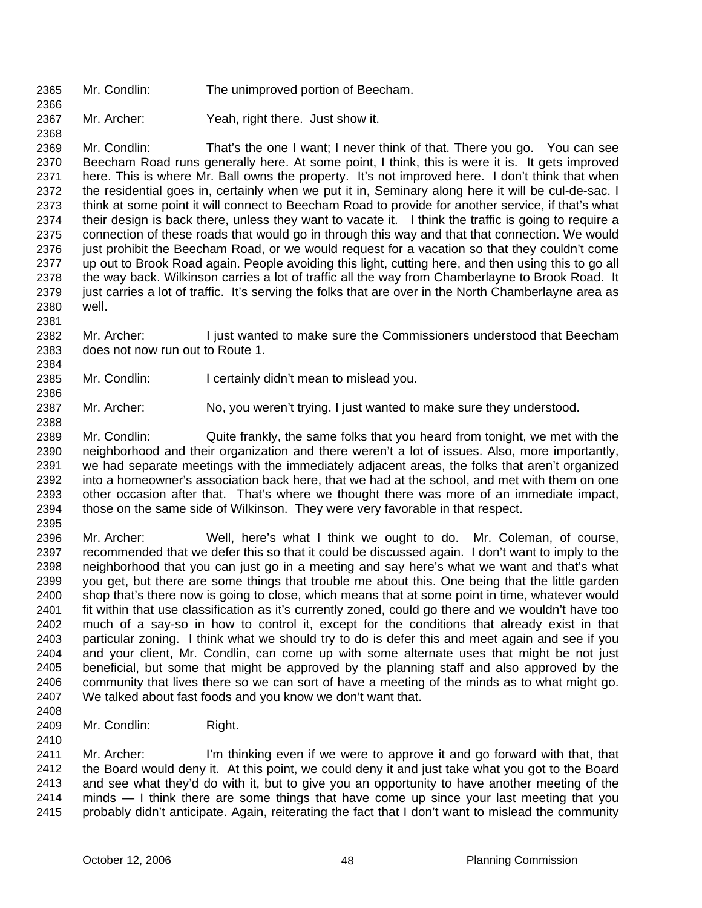- 2365 Mr. Condlin: The unimproved portion of Beecham.
- 2367 Mr. Archer: Yeah, right there. Just show it.

2369 2370 2371 2372 2373 2374 2375 2376 2377 2378 2379 2380 Mr. Condlin: That's the one I want; I never think of that. There you go. You can see Beecham Road runs generally here. At some point, I think, this is were it is. It gets improved here. This is where Mr. Ball owns the property. It's not improved here. I don't think that when the residential goes in, certainly when we put it in, Seminary along here it will be cul-de-sac. I think at some point it will connect to Beecham Road to provide for another service, if that's what their design is back there, unless they want to vacate it. I think the traffic is going to require a connection of these roads that would go in through this way and that that connection. We would just prohibit the Beecham Road, or we would request for a vacation so that they couldn't come up out to Brook Road again. People avoiding this light, cutting here, and then using this to go all the way back. Wilkinson carries a lot of traffic all the way from Chamberlayne to Brook Road. It just carries a lot of traffic. It's serving the folks that are over in the North Chamberlayne area as well.

2382 2383 Mr. Archer: I just wanted to make sure the Commissioners understood that Beecham does not now run out to Route 1.

- 2385 Mr. Condlin: I certainly didn't mean to mislead you.
- 2387 Mr. Archer: No, you weren't trying. I just wanted to make sure they understood.

2389 2390 2391 2392 2393 2394 Mr. Condlin: Quite frankly, the same folks that you heard from tonight, we met with the neighborhood and their organization and there weren't a lot of issues. Also, more importantly, we had separate meetings with the immediately adjacent areas, the folks that aren't organized into a homeowner's association back here, that we had at the school, and met with them on one other occasion after that. That's where we thought there was more of an immediate impact, those on the same side of Wilkinson. They were very favorable in that respect.

2395

2366

2368

2381

2384

2386

2388

2396 2397 2398 2399 2400 2401 2402 2403 2404 2405 2406 2407 Mr. Archer: Well, here's what I think we ought to do. Mr. Coleman, of course, recommended that we defer this so that it could be discussed again. I don't want to imply to the neighborhood that you can just go in a meeting and say here's what we want and that's what you get, but there are some things that trouble me about this. One being that the little garden shop that's there now is going to close, which means that at some point in time, whatever would fit within that use classification as it's currently zoned, could go there and we wouldn't have too much of a say-so in how to control it, except for the conditions that already exist in that particular zoning. I think what we should try to do is defer this and meet again and see if you and your client, Mr. Condlin, can come up with some alternate uses that might be not just beneficial, but some that might be approved by the planning staff and also approved by the community that lives there so we can sort of have a meeting of the minds as to what might go. We talked about fast foods and you know we don't want that.

2408

2410

2409 Mr. Condlin: Right.

2411 2412 2413 2414 2415 Mr. Archer: I'm thinking even if we were to approve it and go forward with that, that the Board would deny it. At this point, we could deny it and just take what you got to the Board and see what they'd do with it, but to give you an opportunity to have another meeting of the minds — I think there are some things that have come up since your last meeting that you probably didn't anticipate. Again, reiterating the fact that I don't want to mislead the community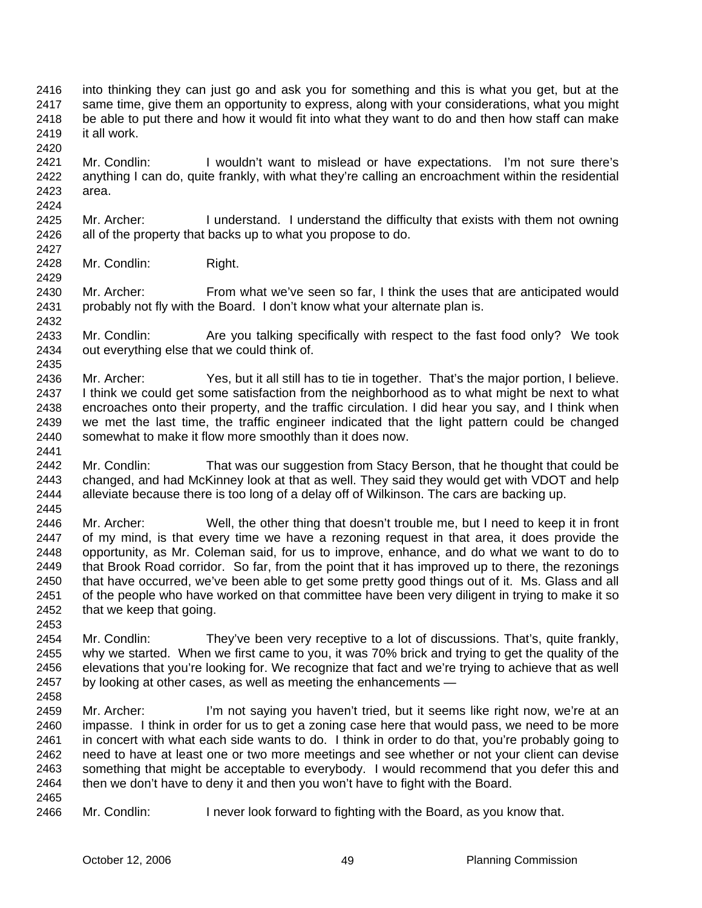- into thinking they can just go and ask you for something and this is what you get, but at the same time, give them an opportunity to express, along with your considerations, what you might be able to put there and how it would fit into what they want to do and then how staff can make it all work. 2416 2417 2418 2419
- 2421 2422 2423 Mr. Condlin: I wouldn't want to mislead or have expectations. I'm not sure there's anything I can do, quite frankly, with what they're calling an encroachment within the residential area.
- 2425 2426 2427 Mr. Archer: I understand. I understand the difficulty that exists with them not owning all of the property that backs up to what you propose to do.
- 2428 Mr. Condlin: Right.

2420

2424

2429

2435

2445

2430 2431 2432 Mr. Archer: From what we've seen so far, I think the uses that are anticipated would probably not fly with the Board. I don't know what your alternate plan is.

2433 2434 Mr. Condlin: Are you talking specifically with respect to the fast food only? We took out everything else that we could think of.

- 2436 2437 2438 2439 2440 2441 Mr. Archer: Yes, but it all still has to tie in together. That's the major portion, I believe. I think we could get some satisfaction from the neighborhood as to what might be next to what encroaches onto their property, and the traffic circulation. I did hear you say, and I think when we met the last time, the traffic engineer indicated that the light pattern could be changed somewhat to make it flow more smoothly than it does now.
- 2442 2443 2444 Mr. Condlin: That was our suggestion from Stacy Berson, that he thought that could be changed, and had McKinney look at that as well. They said they would get with VDOT and help alleviate because there is too long of a delay off of Wilkinson. The cars are backing up.
- 2446 2447 2448 2449 2450 2451 2452 2453 Mr. Archer: Well, the other thing that doesn't trouble me, but I need to keep it in front of my mind, is that every time we have a rezoning request in that area, it does provide the opportunity, as Mr. Coleman said, for us to improve, enhance, and do what we want to do to that Brook Road corridor. So far, from the point that it has improved up to there, the rezonings that have occurred, we've been able to get some pretty good things out of it. Ms. Glass and all of the people who have worked on that committee have been very diligent in trying to make it so that we keep that going.
- 2454 2455 2456 2457 2458 Mr. Condlin: They've been very receptive to a lot of discussions. That's, quite frankly, why we started. When we first came to you, it was 70% brick and trying to get the quality of the elevations that you're looking for. We recognize that fact and we're trying to achieve that as well by looking at other cases, as well as meeting the enhancements —
- 2459 2460 2461 2462 2463 2464 2465 Mr. Archer: I'm not saying you haven't tried, but it seems like right now, we're at an impasse. I think in order for us to get a zoning case here that would pass, we need to be more in concert with what each side wants to do. I think in order to do that, you're probably going to need to have at least one or two more meetings and see whether or not your client can devise something that might be acceptable to everybody. I would recommend that you defer this and then we don't have to deny it and then you won't have to fight with the Board.
- 2466 Mr. Condlin: I never look forward to fighting with the Board, as you know that.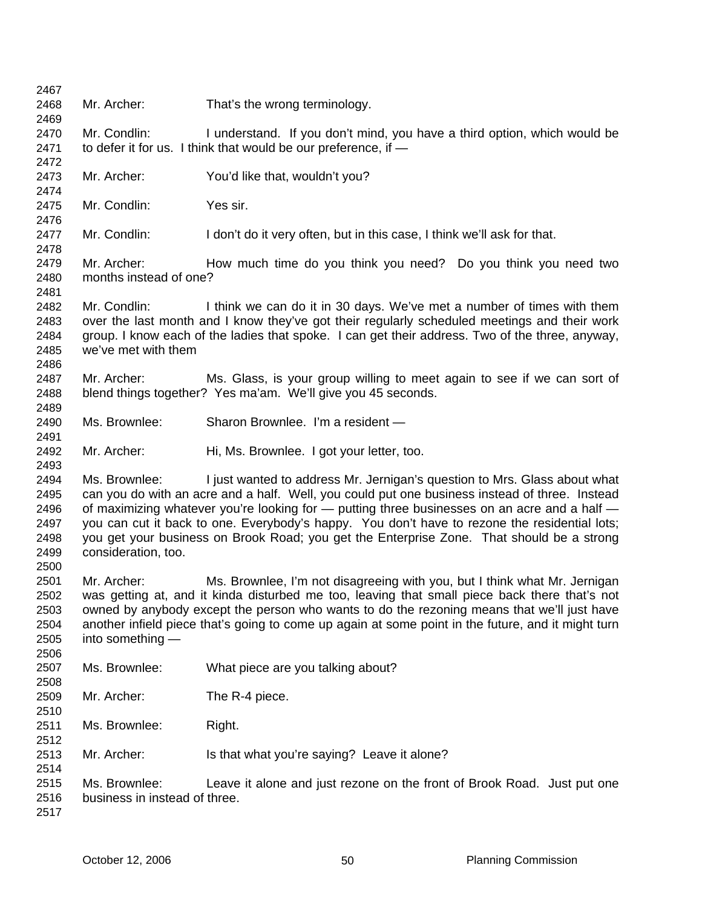| 2467 |                                                                                            |                                                                                                    |
|------|--------------------------------------------------------------------------------------------|----------------------------------------------------------------------------------------------------|
| 2468 | Mr. Archer:                                                                                | That's the wrong terminology.                                                                      |
| 2469 |                                                                                            |                                                                                                    |
| 2470 | Mr. Condlin:                                                                               | I understand. If you don't mind, you have a third option, which would be                           |
| 2471 |                                                                                            | to defer it for us. I think that would be our preference, if -                                     |
| 2472 |                                                                                            |                                                                                                    |
| 2473 | Mr. Archer:                                                                                | You'd like that, wouldn't you?                                                                     |
| 2474 |                                                                                            |                                                                                                    |
| 2475 | Mr. Condlin:                                                                               | Yes sir.                                                                                           |
| 2476 |                                                                                            |                                                                                                    |
| 2477 | Mr. Condlin:                                                                               | I don't do it very often, but in this case, I think we'll ask for that.                            |
| 2478 |                                                                                            |                                                                                                    |
| 2479 | Mr. Archer:                                                                                | How much time do you think you need? Do you think you need two                                     |
|      |                                                                                            |                                                                                                    |
| 2480 | months instead of one?                                                                     |                                                                                                    |
| 2481 |                                                                                            |                                                                                                    |
| 2482 | Mr. Condlin:                                                                               | I think we can do it in 30 days. We've met a number of times with them                             |
| 2483 |                                                                                            | over the last month and I know they've got their regularly scheduled meetings and their work       |
| 2484 |                                                                                            | group. I know each of the ladies that spoke. I can get their address. Two of the three, anyway,    |
| 2485 | we've met with them                                                                        |                                                                                                    |
| 2486 |                                                                                            |                                                                                                    |
| 2487 | Mr. Archer:                                                                                | Ms. Glass, is your group willing to meet again to see if we can sort of                            |
| 2488 |                                                                                            | blend things together? Yes ma'am. We'll give you 45 seconds.                                       |
| 2489 |                                                                                            |                                                                                                    |
| 2490 | Ms. Brownlee:                                                                              | Sharon Brownlee. I'm a resident -                                                                  |
| 2491 |                                                                                            |                                                                                                    |
| 2492 | Mr. Archer:                                                                                | Hi, Ms. Brownlee. I got your letter, too.                                                          |
| 2493 |                                                                                            |                                                                                                    |
| 2494 | Ms. Brownlee:                                                                              | I just wanted to address Mr. Jernigan's question to Mrs. Glass about what                          |
| 2495 |                                                                                            | can you do with an acre and a half. Well, you could put one business instead of three. Instead     |
| 2496 |                                                                                            | of maximizing whatever you're looking for - putting three businesses on an acre and a half -       |
| 2497 |                                                                                            | you can cut it back to one. Everybody's happy. You don't have to rezone the residential lots;      |
| 2498 |                                                                                            | you get your business on Brook Road; you get the Enterprise Zone. That should be a strong          |
|      |                                                                                            |                                                                                                    |
| 2499 | consideration, too.                                                                        |                                                                                                    |
| 2500 |                                                                                            |                                                                                                    |
| 2501 | Mr. Archer:                                                                                | Ms. Brownlee, I'm not disagreeing with you, but I think what Mr. Jernigan                          |
| 2502 |                                                                                            | was getting at, and it kinda disturbed me too, leaving that small piece back there that's not      |
| 2503 | owned by anybody except the person who wants to do the rezoning means that we'll just have |                                                                                                    |
| 2504 |                                                                                            | another infield piece that's going to come up again at some point in the future, and it might turn |
| 2505 | into something -                                                                           |                                                                                                    |
| 2506 |                                                                                            |                                                                                                    |
| 2507 | Ms. Brownlee:                                                                              | What piece are you talking about?                                                                  |
| 2508 |                                                                                            |                                                                                                    |
| 2509 | Mr. Archer:                                                                                | The R-4 piece.                                                                                     |
| 2510 |                                                                                            |                                                                                                    |
| 2511 | Ms. Brownlee:                                                                              | Right.                                                                                             |
| 2512 |                                                                                            |                                                                                                    |
| 2513 | Mr. Archer:                                                                                |                                                                                                    |
|      |                                                                                            | Is that what you're saying? Leave it alone?                                                        |
| 2514 |                                                                                            |                                                                                                    |
| 2515 | Ms. Brownlee:                                                                              | Leave it alone and just rezone on the front of Brook Road. Just put one                            |
| 2516 | business in instead of three.                                                              |                                                                                                    |
| 2517 |                                                                                            |                                                                                                    |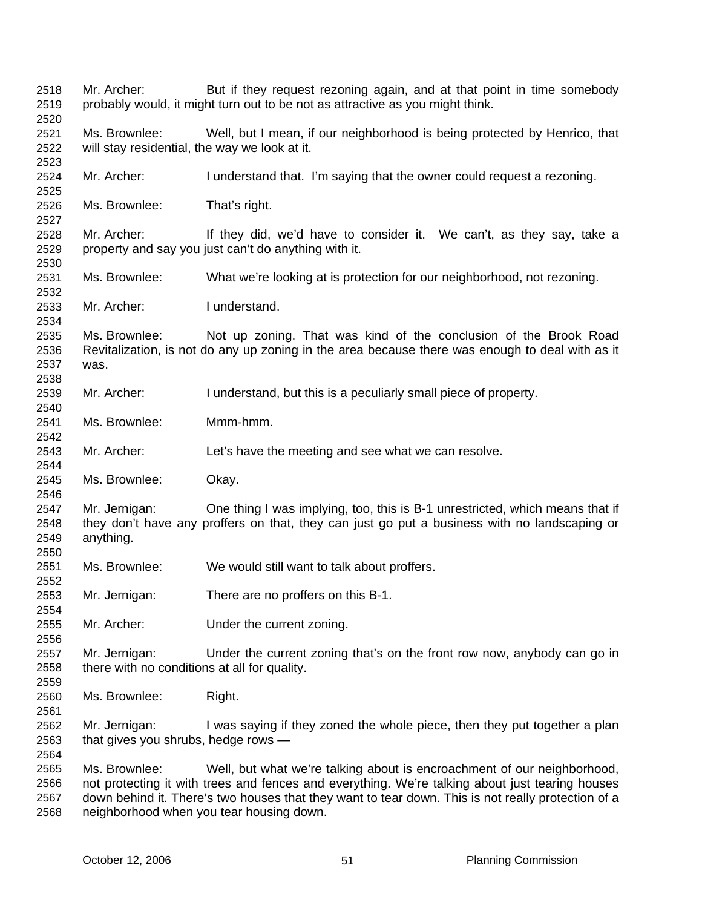| 2518<br>2519<br>2520         | Mr. Archer:                                                    | But if they request rezoning again, and at that point in time somebody<br>probably would, it might turn out to be not as attractive as you might think.                                                                                                                                                                      |
|------------------------------|----------------------------------------------------------------|------------------------------------------------------------------------------------------------------------------------------------------------------------------------------------------------------------------------------------------------------------------------------------------------------------------------------|
| 2521<br>2522                 | Ms. Brownlee:<br>will stay residential, the way we look at it. | Well, but I mean, if our neighborhood is being protected by Henrico, that                                                                                                                                                                                                                                                    |
| 2523<br>2524<br>2525         | Mr. Archer:                                                    | I understand that. I'm saying that the owner could request a rezoning.                                                                                                                                                                                                                                                       |
| 2526<br>2527                 | Ms. Brownlee:                                                  | That's right.                                                                                                                                                                                                                                                                                                                |
| 2528<br>2529<br>2530         | Mr. Archer:                                                    | If they did, we'd have to consider it. We can't, as they say, take a<br>property and say you just can't do anything with it.                                                                                                                                                                                                 |
| 2531<br>2532                 | Ms. Brownlee:                                                  | What we're looking at is protection for our neighborhood, not rezoning.                                                                                                                                                                                                                                                      |
| 2533<br>2534                 | Mr. Archer:                                                    | I understand.                                                                                                                                                                                                                                                                                                                |
| 2535<br>2536<br>2537<br>2538 | Ms. Brownlee:<br>was.                                          | Not up zoning. That was kind of the conclusion of the Brook Road<br>Revitalization, is not do any up zoning in the area because there was enough to deal with as it                                                                                                                                                          |
| 2539<br>2540                 | Mr. Archer:                                                    | I understand, but this is a peculiarly small piece of property.                                                                                                                                                                                                                                                              |
| 2541<br>2542                 | Ms. Brownlee:                                                  | Mmm-hmm.                                                                                                                                                                                                                                                                                                                     |
| 2543<br>2544                 | Mr. Archer:                                                    | Let's have the meeting and see what we can resolve.                                                                                                                                                                                                                                                                          |
| 2545<br>2546                 | Ms. Brownlee:                                                  | Okay.                                                                                                                                                                                                                                                                                                                        |
| 2547<br>2548<br>2549<br>2550 | Mr. Jernigan:<br>anything.                                     | One thing I was implying, too, this is B-1 unrestricted, which means that if<br>they don't have any proffers on that, they can just go put a business with no landscaping or                                                                                                                                                 |
| 2551<br>2552                 | Ms. Brownlee:                                                  | We would still want to talk about proffers.                                                                                                                                                                                                                                                                                  |
| 2553<br>2554                 | Mr. Jernigan:                                                  | There are no proffers on this B-1.                                                                                                                                                                                                                                                                                           |
| 2555<br>2556                 | Mr. Archer:                                                    | Under the current zoning.                                                                                                                                                                                                                                                                                                    |
| 2557<br>2558<br>2559         | Mr. Jernigan:<br>there with no conditions at all for quality.  | Under the current zoning that's on the front row now, anybody can go in                                                                                                                                                                                                                                                      |
| 2560<br>2561                 | Ms. Brownlee:                                                  | Right.                                                                                                                                                                                                                                                                                                                       |
| 2562<br>2563<br>2564         | Mr. Jernigan:<br>that gives you shrubs, hedge rows -           | I was saying if they zoned the whole piece, then they put together a plan                                                                                                                                                                                                                                                    |
| 2565<br>2566<br>2567<br>2568 | Ms. Brownlee:                                                  | Well, but what we're talking about is encroachment of our neighborhood,<br>not protecting it with trees and fences and everything. We're talking about just tearing houses<br>down behind it. There's two houses that they want to tear down. This is not really protection of a<br>neighborhood when you tear housing down. |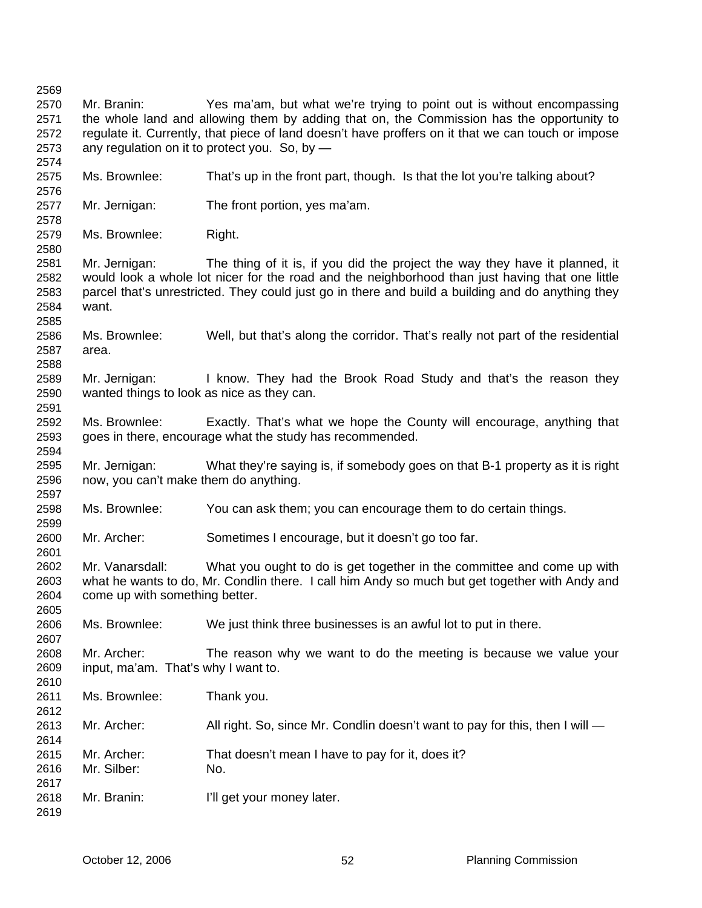Mr. Branin: Yes ma'am, but what we're trying to point out is without encompassing the whole land and allowing them by adding that on, the Commission has the opportunity to regulate it. Currently, that piece of land doesn't have proffers on it that we can touch or impose any regulation on it to protect you. So, by — Ms. Brownlee: That's up in the front part, though. Is that the lot you're talking about? Mr. Jernigan: The front portion, yes ma'am. Ms. Brownlee: Right. Mr. Jernigan: The thing of it is, if you did the project the way they have it planned, it would look a whole lot nicer for the road and the neighborhood than just having that one little parcel that's unrestricted. They could just go in there and build a building and do anything they want. Ms. Brownlee: Well, but that's along the corridor. That's really not part of the residential area. Mr. Jernigan: I know. They had the Brook Road Study and that's the reason they wanted things to look as nice as they can. Ms. Brownlee: Exactly. That's what we hope the County will encourage, anything that goes in there, encourage what the study has recommended. Mr. Jernigan: What they're saying is, if somebody goes on that B-1 property as it is right now, you can't make them do anything. Ms. Brownlee: You can ask them; you can encourage them to do certain things. Mr. Archer: Sometimes I encourage, but it doesn't go too far. Mr. Vanarsdall: What you ought to do is get together in the committee and come up with what he wants to do, Mr. Condlin there. I call him Andy so much but get together with Andy and come up with something better. Ms. Brownlee: We just think three businesses is an awful lot to put in there. Mr. Archer: The reason why we want to do the meeting is because we value your input, ma'am. That's why I want to. Ms. Brownlee: Thank you. Mr. Archer: All right. So, since Mr. Condlin doesn't want to pay for this, then I will — Mr. Archer: That doesn't mean I have to pay for it, does it? Mr. Silber: No. Mr. Branin: I'll get your money later.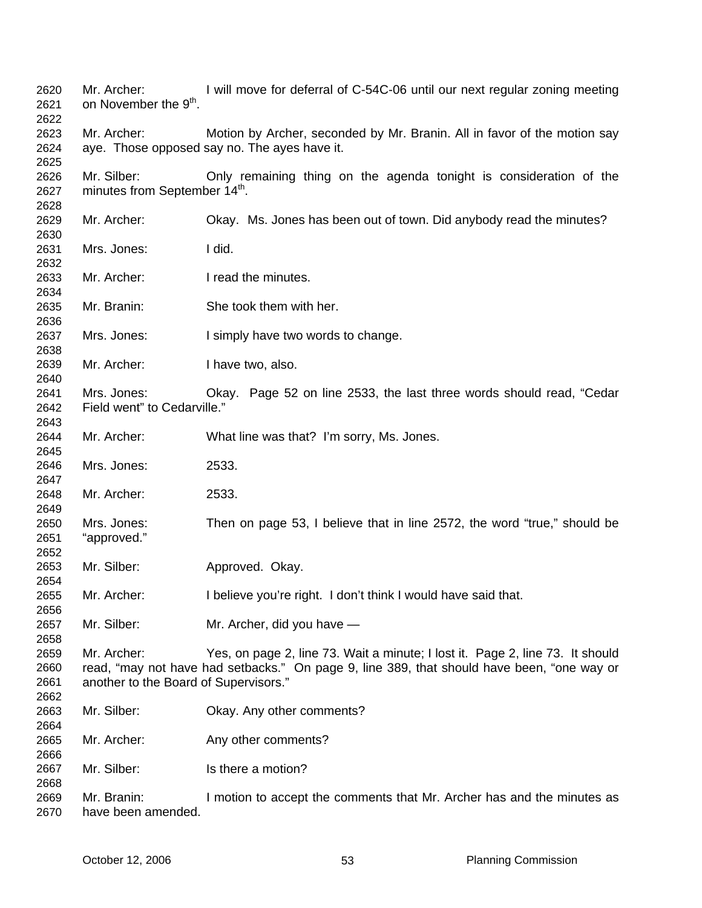| 2620<br>2621<br>2622 | Mr. Archer:<br>on November the 9 <sup>th</sup> . | I will move for deferral of C-54C-06 until our next regular zoning meeting                 |
|----------------------|--------------------------------------------------|--------------------------------------------------------------------------------------------|
| 2623                 | Mr. Archer:                                      | Motion by Archer, seconded by Mr. Branin. All in favor of the motion say                   |
| 2624                 |                                                  | aye. Those opposed say no. The ayes have it.                                               |
| 2625                 |                                                  |                                                                                            |
|                      |                                                  |                                                                                            |
| 2626                 | Mr. Silber:                                      | Only remaining thing on the agenda tonight is consideration of the                         |
| 2627                 | minutes from September 14 <sup>th</sup> .        |                                                                                            |
| 2628                 |                                                  |                                                                                            |
| 2629                 | Mr. Archer:                                      | Okay. Ms. Jones has been out of town. Did anybody read the minutes?                        |
| 2630                 |                                                  |                                                                                            |
| 2631                 | Mrs. Jones:                                      | I did.                                                                                     |
| 2632                 |                                                  |                                                                                            |
| 2633                 | Mr. Archer:                                      | I read the minutes.                                                                        |
| 2634                 |                                                  |                                                                                            |
| 2635                 | Mr. Branin:                                      | She took them with her.                                                                    |
| 2636                 |                                                  |                                                                                            |
| 2637                 | Mrs. Jones:                                      | I simply have two words to change.                                                         |
| 2638                 |                                                  |                                                                                            |
| 2639                 | Mr. Archer:                                      | I have two, also.                                                                          |
| 2640                 |                                                  |                                                                                            |
| 2641                 | Mrs. Jones:                                      | Okay. Page 52 on line 2533, the last three words should read, "Cedar                       |
| 2642                 | Field went" to Cedarville."                      |                                                                                            |
| 2643                 |                                                  |                                                                                            |
| 2644                 | Mr. Archer:                                      | What line was that? I'm sorry, Ms. Jones.                                                  |
| 2645                 |                                                  |                                                                                            |
| 2646                 | Mrs. Jones:                                      | 2533.                                                                                      |
| 2647                 |                                                  |                                                                                            |
| 2648                 | Mr. Archer:                                      | 2533.                                                                                      |
| 2649                 |                                                  |                                                                                            |
| 2650                 | Mrs. Jones:                                      | Then on page 53, I believe that in line 2572, the word "true," should be                   |
| 2651                 | "approved."                                      |                                                                                            |
|                      |                                                  |                                                                                            |
| 2652                 | Mr. Silber:                                      |                                                                                            |
| 2653                 |                                                  | Approved. Okay.                                                                            |
| 2654                 |                                                  |                                                                                            |
| 2655                 | Mr. Archer:                                      | I believe you're right. I don't think I would have said that.                              |
| 2656                 |                                                  |                                                                                            |
| 2657                 | Mr. Silber:                                      | Mr. Archer, did you have -                                                                 |
| 2658                 |                                                  |                                                                                            |
| 2659                 | Mr. Archer:                                      | Yes, on page 2, line 73. Wait a minute; I lost it. Page 2, line 73. It should              |
| 2660                 |                                                  | read, "may not have had setbacks." On page 9, line 389, that should have been, "one way or |
| 2661                 | another to the Board of Supervisors."            |                                                                                            |
| 2662                 |                                                  |                                                                                            |
| 2663                 | Mr. Silber:                                      | Okay. Any other comments?                                                                  |
| 2664                 |                                                  |                                                                                            |
| 2665                 | Mr. Archer:                                      | Any other comments?                                                                        |
| 2666                 |                                                  |                                                                                            |
| 2667                 | Mr. Silber:                                      | Is there a motion?                                                                         |
| 2668                 |                                                  |                                                                                            |
| 2669                 | Mr. Branin:                                      | I motion to accept the comments that Mr. Archer has and the minutes as                     |
| 2670                 | have been amended.                               |                                                                                            |